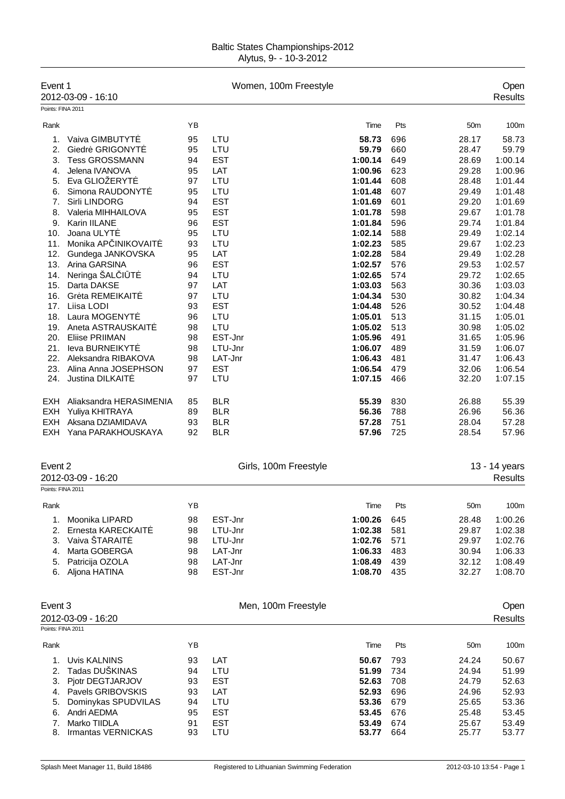| Event 1           | 2012-03-09 - 16:10                 |          | Women, 100m Freestyle    |                    |            |                 | Open<br>Results    |
|-------------------|------------------------------------|----------|--------------------------|--------------------|------------|-----------------|--------------------|
| Points: FINA 2011 |                                    |          |                          |                    |            |                 |                    |
| Rank              |                                    | ΥB       |                          | Time               | Pts        | 50 <sub>m</sub> | 100m               |
| 1.                | Vaiva GIMBUTYT                     | 95       | LTU                      | 58.73              | 696        | 28.17           | 58.73              |
| 2.                | Giedr GRIGONYT                     | 95       | LTU                      | 59.79              | 660        | 28.47           | 59.79              |
| 3.                | <b>Tess GROSSMANN</b>              | 94       | <b>EST</b>               | 1:00.14            | 649        | 28.69           | 1:00.14            |
| 4.                | Jelena IVANOVA                     | 95       | LAT                      | 1:00.96            | 623        | 29.28           | 1:00.96            |
| 5.                | Eva GLIOŽERYT                      | 97       | LTU                      | 1:01.44            | 608        | 28.48           | 1:01.44            |
| 6.                | Simona RAUDONYT                    | 95       | LTU                      | 1:01.48            | 607        | 29.49           | 1:01.48            |
| 7.                | Sirli LINDORG                      | 94       | <b>EST</b>               | 1:01.69            | 601        | 29.20           | 1:01.69            |
| 8.<br>9.          | Valeria MIHHAILOVA<br>Karin IILANE | 95<br>96 | <b>EST</b><br><b>EST</b> | 1:01.78<br>1:01.84 | 598<br>596 | 29.67<br>29.74  | 1:01.78<br>1:01.84 |
| 10.               | Joana ULYT                         | 95       | LTU                      | 1:02.14            | 588        | 29.49           | 1:02.14            |
| 11.               | Monika AP INIKOVAIT                | 93       | LTU                      | 1:02.23            | 585        | 29.67           | 1:02.23            |
| 12.               | Gundega JANKOVSKA                  | 95       | LAT                      | 1:02.28            | 584        | 29.49           | 1:02.28            |
| 13.               | Arina GARSINA                      | 96       | <b>EST</b>               | 1:02.57            | 576        | 29.53           | 1:02.57            |
| 14.               | Neringa ŠAL   T                    | 94       | LTU                      | 1:02.65            | 574        | 29.72           | 1:02.65            |
| 15.               | Darta DAKSE                        | 97       | LAT                      | 1:03.03            | 563        | 30.36           | 1:03.03            |
| 16.               | Gr ta REMEIKAIT                    | 97       | LTU                      | 1:04.34            | 530        | 30.82           | 1:04.34            |
| 17.               | Liisa LODI                         | 93       | <b>EST</b>               | 1:04.48            | 526        | 30.52           | 1:04.48            |
| 18.               | Laura MOGENYT                      | 96       | LTU                      | 1:05.01            | 513        | 31.15           | 1:05.01            |
| 19.               | Aneta ASTRAUSKAIT                  | 98       | LTU                      | 1:05.02            | 513        | 30.98           | 1:05.02            |
| 20.               | <b>Eliise PRIIMAN</b>              | 98       | EST-Jnr                  | 1:05.96            | 491        | 31.65           | 1:05.96            |
| 21.               | leva BURNEIKYT                     | 98       | LTU-Jnr                  | 1:06.07            | 489        | 31.59           | 1:06.07            |
| 22.               | Aleksandra RIBAKOVA                | 98       | LAT-Jnr                  | 1:06.43            | 481        | 31.47           | 1:06.43            |
| 23.               | Alina Anna JOSEPHSON               | 97       | <b>EST</b>               | 1:06.54            | 479        | 32.06           | 1:06.54            |
| 24.               | <b>Justina DILKAIT</b>             | 97       | LTU                      | 1:07.15            | 466        | 32.20           | 1:07.15            |
| <b>EXH</b>        | Aliaksandra HERASIMENIA            | 85       | <b>BLR</b>               | 55.39              | 830        | 26.88           | 55.39              |
| <b>EXH</b>        | Yuliya KHITRAYA                    | 89       | <b>BLR</b>               | 56.36              | 788        | 26.96           | 56.36              |
| <b>EXH</b>        | Aksana DZIAMIDAVA                  | 93       | <b>BLR</b>               | 57.28              | 751        | 28.04           | 57.28              |
| EXH               | Yana PARAKHOUSKAYA                 | 92       | <b>BLR</b>               | 57.96              | 725        | 28.54           | 57.96              |
| Event 2           |                                    |          | Girls, 100m Freestyle    |                    |            |                 | 13 - 14 years      |
|                   | 2012-03-09 - 16:20                 |          |                          |                    |            |                 | <b>Results</b>     |
| Points: FINA 2011 |                                    |          |                          |                    |            |                 |                    |
| Rank              |                                    | ΥB       |                          | Time               | Pts        | 50 <sub>m</sub> | 100m               |
| 1.                | Moonika LIPARD                     | 98       | EST-Jnr                  | 1:00.26            | 645        | 28.48           | 1:00.26            |
| 2.                | Ernesta KARECKAIT                  | 98       | LTU-Jnr                  | 1:02.38            | 581        | 29.87           | 1:02.38            |
| 3.                | Vaiva ŠTARAIT                      | 98       | LTU-Jnr                  | 1:02.76            | 571        | 29.97           | 1:02.76            |
| 4.                | Marta GOBERGA                      | 98       | LAT-Jnr                  | 1:06.33            | 483        | 30.94           | 1:06.33            |
| 5.                | Patricija OZOLA                    | 98       | LAT-Jnr                  | 1:08.49            | 439        | 32.12           | 1:08.49            |
| 6.                | Aljona HATINA                      | 98       | EST-Jnr                  | 1:08.70            | 435        | 32.27           | 1:08.70            |
| Event 3           |                                    |          | Men, 100m Freestyle      |                    |            |                 | Open               |
|                   | 2012-03-09 - 16:20                 |          |                          |                    |            |                 | <b>Results</b>     |
| Points: FINA 2011 |                                    |          |                          |                    |            |                 |                    |
| Rank              |                                    | YB       |                          | Time               | Pts        | 50 <sub>m</sub> | 100m               |
| 1.                | <b>Uvis KALNINS</b>                | 93       | LAT                      | 50.67              | 793        | 24.24           | 50.67              |
| 2.                | Tadas DUŠKINAS                     | 94       | LTU                      | 51.99              | 734        | 24.94           | 51.99              |
| 3.                | Pjotr DEGTJARJOV                   | 93       | <b>EST</b>               | 52.63              | 708        | 24.79           | 52.63              |
| 4.                | Pavels GRIBOVSKIS                  | 93       | LAT                      | 52.93              | 696        | 24.96           | 52.93              |
| 5.                | Dominykas SPUDVILAS                | 94       | LTU                      | 53.36              | 679        | 25.65           | 53.36              |
| 6.                | Andri AEDMA                        | 95       | <b>EST</b>               | 53.45              | 676        | 25.48           | 53.45              |
| 7.                | Marko TIIDLA                       | 91       | <b>EST</b>               | 53.49              | 674        | 25.67           | 53.49              |
| 8.                | Irmantas VERNICKAS                 | 93       | LTU                      | 53.77              | 664        | 25.77           | 53.77              |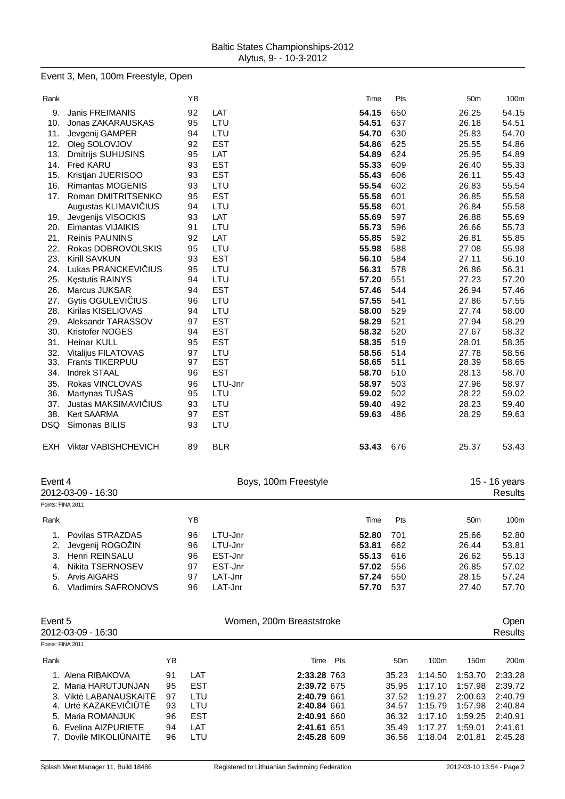#### Event 3, Men, 100m Freestyle, Open

| Rank              |                             |    | ΥB         |            |                          |     | Time  | Pts             |         | 50 <sub>m</sub> | 100m           |
|-------------------|-----------------------------|----|------------|------------|--------------------------|-----|-------|-----------------|---------|-----------------|----------------|
| 9.                | <b>Janis FREIMANIS</b>      |    | 92         | LAT        |                          |     | 54.15 | 650             |         | 26.25           | 54.15          |
| 10.               | Jonas ZAKARAUSKAS           |    | 95         | LTU        |                          |     | 54.51 | 637             |         | 26.18           | 54.51          |
| 11.               | Jevgenij GAMPER             |    | 94         | LTU        |                          |     | 54.70 | 630             |         | 25.83           | 54.70          |
| 12.               | Oleg SOLOVJOV               |    | 92         | <b>EST</b> |                          |     | 54.86 | 625             |         | 25.55           | 54.86          |
| 13.               | <b>Dmitrijs SUHUSINS</b>    |    | 95         | LAT        |                          |     | 54.89 | 624             |         | 25.95           | 54.89          |
| 14.               | Fred KARU                   |    | 93         | <b>EST</b> |                          |     | 55.33 | 609             |         | 26.40           | 55.33          |
| 15.               | Kristjan JUERISOO           |    | 93         | <b>EST</b> |                          |     | 55.43 | 606             |         | 26.11           | 55.43          |
| 16.               | <b>Rimantas MOGENIS</b>     |    | 93         | LTU        |                          |     | 55.54 | 602             |         | 26.83           | 55.54          |
| 17.               | Roman DMITRITSENKO          |    | 95         | <b>EST</b> |                          |     | 55.58 | 601             |         | 26.85           | 55.58          |
|                   |                             |    | 94         | LTU        |                          |     | 55.58 | 601             |         | 26.84           | 55.58          |
|                   | Augustas KLIMAVI IUS        |    |            | LAT        |                          |     |       |                 |         |                 |                |
| 19.               | Jevgenijs VISOCKIS          |    | 93         |            |                          |     | 55.69 | 597             |         | 26.88           | 55.69          |
| 20.               | Eimantas VIJAIKIS           |    | 91         | LTU        |                          |     | 55.73 | 596             |         | 26.66           | 55.73          |
| 21.               | <b>Reinis PAUNINS</b>       |    | 92         | LAT        |                          |     | 55.85 | 592             |         | 26.81           | 55.85          |
| 22.               | Rokas DOBROVOLSKIS          |    | 95         | LTU        |                          |     | 55.98 | 588             |         | 27.08           | 55.98          |
| 23.               | <b>Kirill SAVKUN</b>        |    | 93         | <b>EST</b> |                          |     | 56.10 | 584             |         | 27.11           | 56.10          |
| 24.               | Lukas PRANCKEVI IUS         |    | 95         | LTU        |                          |     | 56.31 | 578             |         | 26.86           | 56.31          |
| 25.               | K stutis RAINYS             |    | 94         | LTU        |                          |     | 57.20 | 551             |         | 27.23           | 57.20          |
| 26.               | Marcus JUKSAR               |    | 94         | <b>EST</b> |                          |     | 57.46 | 544             |         | 26.94           | 57.46          |
| 27.               | Gytis OGULEVI IUS           |    | 96         | LTU        |                          |     | 57.55 | 541             |         | 27.86           | 57.55          |
| 28.               | Kirilas KISELIOVAS          |    | 94         | LTU        |                          |     | 58.00 | 529             |         | 27.74           | 58.00          |
| 29.               | Aleksandr TARASSOV          |    | 97         | <b>EST</b> |                          |     | 58.29 | 521             |         | 27.94           | 58.29          |
| 30.               | <b>Kristofer NOGES</b>      |    | 94         | <b>EST</b> |                          |     | 58.32 | 520             |         | 27.67           | 58.32          |
| 31.               | <b>Heinar KULL</b>          |    | 95         | <b>EST</b> |                          |     | 58.35 | 519             |         | 28.01           | 58.35          |
| 32.               | Vitalijus FILATOVAS         |    | 97         | LTU        |                          |     | 58.56 | 514             |         | 27.78           | 58.56          |
| 33.               | <b>Frants TIKERPUU</b>      |    | 97         | <b>EST</b> |                          |     | 58.65 | 511             |         | 28.39           | 58.65          |
| 34.               | Indrek STAAL                |    | 96         | <b>EST</b> |                          |     | 58.70 | 510             |         | 28.13           | 58.70          |
| 35.               | Rokas VINCLOVAS             |    | 96         | LTU-Jnr    |                          |     | 58.97 | 503             |         | 27.96           | 58.97          |
| 36.               | Martynas TUŠAS              |    | 95         | LTU        |                          |     | 59.02 | 502             |         | 28.22           | 59.02          |
| 37.               | Justas MAKSIMAVI IUS        |    | 93         | LTU        |                          |     | 59.40 | 492             |         | 28.23           | 59.40          |
| 38.               | Kert SAARMA                 |    | 97         | <b>EST</b> |                          |     | 59.63 | 486             |         | 28.29           | 59.63          |
| DSQ               | Simonas BILIS               |    | 93         | LTU        |                          |     |       |                 |         |                 |                |
|                   |                             |    |            |            |                          |     |       |                 |         |                 |                |
| EXH               | <b>Viktar VABISHCHEVICH</b> |    | 89         | <b>BLR</b> |                          |     | 53.43 | 676             |         | 25.37           | 53.43          |
|                   |                             |    |            |            |                          |     |       |                 |         |                 |                |
| Event 4           |                             |    |            |            | Boys, 100m Freestyle     |     |       |                 |         |                 | 15 - 16 years  |
|                   | 2012-03-09 - 16:30          |    |            |            |                          |     |       |                 |         |                 | <b>Results</b> |
| Points: FINA 2011 |                             |    |            |            |                          |     |       |                 |         |                 |                |
| Rank              |                             |    | ΥB         |            |                          |     | Time  | Pts             |         | 50 <sub>m</sub> | 100m           |
| 1.                | Povilas STRAZDAS            |    | 96         | LTU-Jnr    |                          |     | 52.80 | 701             |         | 25.66           | 52.80          |
| 2.                | Jevgenij ROGOŽIN            |    | 96         | LTU-Jnr    |                          |     | 53.81 | 662             |         | 26.44           | 53.81          |
| 3.                | Henri REINSALU              |    | 96         | EST-Jnr    |                          |     | 55.13 | 616             |         | 26.62           | 55.13          |
| 4.                | Nikita TSERNOSEV            |    | 97         | EST-Jnr    |                          |     | 57.02 | 556             |         | 26.85           | 57.02          |
| 5.                | <b>Arvis AIGARS</b>         |    | 97         | LAT-Jnr    |                          |     | 57.24 |                 |         |                 |                |
| 6.                | Vladimirs SAFRONOVS         |    |            | LAT-Jnr    |                          |     | 57.70 | 550<br>537      |         | 28.15           | 57.24<br>57.70 |
|                   |                             |    | 96         |            |                          |     |       |                 |         | 27.40           |                |
| Event 5           |                             |    |            |            | Women, 200m Breaststroke |     |       |                 |         |                 | Open           |
|                   | 2012-03-09 - 16:30          |    |            |            |                          |     |       |                 |         |                 | <b>Results</b> |
| Points: FINA 2011 |                             |    |            |            |                          |     |       |                 |         |                 |                |
| Rank              |                             | YB |            |            | Time                     | Pts |       | 50 <sub>m</sub> | 100m    | 150m            | 200m           |
|                   |                             |    |            |            |                          |     |       |                 |         |                 |                |
|                   | 1. Alena RIBAKOVA           | 91 | LAT        |            | 2:33.28 763              |     |       | 35.23           | 1:14.50 | 1:53.70         | 2:33.28        |
|                   | 2. Maria HARUTJUNJAN        | 95 | <b>EST</b> |            | 2:39.72 675              |     |       | 35.95           | 1:17.10 | 1:57.98         | 2:39.72        |
|                   | 3. Vikt LABANAUSKAIT        | 97 | LTU        |            | 2:40.79 661              |     |       | 37.52           | 1:19.27 | 2:00.63         | 2:40.79        |
|                   | 4. Urt KAZAKEVI I T         | 93 | LTU        |            | 2:40.84 661              |     |       | 34.57           | 1:15.79 | 1:57.98         | 2:40.84        |
|                   | 5. Maria ROMANJUK           | 96 | <b>EST</b> |            | 2:40.91 660              |     |       | 36.32           | 1:17.10 | 1:59.25         | 2:40.91        |

6. Evelina AIZPURIETE 94 LAT **2:41.61** 651 35.49 1:17.27 1:59.01 2:41.61 7. Dovilė MIKOLIŪNAITĖ 96 LTU **2:45.28** 609 36.56 1:18.04 2:01.81 2:45.28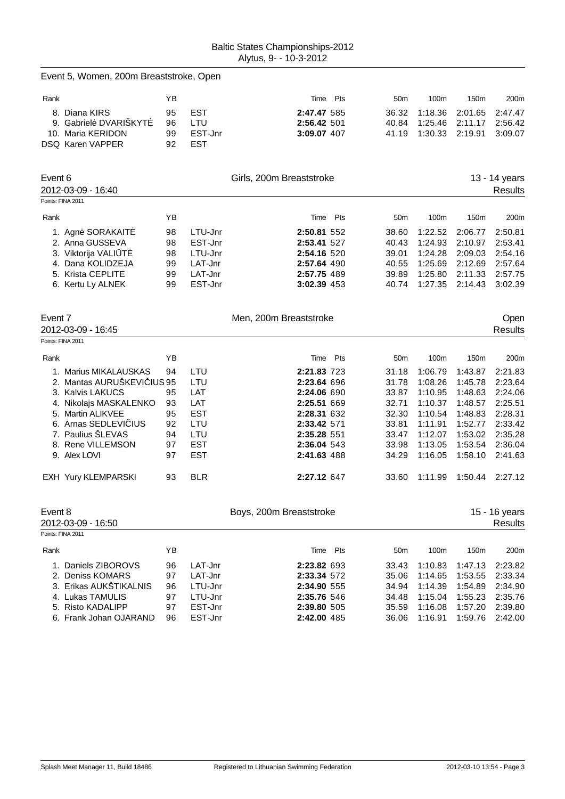|         | Event 5, Women, 200m Breaststroke, Open                                                                                              |                                  |                                                                |                                                                                        |     |                                                    |                                                                |                                                                |                                                                |
|---------|--------------------------------------------------------------------------------------------------------------------------------------|----------------------------------|----------------------------------------------------------------|----------------------------------------------------------------------------------------|-----|----------------------------------------------------|----------------------------------------------------------------|----------------------------------------------------------------|----------------------------------------------------------------|
| Rank    | 8. Diana KIRS<br>9. Gabriel DVARISKYT                                                                                                | ΥB<br>95<br>96                   | <b>EST</b><br>LTU                                              | Time<br>2:47.47 585<br>2:56.42 501                                                     | Pts | 50 <sub>m</sub><br>36.32<br>40.84                  | 100m<br>1:18.36<br>1:25.46                                     | 150m<br>2:01.65<br>2:11.17                                     | 200m<br>2:47.47<br>2:56.42                                     |
|         | 10. Maria KERIDON<br>DSQ Karen VAPPER                                                                                                | 99<br>92                         | EST-Jnr<br><b>EST</b>                                          | 3:09.07 407                                                                            |     | 41.19                                              | 1:30.33                                                        | 2:19.91                                                        | 3:09.07                                                        |
| Event 6 | 2012-03-09 - 16:40<br>Points: FINA 2011                                                                                              |                                  |                                                                | Girls, 200m Breaststroke                                                               |     |                                                    |                                                                |                                                                | 13 - 14 years<br><b>Results</b>                                |
| Rank    |                                                                                                                                      | ΥB                               |                                                                | Time                                                                                   | Pts | 50 <sub>m</sub>                                    | 100m                                                           | 150m                                                           | 200m                                                           |
|         | 1. Agn SORAKAIT<br>2. Anna GUSSEVA<br>3. Viktorija VALI T<br>4. Dana KOLIDZEJA<br>5. Krista CEPLITE<br>6. Kertu Ly ALNEK             | 98<br>98<br>98<br>99<br>99<br>99 | LTU-Jnr<br>EST-Jnr<br>LTU-Jnr<br>LAT-Jnr<br>LAT-Jnr<br>EST-Jnr | 2:50.81 552<br>2:53.41 527<br>2:54.16 520<br>2:57.64 490<br>2:57.75 489<br>3:02.39 453 |     | 38.60<br>40.43<br>39.01<br>40.55<br>39.89<br>40.74 | 1:22.52<br>1:24.93<br>1:24.28<br>1:25.69<br>1:25.80<br>1:27.35 | 2:06.77<br>2:10.97<br>2:09.03<br>2:12.69<br>2:11.33<br>2:14.43 | 2:50.81<br>2:53.41<br>2:54.16<br>2:57.64<br>2:57.75<br>3:02.39 |
| Event 7 | 2012-03-09 - 16:45                                                                                                                   |                                  |                                                                | Men, 200m Breaststroke                                                                 |     |                                                    |                                                                |                                                                | Open<br><b>Results</b>                                         |
|         | Points: FINA 2011                                                                                                                    |                                  |                                                                |                                                                                        |     |                                                    |                                                                |                                                                |                                                                |
| Rank    |                                                                                                                                      | YB                               |                                                                | Time                                                                                   | Pts | 50 <sub>m</sub>                                    | 100m                                                           | 150m                                                           | 200m                                                           |
|         | 1. Marius MIKALAUSKAS<br>2. Mantas AURUSKEVI IUS 95<br>3. Kalvis LAKUCS                                                              | 94<br>95                         | LTU<br>LTU<br>LAT                                              | 2:21.83 723<br>2:23.64 696<br>2:24.06 690                                              |     | 31.18<br>31.78<br>33.87                            | 1:06.79<br>1:08.26<br>1:10.95                                  | 1:43.87<br>1:45.78<br>1:48.63                                  | 2:21.83<br>2:23.64<br>2:24.06                                  |
|         | 4. Nikolajs MASKALENKO<br>5. Martin ALIKVEE<br>6. Arnas SEDLEVI IUS                                                                  | 93<br>95<br>92                   | LAT<br><b>EST</b><br>LTU                                       | 2:25.51 669<br>2:28.31 632<br>2:33.42 571                                              |     | 32.71<br>32.30<br>33.81                            | 1:10.37<br>1:10.54<br>1:11.91                                  | 1:48.57<br>1:48.83<br>1:52.77                                  | 2:25.51<br>2:28.31<br>2:33.42                                  |
|         | 7. Paulius ŠLEVAS<br>8. Rene VILLEMSON<br>9. Alex LOVI                                                                               | 94<br>97<br>97                   | LTU<br><b>EST</b><br><b>EST</b>                                | 2:35.28 551<br>2:36.04 543<br>2:41.63 488                                              |     | 33.47<br>33.98<br>34.29                            | 1:12.07<br>1:13.05<br>1:16.05                                  | 1:53.02<br>1:53.54<br>1:58.10                                  | 2:35.28<br>2:36.04<br>2:41.63                                  |
|         | EXH Yury KLEMPARSKI                                                                                                                  | 93                               | <b>BLR</b>                                                     | 2:27.12 647                                                                            |     | 33.60                                              | 1:11.99                                                        | 1:50.44                                                        | 2:27.12                                                        |
| Event 8 | 2012-03-09 - 16:50<br>Points: FINA 2011                                                                                              |                                  |                                                                | Boys, 200m Breaststroke                                                                |     |                                                    |                                                                |                                                                | 15 - 16 years<br>Results                                       |
| Rank    |                                                                                                                                      | YB                               |                                                                | Time Pts                                                                               |     | 50 <sub>m</sub>                                    | 100m                                                           | 150m                                                           | 200m                                                           |
|         | 1. Daniels ZIBOROVS<br>2. Deniss KOMARS<br>3. Erikas AUKŠTIKALNIS<br>4. Lukas TAMULIS<br>5. Risto KADALIPP<br>6. Frank Johan OJARAND | 96<br>97<br>96<br>97<br>97<br>96 | LAT-Jnr<br>LAT-Jnr<br>LTU-Jnr<br>LTU-Jnr<br>EST-Jnr<br>EST-Jnr | 2:23.82 693<br>2:33.34 572<br>2:34.90 555<br>2:35.76 546<br>2:39.80 505<br>2:42.00 485 |     | 33.43<br>35.06<br>34.94<br>34.48<br>35.59<br>36.06 | 1:10.83<br>1:14.65<br>1:14.39<br>1:15.04<br>1:16.08<br>1:16.91 | 1:47.13<br>1:53.55<br>1:54.89<br>1:55.23<br>1:57.20<br>1:59.76 | 2:23.82<br>2:33.34<br>2:34.90<br>2:35.76<br>2:39.80<br>2:42.00 |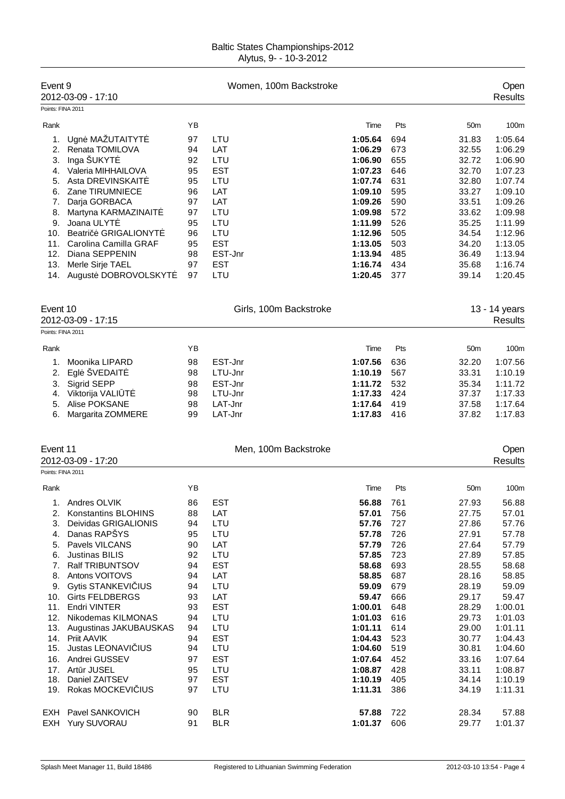| Event 9<br>Points: FINA 2011 | 2012-03-09 - 17:10                            |          | Women, 100m Backstroke |                    |            |                 | Open<br><b>Results</b> |
|------------------------------|-----------------------------------------------|----------|------------------------|--------------------|------------|-----------------|------------------------|
| Rank                         |                                               | ΥB       |                        | Time               | Pts        | 50m             | 100m                   |
|                              |                                               |          |                        |                    |            |                 |                        |
| 1.<br>2.                     | Ugn MAŽUTAITYT<br>Renata TOMILOVA             | 97<br>94 | LTU<br>LAT             | 1:05.64<br>1:06.29 | 694<br>673 | 31.83<br>32.55  | 1:05.64<br>1:06.29     |
| 3.                           | Inga ŠUKYT                                    | 92       | LTU                    | 1:06.90            | 655        | 32.72           | 1:06.90                |
| 4.                           | Valeria MIHHAILOVA                            | 95       | <b>EST</b>             | 1:07.23            | 646        | 32.70           | 1:07.23                |
| 5.                           | Asta DREVINSKAIT                              | 95       | LTU                    | 1:07.74            | 631        | 32.80           | 1:07.74                |
| 6.                           | Zane TIRUMNIECE                               | 96       | LAT                    | 1:09.10            | 595        | 33.27           | 1:09.10                |
| 7.                           | Darja GORBACA                                 | 97       | LAT                    | 1:09.26            | 590        | 33.51           | 1:09.26                |
| 8.                           | Martyna KARMAZINAIT                           | 97       | LTU                    | 1:09.98            | 572        | 33.62           | 1:09.98                |
| 9.                           | Joana ULYT                                    | 95       | LTU                    | 1:11.99            | 526        | 35.25           | 1:11.99                |
| 10.                          | <b>GRIGALIONYT</b><br>Beatri                  | 96       | LTU                    | 1:12.96            | 505        | 34.54           | 1:12.96                |
| 11.                          | Carolina Camilla GRAF                         | 95       | <b>EST</b>             | 1:13.05            | 503        | 34.20           | 1:13.05                |
| 12.                          | Diana SEPPENIN                                | 98       | EST-Jnr                | 1:13.94            | 485        | 36.49           | 1:13.94                |
| 13.                          | Merle Sirje TAEL                              | 97<br>97 | <b>EST</b><br>LTU      | 1:16.74<br>1:20.45 | 434<br>377 | 35.68<br>39.14  | 1:16.74<br>1:20.45     |
|                              | 14. August DOBROVOLSKYT                       |          |                        |                    |            |                 |                        |
| Event 10                     |                                               |          | Girls, 100m Backstroke |                    |            |                 | 13 - 14 years          |
|                              | 2012-03-09 - 17:15                            |          |                        |                    |            |                 | <b>Results</b>         |
| Points: FINA 2011            |                                               |          |                        |                    |            |                 |                        |
| Rank                         |                                               | YB       |                        | Time               | Pts        | 50 <sub>m</sub> | 100m                   |
| 1.                           | Moonika LIPARD                                | 98       | EST-Jnr                | 1:07.56            | 636        | 32.20           | 1:07.56                |
| 2.                           | Egl ŠVEDAIT                                   | 98       | LTU-Jnr                | 1:10.19            | 567        | 33.31           | 1:10.19                |
| 3.                           | Sigrid SEPP                                   | 98       | EST-Jnr                | 1:11.72            | 532        | 35.34           | 1:11.72                |
| 4.                           | Viktorija VALI T                              | 98       | LTU-Jnr                | 1:17.33            | 424        | 37.37           | 1:17.33                |
| 5.                           | Alise POKSANE                                 | 98       | LAT-Jnr                | 1:17.64            | 419        | 37.58           | 1:17.64                |
| 6.                           | Margarita ZOMMERE                             | 99       | LAT-Jnr                | 1:17.83            | 416        | 37.82           | 1:17.83                |
| Event 11                     |                                               |          | Men, 100m Backstroke   |                    |            |                 | Open                   |
|                              | 2012-03-09 - 17:20                            |          |                        |                    |            |                 | <b>Results</b>         |
| Points: FINA 2011            |                                               |          |                        |                    |            |                 |                        |
| Rank                         |                                               | YB       |                        | Time               | Pts        | 50m             | 100m                   |
| 1.                           | Andres OLVIK                                  | 86       | <b>EST</b>             | 56.88              | 761        | 27.93           | 56.88                  |
| 2.                           | Konstantins BLOHINS                           | 88       | LAT                    | 57.01              | 756        | 27.75           | 57.01                  |
| 3.                           | Deividas GRIGALIONIS                          | 94       | LTU                    | 57.76              | 727        | 27.86           | 57.76                  |
| 4.                           | Danas RAPŠYS                                  | 95       | LTU                    | 57.78              | 726        | 27.91           | 57.78                  |
| 5.                           | Pavels VILCANS                                | 90       | LAT                    | 57.79              | 726        | 27.64           | 57.79                  |
| 6.                           | <b>Justinas BILIS</b>                         | 92       | LTU                    | 57.85              | 723        | 27.89           | 57.85                  |
| 7.                           | Ralf TRIBUNTSOV                               | 94       | <b>EST</b>             | 58.68              | 693        | 28.55           | 58.68                  |
| 8.                           | Antons VOITOVS                                | 94       | LAT                    | 58.85              | 687        | 28.16           | 58.85                  |
| 9.                           | Gytis STANKEVI IUS                            | 94       | LTU                    | 59.09              | 679        | 28.19           | 59.09                  |
| 10.<br>11.                   | <b>Girts FELDBERGS</b><br><b>Endri VINTER</b> | 93       | LAT<br><b>EST</b>      | 59.47<br>1:00.01   | 666        | 29.17           | 59.47<br>1:00.01       |
| 12.                          | Nikodemas KILMONAS                            | 93<br>94 | LTU                    | 1:01.03            | 648<br>616 | 28.29<br>29.73  | 1:01.03                |
| 13.                          | Augustinas JAKUBAUSKAS                        | 94       | LTU                    | 1:01.11            | 614        | 29.00           | 1:01.11                |
|                              | 14. Priit AAVIK                               | 94       | <b>EST</b>             | 1:04.43            | 523        | 30.77           | 1:04.43                |
| 15.                          | Justas LEONAVI IUS                            | 94       | LTU                    | 1:04.60            | 519        | 30.81           | 1:04.60                |
| 16.                          | Andrei GUSSEV                                 | 97       | <b>EST</b>             | 1:07.64            | 452        | 33.16           | 1:07.64                |
| 17.                          | Art r JUSEL                                   | 95       | LTU                    | 1:08.87            | 428        | 33.11           | 1:08.87                |
| 18.                          | Daniel ZAITSEV                                | 97       | <b>EST</b>             | 1:10.19            | 405        | 34.14           | 1:10.19                |
| 19.                          | Rokas MOCKEVI IUS                             | 97       | LTU                    | 1:11.31            | 386        | 34.19           | 1:11.31                |
|                              |                                               |          |                        |                    |            |                 |                        |
| EXH                          | Pavel SANKOVICH                               | 90       | <b>BLR</b>             | 57.88              | 722        | 28.34           | 57.88                  |
| EXH                          | Yury SUVORAU                                  | 91       | <b>BLR</b>             | 1:01.37            | 606        | 29.77           | 1:01.37                |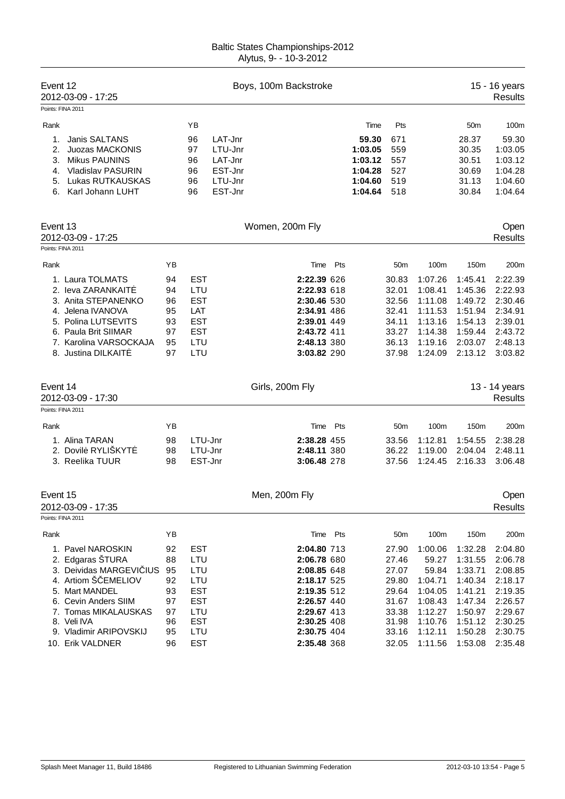| Event 12<br>Points: FINA 2011            | 2012-03-09 - 17:25                                                                                                                                                               |                                                    |                                                                                                          | Boys, 100m Backstroke                                                                                                               |                                                                      |                                                                                         |                                                                                              |                                                                                              | 15 - 16 years<br><b>Results</b>                                                              |
|------------------------------------------|----------------------------------------------------------------------------------------------------------------------------------------------------------------------------------|----------------------------------------------------|----------------------------------------------------------------------------------------------------------|-------------------------------------------------------------------------------------------------------------------------------------|----------------------------------------------------------------------|-----------------------------------------------------------------------------------------|----------------------------------------------------------------------------------------------|----------------------------------------------------------------------------------------------|----------------------------------------------------------------------------------------------|
| Rank<br>1.<br>2.<br>3.<br>4.<br>5.<br>6. | Janis SALTANS<br>Juozas MACKONIS<br><b>Mikus PAUNINS</b><br><b>Vladislav PASURIN</b><br>Lukas RUTKAUSKAS<br>Karl Johann LUHT                                                     |                                                    | YB<br>96<br>LAT-Jnr<br>LTU-Jnr<br>97<br>LAT-Jnr<br>96<br>EST-Jnr<br>96<br>LTU-Jnr<br>96<br>EST-Jnr<br>96 |                                                                                                                                     | Time<br>59.30<br>1:03.05<br>1:03.12<br>1:04.28<br>1:04.60<br>1:04.64 | Pts<br>671<br>559<br>557<br>527<br>519<br>518                                           |                                                                                              | 50 <sub>m</sub><br>28.37<br>30.35<br>30.51<br>30.69<br>31.13<br>30.84                        | 100m<br>59.30<br>1:03.05<br>1:03.12<br>1:04.28<br>1:04.60<br>1:04.64                         |
| Event 13<br>Points: FINA 2011            | 2012-03-09 - 17:25                                                                                                                                                               |                                                    |                                                                                                          | Women, 200m Fly                                                                                                                     |                                                                      |                                                                                         |                                                                                              |                                                                                              | Open<br>Results                                                                              |
| Rank                                     | 1. Laura TOLMATS<br>2. leva ZARANKAIT<br>3. Anita STEPANENKO<br>4. Jelena IVANOVA<br>5. Polina LUTSEVITS<br>6. Paula Brit SIIMAR<br>7. Karolina VARSOCKAJA<br>8. Justina DILKAIT | ΥB<br>94<br>94<br>96<br>95<br>93<br>97<br>95<br>97 | <b>EST</b><br>LTU<br><b>EST</b><br>LAT<br><b>EST</b><br><b>EST</b><br>LTU<br>LTU                         | Pts<br>Time<br>2:22.39 626<br>2:22.93 618<br>2:30.46 530<br>2:34.91 486<br>2:39.01 449<br>2:43.72 411<br>2:48.13 380<br>3:03.82 290 |                                                                      | 50 <sub>m</sub><br>30.83<br>32.01<br>32.56<br>32.41<br>34.11<br>33.27<br>36.13<br>37.98 | 100m<br>1:07.26<br>1:08.41<br>1:11.08<br>1:11.53<br>1:13.16<br>1:14.38<br>1:19.16<br>1:24.09 | 150m<br>1:45.41<br>1:45.36<br>1:49.72<br>1:51.94<br>1:54.13<br>1:59.44<br>2:03.07<br>2:13.12 | 200m<br>2:22.39<br>2:22.93<br>2:30.46<br>2:34.91<br>2:39.01<br>2:43.72<br>2:48.13<br>3:03.82 |
| Event 14<br>Points: FINA 2011            | 2012-03-09 - 17:30                                                                                                                                                               |                                                    |                                                                                                          | Girls, 200m Fly                                                                                                                     |                                                                      |                                                                                         |                                                                                              |                                                                                              | 13 - 14 years<br><b>Results</b>                                                              |
| Rank                                     | 1. Alina TARAN<br>2. Dovil RYLIŠKYT<br>3. Reelika TUUR                                                                                                                           | ΥB<br>98<br>98<br>98                               | LTU-Jnr<br>LTU-Jnr<br>EST-Jnr                                                                            | Time<br>Pts<br>2:38.28 455<br>2:48.11 380<br>3:06.48 278                                                                            |                                                                      | 50 <sub>m</sub><br>33.56<br>36.22<br>37.56                                              | 100m<br>1:12.81<br>1:19.00<br>1:24.45                                                        | 150m<br>1:54.55<br>2:04.04<br>2:16.33                                                        | 200m<br>2:38.28<br>2:48.11<br>3:06.48                                                        |
| Event 15<br>Points: FINA 2011            | 2012-03-09 - 17:35                                                                                                                                                               |                                                    |                                                                                                          | Men, 200m Fly                                                                                                                       |                                                                      |                                                                                         |                                                                                              |                                                                                              | Open<br>Results                                                                              |
|                                          |                                                                                                                                                                                  |                                                    |                                                                                                          |                                                                                                                                     |                                                                      |                                                                                         |                                                                                              |                                                                                              |                                                                                              |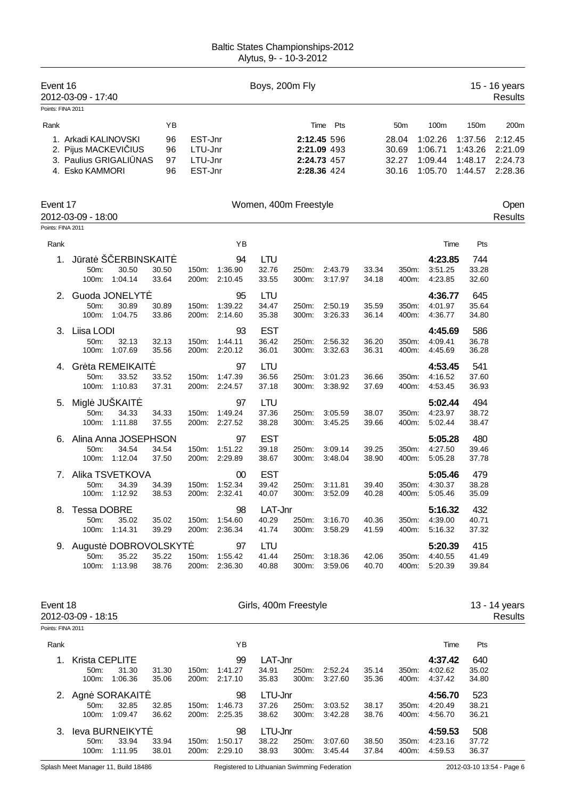| Event 16          | 2012-03-09 - 17:40     |                      |       |         |               | Boys, 200m Fly        |       |             |       |                 |         |         | 15 - 16 years<br><b>Results</b> |
|-------------------|------------------------|----------------------|-------|---------|---------------|-----------------------|-------|-------------|-------|-----------------|---------|---------|---------------------------------|
| Points: FINA 2011 |                        |                      |       |         |               |                       |       |             |       |                 |         |         |                                 |
| Rank              |                        |                      | ΥB    |         |               |                       |       | Pts<br>Time |       | 50 <sub>m</sub> | 100m    | 150m    | 200m                            |
|                   | 1. Arkadi KALINOVSKI   |                      | 96    | EST-Jnr |               |                       |       | 2:12.45 596 |       | 28.04           | 1:02.26 | 1:37.56 | 2:12.45                         |
|                   | 2. Pijus MACKEVI IUS   |                      | 96    | LTU-Jnr |               |                       |       | 2:21.09 493 |       | 30.69           | 1:06.71 | 1:43.26 | 2:21.09                         |
|                   | 3. Paulius GRIGALI NAS |                      | 97    | LTU-Jnr |               |                       |       | 2:24.73 457 |       | 32.27           | 1:09.44 | 1:48.17 | 2:24.73                         |
|                   | 4. Esko KAMMORI        |                      | 96    | EST-Jnr |               |                       |       | 2:28.36 424 |       | 30.16           | 1:05.70 | 1:44.57 | 2:28.36                         |
| Event 17          | 2012-03-09 - 18:00     |                      |       |         |               | Women, 400m Freestyle |       |             |       |                 |         |         | Open<br><b>Results</b>          |
| Points: FINA 2011 |                        |                      |       |         |               |                       |       |             |       |                 |         |         |                                 |
| Rank              |                        |                      |       |         | YB            |                       |       |             |       |                 | Time    | Pts     |                                 |
| 1.                | J rat Š                | <b>ERBINSKAIT</b>    |       |         | 94            | <b>LTU</b>            |       |             |       |                 | 4:23.85 | 744     |                                 |
|                   | 50m:                   | 30.50                | 30.50 | 150m:   | 1:36.90       | 32.76                 | 250m: | 2:43.79     | 33.34 | 350m:           | 3:51.25 | 33.28   |                                 |
|                   | 100m:                  | 1:04.14              | 33.64 | 200m:   | 2:10.45       | 33.55                 | 300m: | 3:17.97     | 34.18 | 400m:           | 4:23.85 | 32.60   |                                 |
| 2.                |                        | Guoda JONELYT        |       |         | 95            | <b>LTU</b>            |       |             |       |                 | 4:36.77 | 645     |                                 |
|                   | 50m:                   | 30.89                | 30.89 | 150m:   | 1:39.22       | 34.47                 | 250m: | 2:50.19     | 35.59 | 350m:           | 4:01.97 | 35.64   |                                 |
|                   | 100m:                  | 1:04.75              | 33.86 | 200m:   | 2:14.60       | 35.38                 | 300m: | 3:26.33     | 36.14 | 400m:           | 4:36.77 | 34.80   |                                 |
| 3.                | Liisa LODI             |                      |       |         | 93            | <b>EST</b>            |       |             |       |                 | 4:45.69 | 586     |                                 |
|                   | 50m:                   | 32.13                | 32.13 | 150m:   | 1:44.11       | 36.42                 | 250m: | 2:56.32     | 36.20 | 350m:           | 4:09.41 | 36.78   |                                 |
|                   | 100m:                  | 1:07.69              | 35.56 | 200m:   | 2:20.12       | 36.01                 | 300m: | 3:32.63     | 36.31 | 400m:           | 4:45.69 | 36.28   |                                 |
| 4.                |                        | Gr ta REMEIKAIT      |       |         | 97            | <b>LTU</b>            |       |             |       |                 | 4:53.45 | 541     |                                 |
|                   | 50m:                   | 33.52                | 33.52 | 150m:   | 1:47.39       | 36.56                 | 250m: | 3:01.23     | 36.66 | 350m:           | 4:16.52 | 37.60   |                                 |
|                   | 100m:                  | 1:10.83              | 37.31 |         | 200m: 2:24.57 | 37.18                 | 300m: | 3:38.92     | 37.69 | 400m:           | 4:53.45 | 36.93   |                                 |
| 5.                | Migl JUŠKAIT           |                      |       |         | 97            | <b>LTU</b>            |       |             |       |                 | 5:02.44 | 494     |                                 |
|                   | 50m:                   | 34.33                | 34.33 | 150m:   | 1:49.24       | 37.36                 | 250m: | 3:05.59     | 38.07 | 350m:           | 4:23.97 | 38.72   |                                 |
|                   | 100m:                  | 1:11.88              | 37.55 |         | 200m: 2:27.52 | 38.28                 | 300m: | 3:45.25     | 39.66 | 400m:           | 5:02.44 | 38.47   |                                 |
| 6.                |                        | Alina Anna JOSEPHSON |       |         | 97            | <b>EST</b>            |       |             |       |                 | 5:05.28 | 480     |                                 |
|                   | 50m:                   | 34.54                | 34.54 | 150m:   | 1:51.22       | 39.18                 | 250m: | 3:09.14     | 39.25 | 350m:           | 4:27.50 | 39.46   |                                 |
|                   | 100m:                  | 1:12.04              | 37.50 | 200m:   | 2:29.89       | 38.67                 | 300m: | 3:48.04     | 38.90 | 400m:           | 5:05.28 | 37.78   |                                 |
| 7.                |                        | Alika TSVETKOVA      |       |         | 00            | <b>EST</b>            |       |             |       |                 | 5:05.46 | 479     |                                 |
|                   | 50m:                   | 34.39                | 34.39 | 150m:   | 1:52.34       | 39.42                 | 250m: | 3:11.81     | 39.40 | 350m:           | 4:30.37 | 38.28   |                                 |
|                   | 100m:                  | 1:12.92              | 38.53 | 200m:   | 2:32.41       | 40.07                 | 300m: | 3:52.09     | 40.28 | 400m:           | 5:05.46 | 35.09   |                                 |
| 8.                | <b>Tessa DOBRE</b>     |                      |       |         | 98            | LAT-Jnr               |       |             |       |                 | 5:16.32 | 432     |                                 |
|                   | 50m:                   | 35.02                | 35.02 | 150m:   | 1:54.60       | 40.29                 | 250m: | 3:16.70     | 40.36 | 350m:           | 4:39.00 | 40.71   |                                 |
|                   | 100m:                  | 1:14.31              | 39.29 |         | 200m: 2:36.34 | 41.74                 | 300m: | 3:58.29     | 41.59 | 400m:           | 5:16.32 | 37.32   |                                 |
| 9.                |                        | August DOBROVOLSKYT  |       |         | 97            | <b>LTU</b>            |       |             |       |                 | 5:20.39 | 415     |                                 |
|                   | 50m:                   | 35.22                | 35.22 | 150m:   | 1:55.42       | 41.44                 | 250m: | 3:18.36     | 42.06 | 350m:           | 4:40.55 | 41.49   |                                 |
|                   | 100m:                  | 1:13.98              | 38.76 | 200m:   | 2:36.30       | 40.88                 | 300m: | 3:59.06     | 40.70 | 400m:           | 5:20.39 | 39.84   |                                 |
|                   |                        |                      |       |         |               |                       |       |             |       |                 |         |         |                                 |
| Event 18          | 2012-03-09 - 18:15     |                      |       |         |               | Girls, 400m Freestyle |       |             |       |                 |         |         | 13 - 14 years<br><b>Results</b> |
| Points: FINA 2011 |                        |                      |       |         |               |                       |       |             |       |                 |         |         |                                 |
| Rank              |                        |                      |       |         | ΥB            |                       |       |             |       |                 | Time    | Pts     |                                 |
| 1.                | Krista CEPLITE         |                      |       |         | 99            | LAT-Jnr               |       |             |       |                 | 4:37.42 | 640     |                                 |
|                   | 50m:                   | 31.30                | 31.30 | 150m:   | 1:41.27       | 34.91                 | 250m: | 2:52.24     | 35.14 | 350m:           | 4:02.62 | 35.02   |                                 |
|                   | 100m:                  | 1:06.36              | 35.06 |         | 200m: 2:17.10 | 35.83                 | 300m: | 3:27.60     | 35.36 | 400m:           | 4:37.42 | 34.80   |                                 |
| 2.                |                        | Agn SORAKAIT         |       |         | 98            | LTU-Jnr               |       |             |       |                 | 4:56.70 | 523     |                                 |
|                   | 50m:                   | 32.85                | 32.85 | 150m:   | 1:46.73       | 37.26                 | 250m: | 3:03.52     | 38.17 | 350m:           | 4:20.49 | 38.21   |                                 |
|                   | 100m:                  | 1:09.47              | 36.62 |         | 200m: 2:25.35 | 38.62                 | 300m: | 3:42.28     | 38.76 | 400m:           | 4:56.70 | 36.21   |                                 |
| 3.                |                        | leva BURNEIKYT       |       |         | 98            | LTU-Jnr               |       |             |       |                 | 4:59.53 | 508     |                                 |
|                   | 50m:                   | 33.94                | 33.94 |         | 150m: 1:50.17 | 38.22                 | 250m: | 3:07.60     | 38.50 | 350m:           | 4:23.16 | 37.72   |                                 |

Splash Meet Manager 11, Build 18486 Registered to Lithuanian Swimming Federation 2012-03-10 13:54 - Page 6 100m: 1:11.95 38.01 200m: 2:29.10 38.93 300m: 3:45.44 37.84 400m: 4:59.53 36.37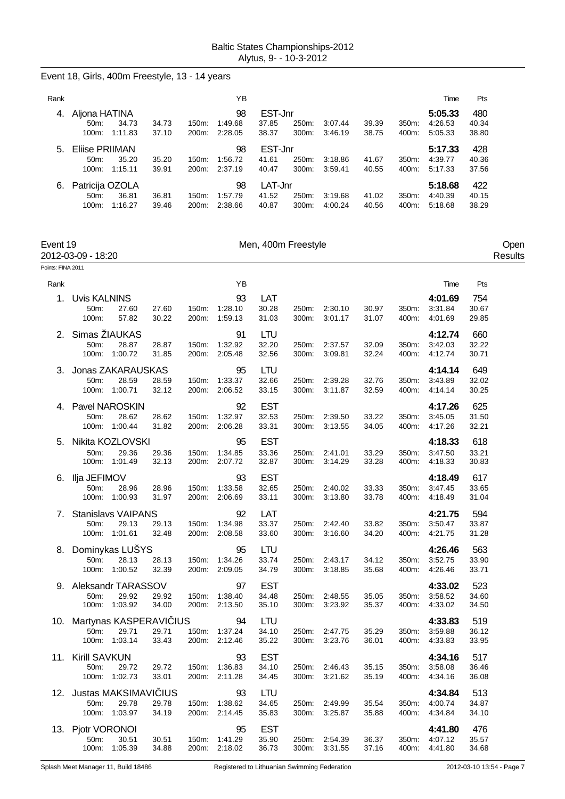# Event 18, Girls, 400m Freestyle, 13 - 14 years

| Rank |                 |         |       |                    | YΒ      |         |          |         |       |       | Time    | Pts   |
|------|-----------------|---------|-------|--------------------|---------|---------|----------|---------|-------|-------|---------|-------|
| -4.  | Aljona HATINA   |         |       |                    | 98      | EST-Jnr |          |         |       |       | 5:05.33 | 480   |
|      | 50m             | 34.73   | 34.73 | $150m$ :           | 1:49.68 | 37.85   | 250m:    | 3:07.44 | 39.39 | 350m: | 4:26.53 | 40.34 |
|      | 100m:           | 1:11.83 | 37.10 | 200 <sub>m</sub> : | 2:28.05 | 38.37   | 300m:    | 3:46.19 | 38.75 | 400m: | 5:05.33 | 38.80 |
| 5.   | Eliise PRIIMAN  |         |       |                    | 98      | EST-Jnr |          |         |       |       | 5:17.33 | 428   |
|      | $50m$ :         | 35.20   | 35.20 | $150m$ :           | 1:56.72 | 41.61   | $250m$ : | 3:18.86 | 41.67 | 350m: | 4:39.77 | 40.36 |
|      | $100m$ :        | 1:15.11 | 39.91 | 200 <sub>m</sub> : | 2:37.19 | 40.47   | 300m:    | 3:59.41 | 40.55 | 400m: | 5:17.33 | 37.56 |
| 6.   | Patricija OZOLA |         |       |                    | 98      | LAT-Jnr |          |         |       |       | 5:18.68 | 422   |
|      | $50m$ :         | 36.81   | 36.81 | $150m$ :           | 1:57.79 | 41.52   | 250m:    | 3:19.68 | 41.02 | 350m: | 4:40.39 | 40.15 |
|      | $100m$ :        | 1:16.27 | 39.46 | 200m:              | 2:38.66 | 40.87   | 300m:    | 4:00.24 | 40.56 | 400m. | 5:18.68 | 38.29 |

| Event 19          | 2012-03-09 - 18:20                 |                                                     |                |       |                                      | Men, 400m Freestyle          |                |                          |                |                |                               |                       | Open<br>Results |
|-------------------|------------------------------------|-----------------------------------------------------|----------------|-------|--------------------------------------|------------------------------|----------------|--------------------------|----------------|----------------|-------------------------------|-----------------------|-----------------|
| Points: FINA 2011 |                                    |                                                     |                |       |                                      |                              |                |                          |                |                |                               |                       |                 |
| Rank              |                                    |                                                     |                |       | YB                                   |                              |                |                          |                |                | Time                          | Pts                   |                 |
| 1.                | Uvis KALNINS<br>50m:<br>100m:      | 27.60<br>57.82                                      | 27.60<br>30.22 | 150m: | 93<br>1:28.10<br>200m: 1:59.13       | LAT<br>30.28<br>31.03        | 250m:<br>300m: | 2:30.10<br>3:01.17       | 30.97<br>31.07 | 350m:<br>400m: | 4:01.69<br>3:31.84<br>4:01.69 | 754<br>30.67<br>29.85 |                 |
| 2.                | Simas ŽIAUKAS<br>50m:              | 28.87<br>100m: 1:00.72                              | 28.87<br>31.85 | 150m: | 91<br>1:32.92<br>200m: 2:05.48       | LTU<br>32.20<br>32.56        | 250m:<br>300m: | 2:37.57<br>3:09.81       | 32.09<br>32.24 | 350m:<br>400m: | 4:12.74<br>3:42.03<br>4:12.74 | 660<br>32.22<br>30.71 |                 |
| 3.                | 50m:                               | Jonas ZAKARAUSKAS<br>28.59<br>100m: 1:00.71         | 28.59<br>32.12 | 150m: | 95<br>1:33.37<br>200m: 2:06.52       | <b>LTU</b><br>32.66<br>33.15 | 250m:<br>300m: | 2:39.28<br>3:11.87       | 32.76<br>32.59 | 350m:<br>400m: | 4:14.14<br>3:43.89<br>4:14.14 | 649<br>32.02<br>30.25 |                 |
|                   | 4. Pavel NAROSKIN<br>50m:          | 28.62<br>100m: 1:00.44                              | 28.62<br>31.82 | 150m: | 92<br>1:32.97<br>200m: 2:06.28       | <b>EST</b><br>32.53<br>33.31 | 250m:<br>300m: | 2:39.50<br>3:13.55       | 33.22<br>34.05 | 350m:<br>400m: | 4:17.26<br>3:45.05<br>4:17.26 | 625<br>31.50<br>32.21 |                 |
| 5.                | 50m:                               | Nikita KOZLOVSKI<br>29.36<br>100m: 1:01.49          | 29.36<br>32.13 | 150m: | 95<br>1:34.85<br>200m: 2:07.72       | <b>EST</b><br>33.36<br>32.87 | 250m:<br>300m: | 2:41.01<br>3:14.29       | 33.29<br>33.28 | 350m:<br>400m: | 4:18.33<br>3:47.50<br>4:18.33 | 618<br>33.21<br>30.83 |                 |
|                   | 6. Ilja JEFIMOV<br>50m:            | 28.96<br>100m: 1:00.93                              | 28.96<br>31.97 |       | 93<br>150m: 1:33.58<br>200m: 2:06.69 | <b>EST</b><br>32.65<br>33.11 | 250m:<br>300m: | 2:40.02<br>3:13.80       | 33.33<br>33.78 | 350m:<br>400m: | 4:18.49<br>3:47.45<br>4:18.49 | 617<br>33.65<br>31.04 |                 |
| 7.                | 50m:                               | <b>Stanislavs VAIPANS</b><br>29.13<br>100m: 1:01.61 | 29.13<br>32.48 | 150m: | 92<br>1:34.98<br>200m: 2:08.58       | LAT<br>33.37<br>33.60        | 250m:<br>300m: | 2:42.40<br>3:16.60       | 33.82<br>34.20 | 350m:<br>400m: | 4:21.75<br>3:50.47<br>4:21.75 | 594<br>33.87<br>31.28 |                 |
| 8.                | 50m:<br>100m:                      | Dominykas LUŠYS<br>28.13<br>1:00.52                 | 28.13<br>32.39 | 150m: | 95<br>1:34.26<br>200m: 2:09.05       | <b>LTU</b><br>33.74<br>34.79 | 250m:<br>300m: | 2:43.17<br>3:18.85       | 34.12<br>35.68 | 350m:<br>400m: | 4:26.46<br>3:52.75<br>4:26.46 | 563<br>33.90<br>33.71 |                 |
|                   | 9. Aleksandr TARASSOV<br>50m:      | 29.92<br>100m: 1:03.92                              | 29.92<br>34.00 | 150m: | 97<br>1:38.40<br>200m: 2:13.50       | <b>EST</b><br>34.48<br>35.10 | 250m:<br>300m: | 2:48.55<br>3:23.92       | 35.05<br>35.37 | 350m:<br>400m: | 4:33.02<br>3:58.52<br>4:33.02 | 523<br>34.60<br>34.50 |                 |
|                   | 10. Martynas KASPERAVI IUS<br>50m: | 29.71<br>100m: 1:03.14                              | 29.71<br>33.43 |       | 94<br>150m: 1:37.24<br>200m: 2:12.46 | LTU<br>34.10<br>35.22        | 250m:<br>300m: | 2:47.75<br>3:23.76       | 35.29<br>36.01 | 350m:<br>400m: | 4:33.83<br>3:59.88<br>4:33.83 | 519<br>36.12<br>33.95 |                 |
|                   | 11. Kirill SAVKUN<br>50m:          | 29.72<br>100m: 1:02.73                              | 29.72<br>33.01 |       | 93<br>150m: 1:36.83<br>200m: 2:11.28 | <b>EST</b><br>34.10<br>34.45 | 300m:          | 250m: 2:46.43<br>3:21.62 | 35.15<br>35.19 | 350m:<br>400m: | 4:34.16<br>3:58.08<br>4:34.16 | 517<br>36.46<br>36.08 |                 |
| 12.               | 50m:                               | Justas MAKSIMAVI IUS<br>29.78<br>100m: 1:03.97      | 29.78<br>34.19 | 150m: | 93<br>1:38.62<br>200m: 2:14.45       | LTU<br>34.65<br>35.83        | 250m:<br>300m: | 2:49.99<br>3:25.87       | 35.54<br>35.88 | 350m:<br>400m: | 4:34.84<br>4:00.74<br>4:34.84 | 513<br>34.87<br>34.10 |                 |
| 13.               | Pjotr VORONOI<br>50m:              | 30.51<br>100m: 1:05.39                              | 30.51<br>34.88 | 150m: | 95<br>1:41.29<br>200m: 2:18.02       | <b>EST</b><br>35.90<br>36.73 | 250m:<br>300m: | 2:54.39<br>3:31.55       | 36.37<br>37.16 | 350m:<br>400m: | 4:41.80<br>4:07.12<br>4:41.80 | 476<br>35.57<br>34.68 |                 |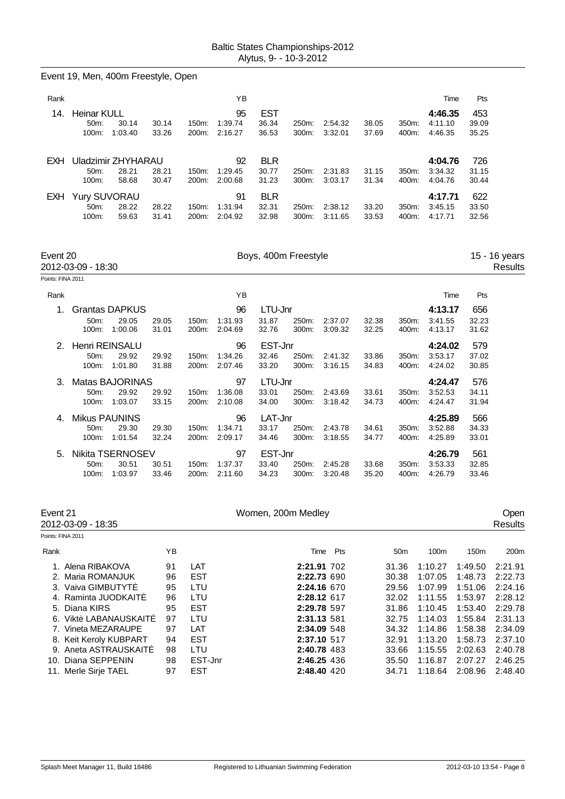|                               | Event 19, Men, 400m Freestyle, Open                                                                                         |                                  |                                                      |                                |                              |                |                                                                                        |                |                                                    |                                                                |                                                                |                                                                |
|-------------------------------|-----------------------------------------------------------------------------------------------------------------------------|----------------------------------|------------------------------------------------------|--------------------------------|------------------------------|----------------|----------------------------------------------------------------------------------------|----------------|----------------------------------------------------|----------------------------------------------------------------|----------------------------------------------------------------|----------------------------------------------------------------|
| Rank                          |                                                                                                                             |                                  |                                                      | ΥB                             |                              |                |                                                                                        |                |                                                    | Time                                                           | Pts                                                            |                                                                |
| 14.                           | <b>Heinar KULL</b><br>50m:<br>30.14<br>1:03.40<br>100m:                                                                     | 30.14<br>33.26                   | 150m:<br>200m:                                       | 95<br>1:39.74<br>2:16.27       | <b>EST</b><br>36.34<br>36.53 | 250m:<br>300m: | 2:54.32<br>3:32.01                                                                     | 38.05<br>37.69 | 350m:<br>400m:                                     | 4:46.35<br>4:11.10<br>4:46.35                                  | 453<br>39.09<br>35.25                                          |                                                                |
| EXH.                          | Uladzimir ZHYHARAU<br>50m:<br>28.21<br>100m:<br>58.68                                                                       | 28.21<br>30.47                   | 150m:<br>200m:                                       | 92<br>1:29.45<br>2:00.68       | <b>BLR</b><br>30.77<br>31.23 | 250m:<br>300m: | 2:31.83<br>3:03.17                                                                     | 31.15<br>31.34 | 350m:<br>400m:                                     | 4:04.76<br>3:34.32<br>4:04.76                                  | 726<br>31.15<br>30.44                                          |                                                                |
| <b>EXH</b>                    | <b>Yury SUVORAU</b><br>50m:<br>28.22<br>100m:<br>59.63                                                                      | 28.22<br>31.41                   | 150m:<br>200m:                                       | 91<br>1:31.94<br>2:04.92       | <b>BLR</b><br>32.31<br>32.98 | 250m:<br>300m: | 2:38.12<br>3:11.65                                                                     | 33.20<br>33.53 | 350m:<br>400m:                                     | 4:17.71<br>3:45.15<br>4:17.71                                  | 622<br>33.50<br>32.56                                          |                                                                |
| Event 20<br>Points: FINA 2011 | 2012-03-09 - 18:30                                                                                                          |                                  |                                                      |                                | Boys, 400m Freestyle         |                |                                                                                        |                |                                                    |                                                                |                                                                | 15 - 16 years<br>Results                                       |
|                               |                                                                                                                             |                                  |                                                      | YB                             |                              |                |                                                                                        |                |                                                    |                                                                |                                                                |                                                                |
| Rank<br>1.                    | <b>Grantas DAPKUS</b>                                                                                                       |                                  |                                                      | 96                             | LTU-Jnr                      |                |                                                                                        |                |                                                    | Time<br>4:13.17                                                | Pts<br>656                                                     |                                                                |
|                               | 50m:<br>29.05<br>100m:<br>1:00.06                                                                                           | 29.05<br>31.01                   | 150m:<br>200m:                                       | 1:31.93<br>2:04.69             | 31.87<br>32.76               | 250m:<br>300m: | 2:37.07<br>3:09.32                                                                     | 32.38<br>32.25 | 350m:<br>400m:                                     | 3:41.55<br>4:13.17                                             | 32.23<br>31.62                                                 |                                                                |
| 2.                            | Henri REINSALU<br>29.92<br>50m:<br>100m:<br>1:01.80                                                                         | 29.92<br>31.88                   | 150m:<br>200m:                                       | 96<br>1:34.26<br>2:07.46       | EST-Jnr<br>32.46<br>33.20    | 250m:<br>300m: | 2:41.32<br>3:16.15                                                                     | 33.86<br>34.83 | 350m:<br>400m:                                     | 4:24.02<br>3:53.17<br>4:24.02                                  | 579<br>37.02<br>30.85                                          |                                                                |
| 3.                            | <b>Matas BAJORINAS</b><br>29.92<br>50m:<br>1:03.07<br>100m:                                                                 | 29.92<br>33.15                   | 150m:<br>200m:                                       | 97<br>1:36.08<br>2:10.08       | LTU-Jnr<br>33.01<br>34.00    | 250m:<br>300m: | 2:43.69<br>3:18.42                                                                     | 33.61<br>34.73 | 350m:<br>400m:                                     | 4:24.47<br>3:52.53<br>4:24.47                                  | 576<br>34.11<br>31.94                                          |                                                                |
| 4.                            | <b>Mikus PAUNINS</b><br>50m:<br>29.30<br>100m:<br>1:01.54                                                                   | 29.30<br>32.24                   | 150m:                                                | 96<br>1:34.71<br>200m: 2:09.17 | LAT-Jnr<br>33.17<br>34.46    | 250m:<br>300m: | 2:43.78<br>3:18.55                                                                     | 34.61<br>34.77 | 350m:<br>400m:                                     | 4:25.89<br>3:52.88<br>4:25.89                                  | 566<br>34.33<br>33.01                                          |                                                                |
| 5.                            | Nikita TSERNOSEV<br>50m:<br>30.51<br>1:03.97<br>100m:                                                                       | 30.51<br>33.46                   | 150m:<br>200m:                                       | 97<br>1:37.37<br>2:11.60       | EST-Jnr<br>33.40<br>34.23    | 250m:<br>300m: | 2:45.28<br>3:20.48                                                                     | 33.68<br>35.20 | 350m:<br>400m:                                     | 4:26.79<br>3:53.33<br>4:26.79                                  | 561<br>32.85<br>33.46                                          |                                                                |
| Event 21                      | 2012-03-09 - 18:35                                                                                                          |                                  |                                                      |                                | Women, 200m Medley           |                |                                                                                        |                |                                                    |                                                                |                                                                | Open<br>Results                                                |
| Points: FINA 2011             |                                                                                                                             |                                  |                                                      |                                |                              |                |                                                                                        |                |                                                    |                                                                |                                                                |                                                                |
| Rank                          |                                                                                                                             | YB                               |                                                      |                                |                              |                | Time<br>Pts                                                                            |                | 50 <sub>m</sub>                                    | 100m                                                           | 150m                                                           | 200m                                                           |
|                               | 1. Alena RIBAKOVA<br>2. Maria ROMANJUK<br>3. Vaiva GIMBUTYT<br>4. Raminta JUODKAIT<br>5. Diana KIRS<br>6. Vikt LABANAUSKAIT | 91<br>96<br>95<br>96<br>95<br>97 | LAT<br><b>EST</b><br>LTU<br>LTU<br><b>EST</b><br>LTU |                                |                              |                | 2:21.91 702<br>2:22.73 690<br>2:24.16 670<br>2:28.12 617<br>2:29.78 597<br>2:31.13 581 |                | 31.36<br>30.38<br>29.56<br>32.02<br>31.86<br>32.75 | 1:10.27<br>1:07.05<br>1:07.99<br>1:11.55<br>1:10.45<br>1:14.03 | 1:49.50<br>1:48.73<br>1:51.06<br>1:53.97<br>1:53.40<br>1:55.84 | 2:21.91<br>2:22.73<br>2:24.16<br>2:28.12<br>2:29.78<br>2:31.13 |
|                               | 7. Vineta MEZARAUPE<br>8. Keit Keroly KUBPART<br>9. Aneta ASTRAUSKAIT<br>10. Diana SEPPENIN<br>11. Merle Sirje TAEL         | 97<br>94<br>98<br>98<br>97       | LAT<br><b>EST</b><br>LTU<br>EST-Jnr<br><b>EST</b>    |                                |                              |                | 2:34.09 548<br>2:37.10 517<br>2:40.78 483<br>2:46.25 436<br>2:48.40 420                |                | 34.32<br>32.91<br>33.66<br>35.50<br>34.71          | 1:14.86<br>1:13.20<br>1:15.55<br>1:16.87<br>1:18.64            | 1:58.38<br>1:58.73<br>2:02.63<br>2:07.27<br>2:08.96            | 2:34.09<br>2:37.10<br>2:40.78<br>2:46.25<br>2:48.40            |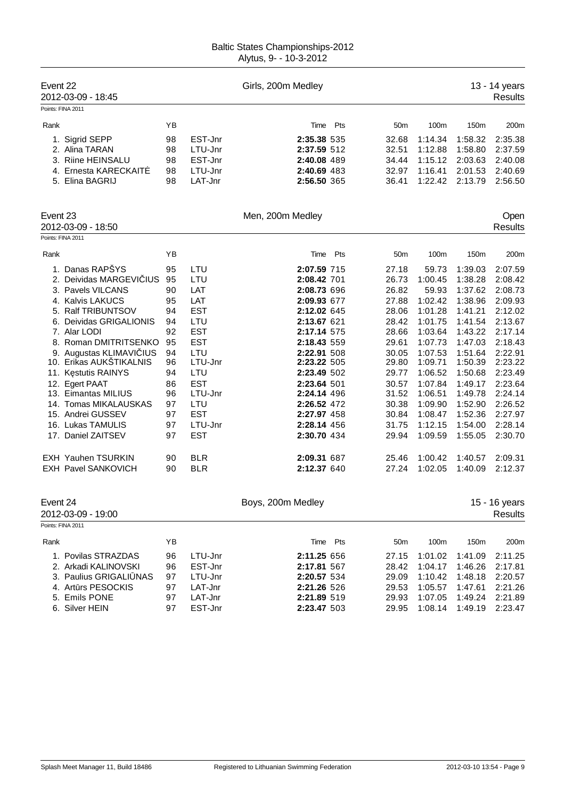| Event 22 | 2012-03-09 - 18:45                                                                                                                                                                                                                                                                                                                                                                                                                                      |                                                                                                                |                                                                                                                                                                                                       | Girls, 200m Medley                                                                                                                                                                                                                                                                        |          |                                                                                                                                                                         |                                                                                                                                                                                                           |                                                                                                                                                                                                               | 13 - 14 years<br><b>Results</b>                                                                                                                                                                               |
|----------|---------------------------------------------------------------------------------------------------------------------------------------------------------------------------------------------------------------------------------------------------------------------------------------------------------------------------------------------------------------------------------------------------------------------------------------------------------|----------------------------------------------------------------------------------------------------------------|-------------------------------------------------------------------------------------------------------------------------------------------------------------------------------------------------------|-------------------------------------------------------------------------------------------------------------------------------------------------------------------------------------------------------------------------------------------------------------------------------------------|----------|-------------------------------------------------------------------------------------------------------------------------------------------------------------------------|-----------------------------------------------------------------------------------------------------------------------------------------------------------------------------------------------------------|---------------------------------------------------------------------------------------------------------------------------------------------------------------------------------------------------------------|---------------------------------------------------------------------------------------------------------------------------------------------------------------------------------------------------------------|
|          | Points: FINA 2011                                                                                                                                                                                                                                                                                                                                                                                                                                       |                                                                                                                |                                                                                                                                                                                                       |                                                                                                                                                                                                                                                                                           |          |                                                                                                                                                                         |                                                                                                                                                                                                           |                                                                                                                                                                                                               |                                                                                                                                                                                                               |
| Rank     |                                                                                                                                                                                                                                                                                                                                                                                                                                                         | ΥB                                                                                                             |                                                                                                                                                                                                       | Time                                                                                                                                                                                                                                                                                      | Pts      | 50 <sub>m</sub>                                                                                                                                                         | 100m                                                                                                                                                                                                      | 150m                                                                                                                                                                                                          | 200m                                                                                                                                                                                                          |
|          | 1. Sigrid SEPP<br>2. Alina TARAN<br>3. Riine HEINSALU<br>4. Ernesta KARECKAIT<br>5. Elina BAGRIJ                                                                                                                                                                                                                                                                                                                                                        | 98<br>98<br>98<br>98<br>98                                                                                     | EST-Jnr<br>LTU-Jnr<br>EST-Jnr<br>LTU-Jnr<br>LAT-Jnr                                                                                                                                                   | 2:35.38 535<br>2:37.59 512<br>2:40.08 489<br>2:40.69 483<br>2:56.50 365                                                                                                                                                                                                                   |          | 32.68<br>32.51<br>34.44<br>32.97<br>36.41                                                                                                                               | 1:14.34<br>1:12.88<br>1:15.12<br>1:16.41<br>1:22.42                                                                                                                                                       | 1:58.32<br>1:58.80<br>2:03.63<br>2:01.53<br>2:13.79                                                                                                                                                           | 2:35.38<br>2:37.59<br>2:40.08<br>2:40.69<br>2:56.50                                                                                                                                                           |
| Event 23 | 2012-03-09 - 18:50                                                                                                                                                                                                                                                                                                                                                                                                                                      |                                                                                                                |                                                                                                                                                                                                       | Men, 200m Medley                                                                                                                                                                                                                                                                          |          |                                                                                                                                                                         |                                                                                                                                                                                                           |                                                                                                                                                                                                               | Open<br><b>Results</b>                                                                                                                                                                                        |
|          | Points: FINA 2011                                                                                                                                                                                                                                                                                                                                                                                                                                       |                                                                                                                |                                                                                                                                                                                                       |                                                                                                                                                                                                                                                                                           |          |                                                                                                                                                                         |                                                                                                                                                                                                           |                                                                                                                                                                                                               |                                                                                                                                                                                                               |
| Rank     |                                                                                                                                                                                                                                                                                                                                                                                                                                                         | ΥB                                                                                                             |                                                                                                                                                                                                       | Time                                                                                                                                                                                                                                                                                      | Pts      | 50 <sub>m</sub>                                                                                                                                                         | 100m                                                                                                                                                                                                      | 150 <sub>m</sub>                                                                                                                                                                                              | 200m                                                                                                                                                                                                          |
|          | 1. Danas RAPŠYS<br>2. Deividas MARGEVI IUS<br>3. Pavels VILCANS<br>4. Kalvis LAKUCS<br>5. Ralf TRIBUNTSOV<br>6. Deividas GRIGALIONIS<br>7. Alar LODI<br>8. Roman DMITRITSENKO<br>9. Augustas KLIMAVI IUS<br>10. Erikas AUKŠTIKALNIS<br>11. K stutis RAINYS<br>12. Egert PAAT<br>13. Eimantas MILIUS<br>14. Tomas MIKALAUSKAS<br>15. Andrei GUSSEV<br>16. Lukas TAMULIS<br>17. Daniel ZAITSEV<br><b>EXH Yauhen TSURKIN</b><br><b>EXH Pavel SANKOVICH</b> | 95<br>95<br>90<br>95<br>94<br>94<br>92<br>95<br>94<br>96<br>94<br>86<br>96<br>97<br>97<br>97<br>97<br>90<br>90 | LTU<br>LTU<br>LAT<br>LAT<br><b>EST</b><br>LTU<br><b>EST</b><br><b>EST</b><br>LTU<br>LTU-Jnr<br>LTU<br><b>EST</b><br>LTU-Jnr<br>LTU<br><b>EST</b><br>LTU-Jnr<br><b>EST</b><br><b>BLR</b><br><b>BLR</b> | 2:07.59 715<br>2:08.42 701<br>2:08.73 696<br>2:09.93 677<br>2:12.02 645<br>2:13.67 621<br>2:17.14 575<br>2:18.43 559<br>2:22.91 508<br>2:23.22 505<br>2:23.49 502<br>2:23.64 501<br>2:24.14 496<br>2:26.52 472<br>2:27.97 458<br>2:28.14 456<br>2:30.70 434<br>2:09.31 687<br>2:12.37 640 |          | 27.18<br>26.73<br>26.82<br>27.88<br>28.06<br>28.42<br>28.66<br>29.61<br>30.05<br>29.80<br>29.77<br>30.57<br>31.52<br>30.38<br>30.84<br>31.75<br>29.94<br>25.46<br>27.24 | 59.73<br>1:00.45<br>59.93<br>1:02.42<br>1:01.28<br>1:01.75<br>1:03.64<br>1:07.73<br>1:07.53<br>1:09.71<br>1:06.52<br>1:07.84<br>1:06.51<br>1:09.90<br>1:08.47<br>1:12.15<br>1:09.59<br>1:00.42<br>1:02.05 | 1:39.03<br>1:38.28<br>1:37.62<br>1:38.96<br>1:41.21<br>1:41.54<br>1:43.22<br>1:47.03<br>1:51.64<br>1:50.39<br>1:50.68<br>1:49.17<br>1:49.78<br>1:52.90<br>1:52.36<br>1:54.00<br>1:55.05<br>1:40.57<br>1:40.09 | 2:07.59<br>2:08.42<br>2:08.73<br>2:09.93<br>2:12.02<br>2:13.67<br>2:17.14<br>2:18.43<br>2:22.91<br>2:23.22<br>2:23.49<br>2:23.64<br>2:24.14<br>2:26.52<br>2:27.97<br>2:28.14<br>2:30.70<br>2:09.31<br>2:12.37 |
| Event 24 | 2012-03-09 - 19:00<br>Points: FINA 2011                                                                                                                                                                                                                                                                                                                                                                                                                 |                                                                                                                |                                                                                                                                                                                                       | Boys, 200m Medley                                                                                                                                                                                                                                                                         |          |                                                                                                                                                                         |                                                                                                                                                                                                           |                                                                                                                                                                                                               | 15 - 16 years<br><b>Results</b>                                                                                                                                                                               |
| Rank     |                                                                                                                                                                                                                                                                                                                                                                                                                                                         | ΥB                                                                                                             |                                                                                                                                                                                                       |                                                                                                                                                                                                                                                                                           | Time Pts | 50m                                                                                                                                                                     | 100m                                                                                                                                                                                                      | 150m                                                                                                                                                                                                          | 200m                                                                                                                                                                                                          |
|          | 1. Povilas STRAZDAS<br>2. Arkadi KALINOVSKI<br>3. Paulius GRIGALI NAS<br>4. Art rs PESOCKIS<br>5. Emils PONE<br>6. Silver HEIN                                                                                                                                                                                                                                                                                                                          | 96<br>96<br>97<br>97<br>97<br>97                                                                               | LTU-Jnr<br>EST-Jnr<br>LTU-Jnr<br>LAT-Jnr<br>LAT-Jnr<br>EST-Jnr                                                                                                                                        | 2:11.25 656<br>2:17.81 567<br>2:20.57 534<br>2:21.26 526<br>2:21.89 519<br>2:23.47 503                                                                                                                                                                                                    |          | 27.15<br>28.42<br>29.09<br>29.53<br>29.93<br>29.95                                                                                                                      | 1:01.02<br>1:04.17<br>1:10.42<br>1:05.57<br>1:07.05<br>1:08.14                                                                                                                                            | 1:41.09<br>1:46.26<br>1:48.18<br>1:47.61<br>1:49.24<br>1:49.19                                                                                                                                                | 2:11.25<br>2:17.81<br>2:20.57<br>2:21.26<br>2:21.89<br>2:23.47                                                                                                                                                |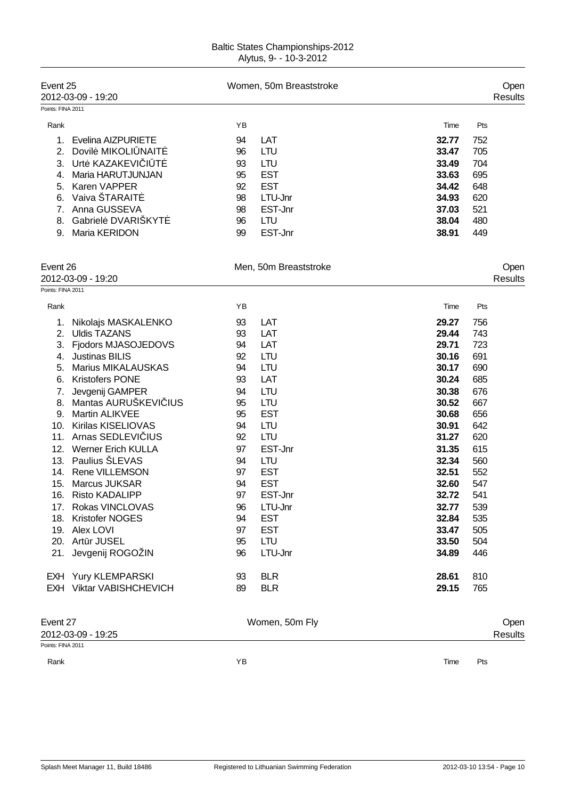| <b>Baltic States Championships-2012</b> |  |
|-----------------------------------------|--|
| Alytus, 9- - 10-3-2012                  |  |

| Event 25          | 2012-03-09 - 19:20        |    | Women, 50m Breaststroke |       |     | Open<br><b>Results</b> |
|-------------------|---------------------------|----|-------------------------|-------|-----|------------------------|
| Points: FINA 2011 |                           |    |                         |       |     |                        |
| Rank              |                           | ΥB |                         | Time  | Pts |                        |
| 1.                | Evelina AIZPURIETE        | 94 | LAT                     | 32.77 | 752 |                        |
| 2.                | Dovil MIKOLI NAIT         | 96 | <b>LTU</b>              | 33.47 | 705 |                        |
| 3.                | Urt KAZAKEVI I T          | 93 | <b>LTU</b>              | 33.49 | 704 |                        |
| 4.                | Maria HARUTJUNJAN         | 95 | <b>EST</b>              | 33.63 | 695 |                        |
| 5.                | Karen VAPPER              | 92 | <b>EST</b>              | 34.42 | 648 |                        |
| 6.                | Vaiva ŠTARAIT             | 98 | LTU-Jnr                 | 34.93 | 620 |                        |
| 7.                | Anna GUSSEVA              | 98 | EST-Jnr                 | 37.03 | 521 |                        |
| 8.                | Gabriel DVARIŠKYT         | 96 | <b>LTU</b>              | 38.04 | 480 |                        |
| 9.                | Maria KERIDON             | 99 | EST-Jnr                 | 38.91 | 449 |                        |
|                   |                           |    |                         |       |     |                        |
| Event 26          |                           |    | Men, 50m Breaststroke   |       |     | Open                   |
|                   | 2012-03-09 - 19:20        |    |                         |       |     | <b>Results</b>         |
| Points: FINA 2011 |                           |    |                         |       |     |                        |
| Rank              |                           | ΥB |                         | Time  | Pts |                        |
| 1.                | Nikolajs MASKALENKO       | 93 | LAT                     | 29.27 | 756 |                        |
| 2.                | <b>Uldis TAZANS</b>       | 93 | LAT                     | 29.44 | 743 |                        |
| 3.                | Fjodors MJASOJEDOVS       | 94 | LAT                     | 29.71 | 723 |                        |
| 4.                | <b>Justinas BILIS</b>     | 92 | <b>LTU</b>              | 30.16 | 691 |                        |
| 5.                | <b>Marius MIKALAUSKAS</b> | 94 | <b>LTU</b>              | 30.17 | 690 |                        |
| 6.                | <b>Kristofers PONE</b>    | 93 | LAT                     | 30.24 | 685 |                        |
| 7.                | Jevgenij GAMPER           | 94 | <b>LTU</b>              | 30.38 | 676 |                        |
| 8.                | Mantas AURUŠKEVI IUS      | 95 | <b>LTU</b>              | 30.52 | 667 |                        |
| 9.                | <b>Martin ALIKVEE</b>     | 95 | <b>EST</b>              | 30.68 | 656 |                        |
| 10.               | Kirilas KISELIOVAS        | 94 | <b>LTU</b>              | 30.91 | 642 |                        |
| 11.               | Arnas SEDLEVI IUS         | 92 | <b>LTU</b>              | 31.27 | 620 |                        |
| 12.               | <b>Werner Erich KULLA</b> | 97 | EST-Jnr                 | 31.35 | 615 |                        |
| 13.               | Paulius ŠLEVAS            | 94 | <b>LTU</b>              | 32.34 | 560 |                        |
| 14.               | <b>Rene VILLEMSON</b>     | 97 | <b>EST</b>              | 32.51 | 552 |                        |
| 15.               | <b>Marcus JUKSAR</b>      | 94 | <b>EST</b>              | 32.60 | 547 |                        |
| 16.               | <b>Risto KADALIPP</b>     | 97 | EST-Jnr                 | 32.72 | 541 |                        |
| 17.               | Rokas VINCLOVAS           | 96 | LTU-Jnr                 | 32.77 | 539 |                        |
|                   | 18. Kristofer NOGES       | 94 | <b>EST</b>              | 32.84 | 535 |                        |
|                   | 19. Alex LOVI             | 97 | <b>EST</b>              | 33.47 | 505 |                        |
|                   | 20. Art r JUSEL           | 95 | <b>LTU</b>              | 33.50 | 504 |                        |
| 21.               | Jevgenij ROGOŽIN          | 96 | LTU-Jnr                 | 34.89 | 446 |                        |
|                   | EXH Yury KLEMPARSKI       | 93 | <b>BLR</b>              | 28.61 | 810 |                        |
|                   | EXH Viktar VABISHCHEVICH  | 89 | <b>BLR</b>              | 29.15 | 765 |                        |
| Event 27          |                           |    | Women, 50m Fly          |       |     | Open                   |
|                   | 2012-03-09 - 19:25        |    |                         |       |     | <b>Results</b>         |
| Points: FINA 2011 |                           |    |                         |       |     |                        |

Rank **Rank Time Pts Proposed and Proposed Area** Time Pts and Proposed and Proposed and Proposed and Proposed and Proposed and Proposed and Proposed and Proposed and Proposed and Proposed and Proposed and Proposed and Pro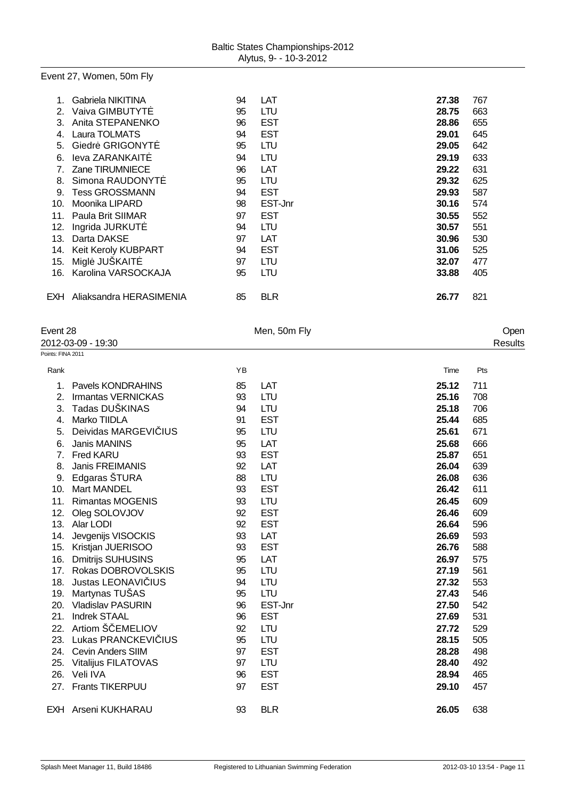# Event 27, Women, 50m Fly

|     | Gabriela NIKITINA       | 94 | LAT        | 27.38 | 767 |
|-----|-------------------------|----|------------|-------|-----|
| 2.  | Vaiva GIMBUTYT          | 95 | LTU        | 28.75 | 663 |
| 3.  | Anita STEPANENKO        | 96 | <b>EST</b> | 28.86 | 655 |
| 4.  | Laura TOLMATS           | 94 | <b>EST</b> | 29.01 | 645 |
| 5.  | Giedr GRIGONYT          | 95 | LTU        | 29.05 | 642 |
| 6.  | leva ZARANKAIT          | 94 | LTU        | 29.19 | 633 |
|     | Zane TIRUMNIECE         | 96 | LAT        | 29.22 | 631 |
| 8.  | Simona RAUDONYT         | 95 | LTU        | 29.32 | 625 |
| 9.  | <b>Tess GROSSMANN</b>   | 94 | <b>EST</b> | 29.93 | 587 |
| 10. | Moonika LIPARD          | 98 | EST-Jnr    | 30.16 | 574 |
| 11. | Paula Brit SIIMAR       | 97 | <b>EST</b> | 30.55 | 552 |
| 12. | Ingrida JURKUT          | 94 | LTU        | 30.57 | 551 |
| 13. | Darta DAKSE             | 97 | LAT        | 30.96 | 530 |
| 14. | Keit Keroly KUBPART     | 94 | <b>EST</b> | 31.06 | 525 |
| 15. | Migl JUSKAIT            | 97 | LTU        | 32.07 | 477 |
| 16. | Karolina VARSOCKAJA     | 95 | LTU        | 33.88 | 405 |
|     |                         |    |            |       |     |
| EXH | Aliaksandra HERASIMENIA | 85 | <b>BLR</b> | 26.77 | 821 |
|     |                         |    |            |       |     |

| Event 28 |  |
|----------|--|

| ᄂ៴ᇦ៲៲៶ ៸៴          |  |
|--------------------|--|
| 2012-03-09 - 19:30 |  |

| Points: FINA 2011 |  |
|-------------------|--|

| vent 28         |                            |    | Men, 50m Fly |       | Open           |  |
|-----------------|----------------------------|----|--------------|-------|----------------|--|
|                 | 012-03-09 - 19:30          |    |              |       | <b>Results</b> |  |
| ints: FINA 2011 |                            |    |              |       |                |  |
| Rank            |                            | YB |              | Time  | Pts            |  |
| 1.              | Pavels KONDRAHINS          | 85 | LAT          | 25.12 | 711            |  |
| 2.              | Irmantas VERNICKAS         | 93 | LTU          | 25.16 | 708            |  |
| 3.              | Tadas DUŠKINAS             | 94 | <b>LTU</b>   | 25.18 | 706            |  |
| 4.              | Marko TIIDLA               | 91 | <b>EST</b>   | 25.44 | 685            |  |
| 5.              | Deividas MARGEVI IUS       | 95 | LTU          | 25.61 | 671            |  |
| 6.              | <b>Janis MANINS</b>        | 95 | LAT          | 25.68 | 666            |  |
| 7.              | Fred KARU                  | 93 | <b>EST</b>   | 25.87 | 651            |  |
| 8.              | Janis FREIMANIS            | 92 | LAT          | 26.04 | 639            |  |
| 9.              | Edgaras ŠTURA              | 88 | <b>LTU</b>   | 26.08 | 636            |  |
| 10.             | <b>Mart MANDEL</b>         | 93 | <b>EST</b>   | 26.42 | 611            |  |
| 11.             | <b>Rimantas MOGENIS</b>    | 93 | LTU          | 26.45 | 609            |  |
| 12.             | Oleg SOLOVJOV              | 92 | <b>EST</b>   | 26.46 | 609            |  |
| 13.             | Alar LODI                  | 92 | <b>EST</b>   | 26.64 | 596            |  |
| 14.             | Jevgenijs VISOCKIS         | 93 | LAT          | 26.69 | 593            |  |
| 15.             | Kristjan JUERISOO          | 93 | <b>EST</b>   | 26.76 | 588            |  |
| 16.             | <b>Dmitrijs SUHUSINS</b>   | 95 | LAT          | 26.97 | 575            |  |
| 17.             | Rokas DOBROVOLSKIS         | 95 | LTU          | 27.19 | 561            |  |
| 18.             | Justas LEONAVI IUS         | 94 | <b>LTU</b>   | 27.32 | 553            |  |
| 19.             | Martynas TUŠAS             | 95 | <b>LTU</b>   | 27.43 | 546            |  |
| 20.             | <b>Vladislav PASURIN</b>   | 96 | EST-Jnr      | 27.50 | 542            |  |
| 21.             | <b>Indrek STAAL</b>        | 96 | <b>EST</b>   | 27.69 | 531            |  |
| 22.             | Artiom Š EMELIOV           | 92 | LTU          | 27.72 | 529            |  |
| 23.             | Lukas PRANCKEVI IUS        | 95 | <b>LTU</b>   | 28.15 | 505            |  |
| 24.             | <b>Cevin Anders SIIM</b>   | 97 | <b>EST</b>   | 28.28 | 498            |  |
| 25.             | <b>Vitalijus FILATOVAS</b> | 97 | <b>LTU</b>   | 28.40 | 492            |  |
| 26.             | Veli IVA                   | 96 | <b>EST</b>   | 28.94 | 465            |  |
| 27.             | Frants TIKERPUU            | 97 | <b>EST</b>   | 29.10 | 457            |  |
|                 | EXH Arseni KUKHARAU        | 93 | <b>BLR</b>   | 26.05 | 638            |  |
|                 |                            |    |              |       |                |  |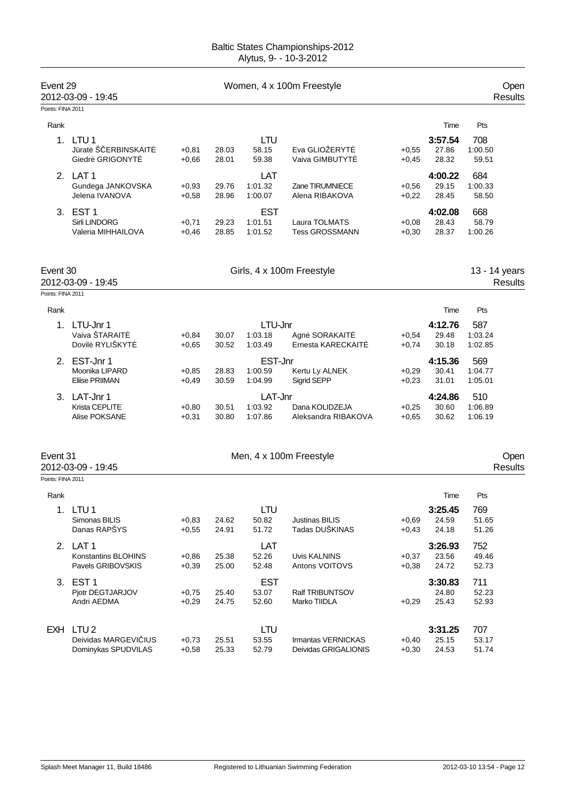| Event 29          | 2012-03-09 - 19:45                                       |                    |                |                                  | Women, 4 x 100m Freestyle                  |                    |                                   |                              | Open<br><b>Results</b> |
|-------------------|----------------------------------------------------------|--------------------|----------------|----------------------------------|--------------------------------------------|--------------------|-----------------------------------|------------------------------|------------------------|
| Points: FINA 2011 |                                                          |                    |                |                                  |                                            |                    |                                   |                              |                        |
| Rank              |                                                          |                    |                |                                  |                                            |                    | Time                              | Pts                          |                        |
| 1.                | LTU <sub>1</sub><br>J rat Š ERBINSKAIT<br>Giedr GRIGONYT | $+0,81$<br>$+0,66$ | 28.03<br>28.01 | LTU<br>58.15<br>59.38            | Eva GLIOŽERYT<br>Vaiva GIMBUTYT            | $+0,55$<br>$+0,45$ | 3:57.54<br>27.86<br>28.32         | 708<br>1:00.50<br>59.51      |                        |
|                   | 2. LAT 1<br>Gundega JANKOVSKA<br>Jelena IVANOVA          | $+0,93$<br>$+0,58$ | 29.76<br>28.96 | LAT<br>1:01.32<br>1:00.07        | Zane TIRUMNIECE<br>Alena RIBAKOVA          | $+0,56$<br>$+0,22$ | 4:00.22<br>29.15<br>28.45         | 684<br>1:00.33<br>58.50      |                        |
| 3.                | EST <sub>1</sub><br>Sirli LINDORG<br>Valeria MIHHAILOVA  | $+0,71$<br>$+0,46$ | 29.23<br>28.85 | <b>EST</b><br>1:01.51<br>1:01.52 | Laura TOLMATS<br><b>Tess GROSSMANN</b>     | $+0,08$<br>$+0,30$ | 4:02.08<br>28.43<br>28.37         | 668<br>58.79<br>1:00.26      |                        |
| Event 30          | 2012-03-09 - 19:45                                       |                    |                |                                  | Girls, 4 x 100m Freestyle                  |                    |                                   | 13 - 14 years                | <b>Results</b>         |
| Points: FINA 2011 |                                                          |                    |                |                                  |                                            |                    |                                   |                              |                        |
| Rank              |                                                          |                    |                |                                  |                                            |                    | Time                              | Pts                          |                        |
| 1.                | LTU-Jnr 1<br>Vaiva ŠTARAIT<br>Dovil RYLIŠKYT             | $+0,84$<br>$+0,65$ | 30.07<br>30.52 | LTU-Jnr<br>1:03.18<br>1:03.49    | Agn SORAKAIT<br>Ernesta KARECKAIT          | $+0,54$<br>$+0,74$ | 4:12.76<br>29.48<br>30.18         | 587<br>1:03.24<br>1:02.85    |                        |
|                   | 2. EST-Jnr 1<br>Moonika LIPARD<br><b>Eliise PRIIMAN</b>  | $+0,85$<br>$+0,49$ | 28.83<br>30.59 | EST-Jnr<br>1:00.59<br>1:04.99    | Kertu Ly ALNEK<br>Sigrid SEPP              | $+0,29$<br>$+0,23$ | 4:15.36<br>30.41<br>31.01         | 569<br>1:04.77<br>1:05.01    |                        |
|                   | 3. LAT-Jnr 1<br>Krista CEPLITE<br>Alise POKSANE          | $+0,80$<br>$+0,31$ | 30.51<br>30.80 | LAT-Jnr<br>1:03.92<br>1:07.86    | Dana KOLIDZEJA<br>Aleksandra RIBAKOVA      | $+0,25$<br>$+0,65$ | 4:24.86<br>30.60<br>30.62         | 510<br>1:06.89<br>1:06.19    |                        |
| Event 31          | 2012-03-09 - 19:45                                       |                    |                |                                  | Men, 4 x 100m Freestyle                    |                    |                                   |                              | Open<br>Results        |
| Points: FINA 2011 |                                                          |                    |                |                                  |                                            |                    |                                   |                              |                        |
| Rank              | 1. LTU1<br>Simonas BILIS<br>Danas RAPŠYS                 | $+0,83$<br>$+0,55$ | 24.62<br>24.91 | LTU<br>50.82<br>51.72            | <b>Justinas BILIS</b><br>Tadas DUŠKINAS    | $+0,69$<br>$+0,43$ | Time<br>3:25.45<br>24.59<br>24.18 | Pts<br>769<br>51.65<br>51.26 |                        |
|                   | 2. LAT 1<br>Konstantins BLOHINS<br>Pavels GRIBOVSKIS     | $+0,86$<br>$+0,39$ | 25.38<br>25.00 | LAT<br>52.26<br>52.48            | Uvis KALNINS<br>Antons VOITOVS             | $+0,37$<br>$+0,38$ | 3:26.93<br>23.56<br>24.72         | 752<br>49.46<br>52.73        |                        |
|                   | 3. EST 1<br>Pjotr DEGTJARJOV<br>Andri AEDMA              | $+0,75$<br>$+0,29$ | 25.40<br>24.75 | <b>EST</b><br>53.07<br>52.60     | Ralf TRIBUNTSOV<br>Marko TIIDLA            | $+0,29$            | 3:30.83<br>24.80<br>25.43         | 711<br>52.23<br>52.93        |                        |
|                   | EXH LTU2<br>Deividas MARGEVI IUS<br>Dominykas SPUDVILAS  | $+0,73$<br>$+0,58$ | 25.51<br>25.33 | LTU<br>53.55<br>52.79            | Irmantas VERNICKAS<br>Deividas GRIGALIONIS | $+0,40$<br>$+0,30$ | 3:31.25<br>25.15<br>24.53         | 707<br>53.17<br>51.74        |                        |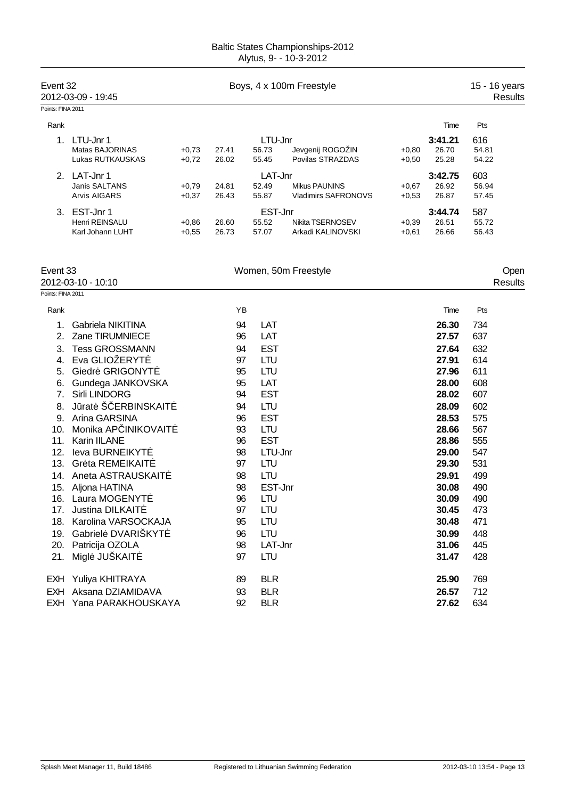| Event 32<br>2012-03-09 - 19:45 |                  | Boys, 4 x 100m Freestyle |         |         |                            |         | 15 - 16 years<br><b>Results</b> |       |
|--------------------------------|------------------|--------------------------|---------|---------|----------------------------|---------|---------------------------------|-------|
| Points: FINA 2011              |                  |                          |         |         |                            |         |                                 |       |
| Rank                           |                  |                          |         |         |                            |         | Time                            | Pts   |
|                                | LTU-Jnr 1        |                          |         | LTU-Jnr |                            |         | 3:41.21                         | 616   |
|                                | Matas BAJORINAS  | $+0.73$                  | 27.41   | 56.73   | Jevgenij ROGOŽIN           | $+0.80$ | 26.70                           | 54.81 |
|                                | Lukas RUTKAUSKAS | $+0,72$                  | 26.02   | 55.45   | Povilas STRAZDAS           | $+0.50$ | 25.28                           | 54.22 |
| $\mathcal{P}$                  | LAT-Jnr 1        |                          | LAT-Jnr |         |                            |         | 3:42.75                         | 603   |
|                                | Janis SALTANS    | $+0.79$                  | 24.81   | 52.49   | <b>Mikus PAUNINS</b>       | $+0.67$ | 26.92                           | 56.94 |
|                                | Arvis AIGARS     | $+0.37$                  | 26.43   | 55.87   | <b>Vladimirs SAFRONOVS</b> | $+0.53$ | 26.87                           | 57.45 |
| 3.                             | EST-Jnr 1        |                          |         | EST-Jnr |                            |         | 3:44.74                         | 587   |
|                                | Henri REINSALU   | $+0.86$                  | 26.60   | 55.52   | Nikita TSERNOSEV           | $+0,39$ | 26.51                           | 55.72 |
|                                | Karl Johann LUHT | $+0.55$                  | 26.73   | 57.07   | Arkadi KALINOVSKI          | $+0,61$ | 26.66                           | 56.43 |
|                                |                  |                          |         |         |                            |         |                                 |       |

| Event 33<br>2012-03-10 - 10:10 |                        |    | Women, 50m Freestyle |       | Open<br>Results |
|--------------------------------|------------------------|----|----------------------|-------|-----------------|
| Points: FINA 2011              |                        |    |                      |       |                 |
| Rank                           |                        | YB |                      | Time  | Pts             |
| 1.                             | Gabriela NIKITINA      | 94 | LAT                  | 26.30 | 734             |
| 2.                             | Zane TIRUMNIECE        | 96 | LAT                  | 27.57 | 637             |
| 3.                             | <b>Tess GROSSMANN</b>  | 94 | <b>EST</b>           | 27.64 | 632             |
| 4.                             | Eva GLIOŽERYT          | 97 | LTU                  | 27.91 | 614             |
| 5.                             | Giedr GRIGONYT         | 95 | LTU                  | 27.96 | 611             |
| 6.                             | Gundega JANKOVSKA      | 95 | LAT                  | 28.00 | 608             |
| 7.                             | <b>Sirli LINDORG</b>   | 94 | <b>EST</b>           | 28.02 | 607             |
| 8.                             | J rat Š ERBINSKAIT     | 94 | LTU                  | 28.09 | 602             |
| 9.                             | Arina GARSINA          | 96 | <b>EST</b>           | 28.53 | 575             |
| 10.                            | Monika AP INIKOVAIT    | 93 | LTU                  | 28.66 | 567             |
| 11.                            | Karin IILANE           | 96 | <b>EST</b>           | 28.86 | 555             |
| 12.                            | leva BURNEIKYT         | 98 | LTU-Jnr              | 29.00 | 547             |
| 13.                            | Gr ta REMEIKAIT        | 97 | <b>LTU</b>           | 29.30 | 531             |
| 14.                            | Aneta ASTRAUSKAIT      | 98 | LTU                  | 29.91 | 499             |
| 15.                            | Aljona HATINA          | 98 | EST-Jnr              | 30.08 | 490             |
| 16.                            | Laura MOGENYT          | 96 | LTU                  | 30.09 | 490             |
| 17.                            | <b>Justina DILKAIT</b> | 97 | LTU                  | 30.45 | 473             |
| 18.                            | Karolina VARSOCKAJA    | 95 | LTU                  | 30.48 | 471             |
| 19.                            | Gabriel DVARIŠKYT      | 96 | LTU                  | 30.99 | 448             |
| 20.                            | Patricija OZOLA        | 98 | LAT-Jnr              | 31.06 | 445             |
| 21.                            | Migl JUŠKAIT           | 97 | LTU                  | 31.47 | 428             |
|                                | EXH Yuliya KHITRAYA    | 89 | <b>BLR</b>           | 25.90 | 769             |
| <b>EXH</b>                     | Aksana DZIAMIDAVA      | 93 | <b>BLR</b>           | 26.57 | 712             |
|                                | EXH Yana PARAKHOUSKAYA | 92 | <b>BLR</b>           | 27.62 | 634             |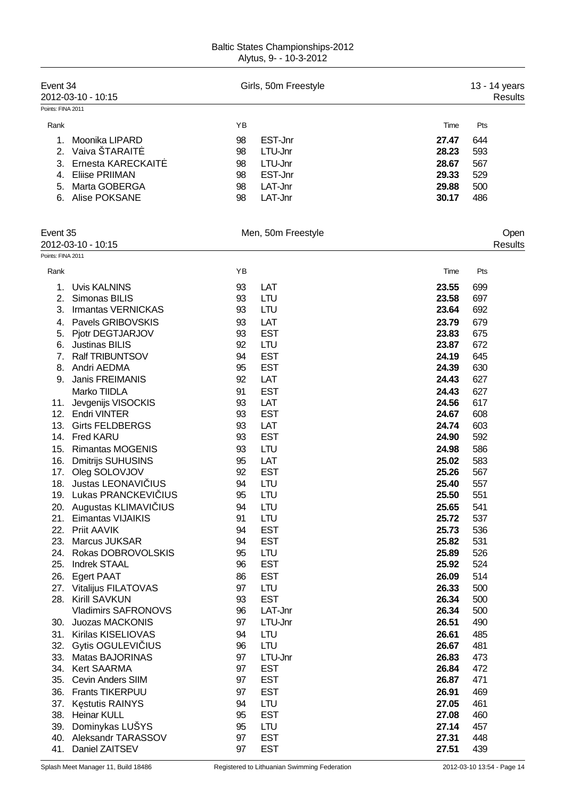| Event 34<br>Points: FINA 2011 | 2012-03-10 - 10:15         |    | Girls, 50m Freestyle |       |     | 13 - 14 years<br>Results |
|-------------------------------|----------------------------|----|----------------------|-------|-----|--------------------------|
| Rank                          |                            | YB |                      | Time  | Pts |                          |
|                               |                            |    |                      |       |     |                          |
| 1.                            | Moonika LIPARD             | 98 | EST-Jnr              | 27.47 | 644 |                          |
| 2.                            | Vaiva ŠTARAIT              | 98 | LTU-Jnr              | 28.23 | 593 |                          |
| 3.                            | Ernesta KARECKAIT          | 98 | LTU-Jnr              | 28.67 | 567 |                          |
| 4.                            | <b>Eliise PRIIMAN</b>      | 98 | EST-Jnr              | 29.33 | 529 |                          |
| 5.                            | Marta GOBERGA              | 98 | LAT-Jnr              | 29.88 | 500 |                          |
| 6.                            | Alise POKSANE              | 98 | LAT-Jnr              | 30.17 | 486 |                          |
| Event 35                      |                            |    | Men, 50m Freestyle   |       |     | Open                     |
|                               | 2012-03-10 - 10:15         |    |                      |       |     | <b>Results</b>           |
| Points: FINA 2011             |                            |    |                      |       |     |                          |
| Rank                          |                            | YB |                      | Time  | Pts |                          |
| 1.                            | <b>Uvis KALNINS</b>        | 93 | LAT                  | 23.55 | 699 |                          |
| 2.                            | Simonas BILIS              | 93 | <b>LTU</b>           | 23.58 | 697 |                          |
| 3.                            | Irmantas VERNICKAS         | 93 | <b>LTU</b>           | 23.64 | 692 |                          |
| 4.                            | Pavels GRIBOVSKIS          | 93 | LAT                  | 23.79 | 679 |                          |
|                               | 5. Pjotr DEGTJARJOV        | 93 | <b>EST</b>           | 23.83 | 675 |                          |
| 6.                            | <b>Justinas BILIS</b>      | 92 | <b>LTU</b>           | 23.87 | 672 |                          |
| 7.                            | <b>Ralf TRIBUNTSOV</b>     | 94 | <b>EST</b>           | 24.19 | 645 |                          |
| 8.                            | Andri AEDMA                | 95 | <b>EST</b>           | 24.39 | 630 |                          |
| 9.                            | <b>Janis FREIMANIS</b>     | 92 | LAT                  | 24.43 | 627 |                          |
|                               | Marko TIIDLA               | 91 | <b>EST</b>           | 24.43 | 627 |                          |
| 11.                           | Jevgenijs VISOCKIS         | 93 | LAT                  | 24.56 | 617 |                          |
| 12.                           | <b>Endri VINTER</b>        | 93 | <b>EST</b>           | 24.67 | 608 |                          |
| 13.                           | <b>Girts FELDBERGS</b>     | 93 | LAT                  | 24.74 | 603 |                          |
| 14.                           | Fred KARU                  | 93 | <b>EST</b>           | 24.90 | 592 |                          |
| 15.                           | <b>Rimantas MOGENIS</b>    | 93 | <b>LTU</b>           | 24.98 | 586 |                          |
| 16.                           | <b>Dmitrijs SUHUSINS</b>   | 95 | LAT                  | 25.02 | 583 |                          |
| 17.                           | Oleg SOLOVJOV              | 92 | <b>EST</b>           | 25.26 | 567 |                          |
| 18.                           | Justas LEONAVI IUS         | 94 | <b>LTU</b>           | 25.40 | 557 |                          |
|                               | 19. Lukas PRANCKEVI IUS    | 95 | <b>LTU</b>           | 25.50 | 551 |                          |
|                               | 20. Augustas KLIMAVI IUS   | 94 | LTU                  | 25.65 | 541 |                          |
| 21.                           | <b>Eimantas VIJAIKIS</b>   | 91 | <b>LTU</b>           | 25.72 | 537 |                          |
| 22.                           | Priit AAVIK                | 94 | <b>EST</b>           | 25.73 | 536 |                          |
| 23.                           | <b>Marcus JUKSAR</b>       | 94 | <b>EST</b>           | 25.82 | 531 |                          |
| 24.                           | Rokas DOBROVOLSKIS         | 95 | <b>LTU</b>           | 25.89 | 526 |                          |
| 25.                           | <b>Indrek STAAL</b>        | 96 | <b>EST</b>           | 25.92 | 524 |                          |
| 26.                           | <b>Egert PAAT</b>          | 86 | <b>EST</b>           | 26.09 | 514 |                          |
|                               | 27. Vitalijus FILATOVAS    | 97 | <b>LTU</b>           | 26.33 | 500 |                          |
|                               | 28. Kirill SAVKUN          | 93 | <b>EST</b>           | 26.34 | 500 |                          |
|                               | <b>Vladimirs SAFRONOVS</b> | 96 | LAT-Jnr              | 26.34 | 500 |                          |
|                               | 30. Juozas MACKONIS        | 97 | LTU-Jnr              | 26.51 | 490 |                          |
|                               | 31. Kirilas KISELIOVAS     | 94 | <b>LTU</b>           | 26.61 | 485 |                          |
|                               | 32. Gytis OGULEVI IUS      | 96 | <b>LTU</b>           | 26.67 | 481 |                          |
|                               | 33. Matas BAJORINAS        | 97 | LTU-Jnr              | 26.83 | 473 |                          |
|                               | 34. Kert SAARMA            | 97 | <b>EST</b>           | 26.84 | 472 |                          |
|                               | 35. Cevin Anders SIIM      | 97 | <b>EST</b>           | 26.87 | 471 |                          |
|                               | 36. Frants TIKERPUU        | 97 | <b>EST</b>           | 26.91 | 469 |                          |
|                               | 37. K stutis RAINYS        | 94 | <b>LTU</b>           | 27.05 | 461 |                          |
| 38.                           | <b>Heinar KULL</b>         | 95 | <b>EST</b>           | 27.08 | 460 |                          |
|                               | 39. Dominykas LUŠYS        | 95 | <b>LTU</b>           | 27.14 | 457 |                          |
| 40.                           | Aleksandr TARASSOV         | 97 | <b>EST</b>           | 27.31 | 448 |                          |
| 41.                           | Daniel ZAITSEV             | 97 | <b>EST</b>           | 27.51 | 439 |                          |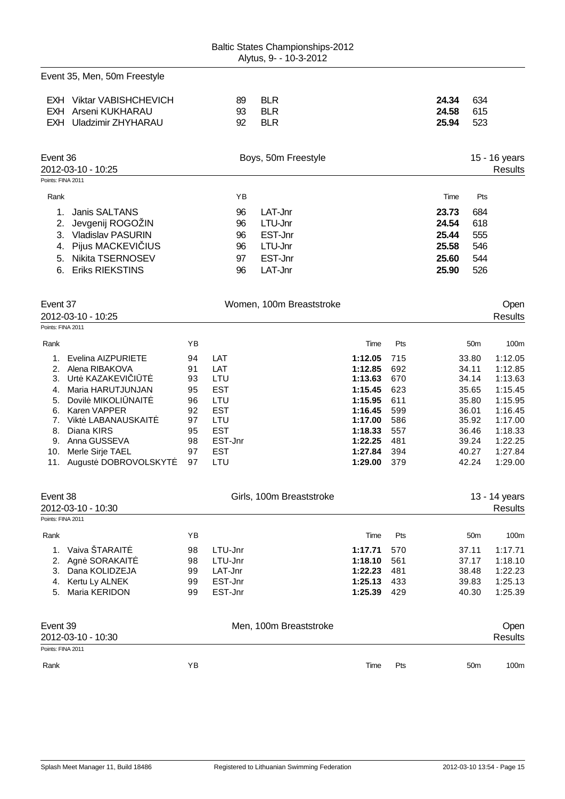Event 35, Men, 50m Freestyle

| EXH Viktar VABISHCHEVICH | 89 | <b>BLR</b> | 24.34 | -634  |
|--------------------------|----|------------|-------|-------|
| EXH Arseni KUKHARAU      | 93 | -BLR       | 24.58 | - 615 |
| EXH Uladzimir ZHYHARAU   | 92 | BLR        | 25.94 | - 523 |

| Event 36<br>2012-03-10 - 10:25 | Boys, 50m Freestyle | 15 - 16 years<br><b>Results</b> |
|--------------------------------|---------------------|---------------------------------|
| Points: FINA 2011              |                     |                                 |
| Rank                           | ΥB                  | Pts<br>Time                     |
| Janis SALTANS                  | LAT-Jnr<br>96       | 684<br>23.73                    |
| Jevgenij ROGOŽIN<br>2.         | LTU-Jnr<br>96       | 618<br>24.54                    |
| <b>Vladislav PASURIN</b><br>3. | EST-Jnr<br>96       | 25.44<br>555                    |
| 4. Pijus MACKEVI IUS           | LTU-Jnr<br>96       | 25.58<br>546                    |
| 5. Nikita TSERNOSEV            | EST-Jnr<br>97       | 544<br>25.60                    |
| <b>Eriks RIEKSTINS</b><br>6.   | LAT-Jnr<br>96       | 25.90<br>526                    |

| Event 37          |                     |    | Women, 100m Breaststroke |         |     |                 | Open    |
|-------------------|---------------------|----|--------------------------|---------|-----|-----------------|---------|
|                   | 2012-03-10 - 10:25  |    |                          |         |     |                 | Results |
| Points: FINA 2011 |                     |    |                          |         |     |                 |         |
| Rank              |                     | ΥB |                          | Time    | Pts | 50 <sub>m</sub> | 100m    |
|                   | Evelina AIZPURIETE  | 94 | LAT                      | 1:12.05 | 715 | 33.80           | 1:12.05 |
| 2.                | Alena RIBAKOVA      | 91 | LAT                      | 1:12.85 | 692 | 34.11           | 1:12.85 |
| 3.                | Urt KAZAKEVI I T    | 93 | LTU                      | 1:13.63 | 670 | 34.14           | 1:13.63 |
| 4.                | Maria HARUTJUNJAN   | 95 | <b>EST</b>               | 1:15.45 | 623 | 35.65           | 1:15.45 |
| 5.                | Dovil MIKOLI NAIT   | 96 | LTU                      | 1:15.95 | 611 | 35.80           | 1:15.95 |
| 6.                | Karen VAPPER        | 92 | <b>EST</b>               | 1:16.45 | 599 | 36.01           | 1:16.45 |
|                   | Vikt LABANAUSKAIT   | 97 | LTU                      | 1:17.00 | 586 | 35.92           | 1:17.00 |
| 8.                | Diana KIRS          | 95 | <b>EST</b>               | 1:18.33 | 557 | 36.46           | 1:18.33 |
| 9.                | Anna GUSSEVA        | 98 | EST-Jnr                  | 1:22.25 | 481 | 39.24           | 1:22.25 |
| 10.               | Merle Sirje TAEL    | 97 | <b>EST</b>               | 1:27.84 | 394 | 40.27           | 1:27.84 |
| 11.               | August DOBROVOLSKYT | 97 | LTU                      | 1:29.00 | 379 | 42.24           | 1:29.00 |

|      | Event 38<br>2012-03-10 - 10:30<br>Points: FINA 2011 |    | Girls, 100m Breaststroke |         |            | 13 - 14 years<br>Results |         |
|------|-----------------------------------------------------|----|--------------------------|---------|------------|--------------------------|---------|
|      |                                                     |    |                          |         |            |                          |         |
| Rank |                                                     | YΒ |                          | Time    | <b>Pts</b> | 50 <sub>m</sub>          | 100m    |
|      | Vaiva ŠTARAIT                                       | 98 | LTU-Jnr                  | 1:17.71 | 570        | 37.11                    | 1:17.71 |
|      | Agn SORAKAIT                                        | 98 | LTU-Jnr                  | 1:18.10 | 561        | 37.17                    | 1:18.10 |
| 3.   | Dana KOLIDZEJA                                      | 99 | LAT-Jnr                  | 1:22.23 | 481        | 38.48                    | 1:22.23 |
| 4.   | Kertu Ly ALNEK                                      | 99 | EST-Jnr                  | 1:25.13 | 433        | 39.83                    | 1:25.13 |
| 5.   | Maria KERIDON                                       | 99 | EST-Jnr                  | 1:25.39 | 429        | 40.30                    | 1:25.39 |
|      |                                                     |    |                          |         |            |                          |         |
|      |                                                     |    |                          |         |            |                          |         |

| Event 39<br>2012-03-10 - 10:30 | Men, 100m Breaststroke | Open<br>Results |      |     |                         |
|--------------------------------|------------------------|-----------------|------|-----|-------------------------|
| Points: FINA 2011              |                        |                 |      |     |                         |
| Rank                           | YΒ                     |                 | Time | Pts | 100m<br>50 <sub>m</sub> |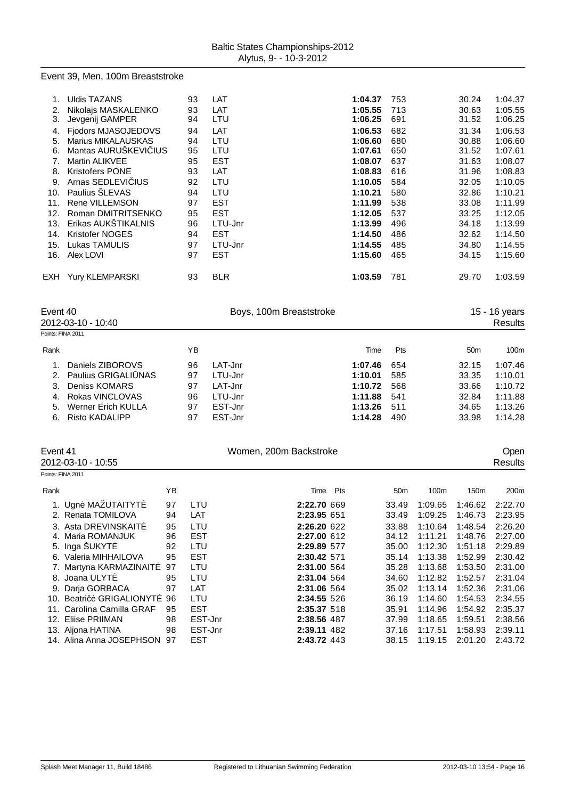#### Event 39, Men, 100m Breaststroke

|     | <b>Uldis TAZANS</b>       | 93 | LAT        | 1:04.37 | 753 | 30.24 | 1:04.37 |
|-----|---------------------------|----|------------|---------|-----|-------|---------|
| 2.  | Nikolajs MASKALENKO       | 93 | LAT        | 1:05.55 | 713 | 30.63 | 1:05.55 |
| 3.  | Jevgenij GAMPER           | 94 | LTU        | 1:06.25 | 691 | 31.52 | 1:06.25 |
| 4.  | Fjodors MJASOJEDOVS       | 94 | LAT        | 1:06.53 | 682 | 31.34 | 1:06.53 |
| 5.  | <b>Marius MIKALAUSKAS</b> | 94 | LTU        | 1:06.60 | 680 | 30.88 | 1:06.60 |
| 6.  | Mantas AURUŠKEVI IUS      | 95 | LTU        | 1:07.61 | 650 | 31.52 | 1:07.61 |
| 7.  | Martin ALIKVEE            | 95 | <b>EST</b> | 1:08.07 | 637 | 31.63 | 1:08.07 |
| 8.  | <b>Kristofers PONE</b>    | 93 | LAT        | 1:08.83 | 616 | 31.96 | 1:08.83 |
| 9.  | Arnas SEDLEVI IUS         | 92 | LTU        | 1:10.05 | 584 | 32.05 | 1:10.05 |
| 10. | Paulius SLEVAS            | 94 | LTU        | 1:10.21 | 580 | 32.86 | 1:10.21 |
| 11. | Rene VILLEMSON            | 97 | <b>EST</b> | 1:11.99 | 538 | 33.08 | 1:11.99 |
| 12. | Roman DMITRITSENKO        | 95 | <b>EST</b> | 1:12.05 | 537 | 33.25 | 1:12.05 |
| 13. | Erikas AUKŠTIKALNIS       | 96 | LTU-Jnr    | 1:13.99 | 496 | 34.18 | 1:13.99 |
| 14. | Kristofer NOGES           | 94 | <b>EST</b> | 1:14.50 | 486 | 32.62 | 1:14.50 |
| 15. | Lukas TAMULIS             | 97 | LTU-Jnr    | 1:14.55 | 485 | 34.80 | 1:14.55 |
| 16. | Alex LOVI                 | 97 | <b>EST</b> | 1:15.60 | 465 | 34.15 | 1:15.60 |
|     |                           |    |            |         |     |       |         |
| EXH | <b>Yury KLEMPARSKI</b>    | 93 | <b>BLR</b> | 1:03.59 | 781 | 29.70 | 1:03.59 |
|     |                           |    |            |         |     |       |         |

| Event 40          | 2012-03-10 - 10:40     |    | Boys, 100m Breaststroke |         |            |                 |         |  |
|-------------------|------------------------|----|-------------------------|---------|------------|-----------------|---------|--|
| Points: FINA 2011 |                        |    |                         |         |            |                 |         |  |
| Rank              |                        | ΥB |                         | Time    | <b>Pts</b> | 50 <sub>m</sub> | 100m    |  |
|                   | Daniels ZIBOROVS       | 96 | LAT-Jnr                 | 1:07.46 | 654        | 32.15           | 1:07.46 |  |
|                   | 2. Paulius GRIGALI NAS | 97 | LTU-Jnr                 | 1:10.01 | 585        | 33.35           | 1:10.01 |  |
| 3.                | Deniss KOMARS          | 97 | LAT-Jnr                 | 1:10.72 | 568        | 33.66           | 1:10.72 |  |
|                   | 4. Rokas VINCLOVAS     | 96 | LTU-Jnr                 | 1:11.88 | 541        | 32.84           | 1:11.88 |  |
| 5.                | Werner Erich KULLA     | 97 | EST-Jnr                 | 1:13.26 | 511        | 34.65           | 1:13.26 |  |
| 6.                | Risto KADALIPP         | 97 | EST-Jnr                 | 1:14.28 | 490        | 33.98           | 1:14.28 |  |

| Event 41<br>2012-03-10 - 10:55   |    |            | Women, 200m Backstroke |     |                 |         |         | <b>Open</b><br>Results |  |
|----------------------------------|----|------------|------------------------|-----|-----------------|---------|---------|------------------------|--|
| Points: FINA 2011                |    |            |                        |     |                 |         |         |                        |  |
| Rank                             | ΥB |            | Time                   | Pts | 50 <sub>m</sub> | 100m    | 150m    | 200 <sub>m</sub>       |  |
| 1. Ugn MAZUTAITYT                | 97 | LTU        | 2:22.70 669            |     | 33.49           | 1:09.65 | 1:46.62 | 2:22.70                |  |
| 2. Renata TOMILOVA               | 94 | LAT        | 2:23.95 651            |     | 33.49           | 1:09.25 | 1:46.73 | 2:23.95                |  |
| 3. Asta DREVINSKAIT              | 95 | LTU        | 2:26.20 622            |     | 33.88           | 1:10.64 | 1:48.54 | 2:26.20                |  |
| Maria ROMANJUK<br>4.             | 96 | <b>EST</b> | 2:27.00 612            |     | 34.12           | 1:11.21 | 1:48.76 | 2:27.00                |  |
| 5. Inga ŠUKYT                    | 92 | LTU        | 2:29.89 577            |     | 35.00           | 1:12.30 | 1:51.18 | 2:29.89                |  |
| 6. Valeria MIHHAILOVA            | 95 | <b>EST</b> | 2:30.42 571            |     | 35.14           | 1:13.38 | 1:52.99 | 2:30.42                |  |
| 7. Martyna KARMAZINAIT           | 97 | LTU        | 2:31.00 564            |     | 35.28           | 1:13.68 | 1:53.50 | 2:31.00                |  |
| 8. Joana ULYT                    | 95 | LTU        | 2:31.04 564            |     | 34.60           | 1:12.82 | 1:52.57 | 2:31.04                |  |
| 9. Darja GORBACA                 | 97 | LAT        | 2:31.06 564            |     | 35.02           | 1:13.14 | 1:52.36 | 2:31.06                |  |
| 10. Beatri<br><b>GRIGALIONYT</b> | 96 | LTU        | 2:34.55 526            |     | 36.19           | 1:14.60 | 1:54.53 | 2:34.55                |  |
| 11. Carolina Camilla GRAF        | 95 | <b>EST</b> | 2:35.37 518            |     | 35.91           | 1:14.96 | 1:54.92 | 2:35.37                |  |
| 12. Eliise PRIIMAN               | 98 | EST-Jnr    | 2:38.56 487            |     | 37.99           | 1:18.65 | 1:59.51 | 2:38.56                |  |
| 13. Aljona HATINA                | 98 | EST-Jnr    | 2:39.11 482            |     | 37.16           | 1:17.51 | 1:58.93 | 2:39.11                |  |
| 14. Alina Anna JOSEPHSON 97      |    | <b>EST</b> | 2:43.72 443            |     | 38.15           | 1:19.15 | 2:01.20 | 2:43.72                |  |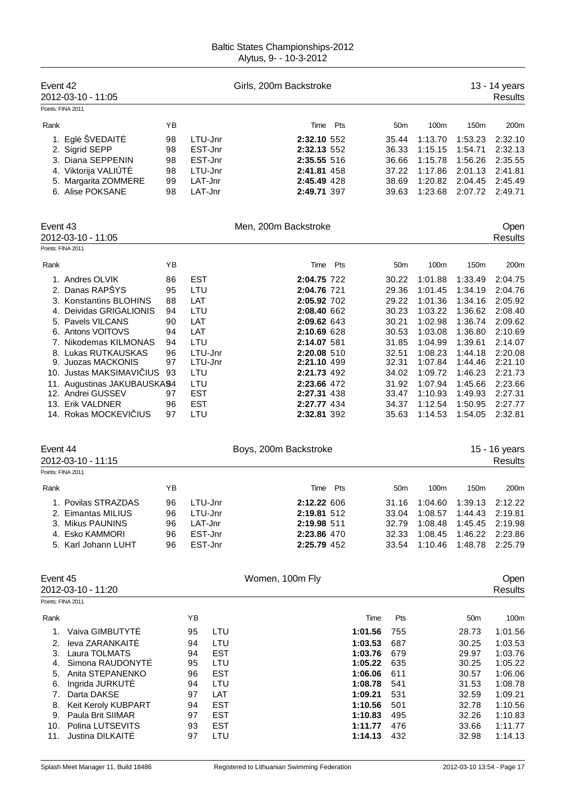| Event 42<br>Points: FINA 2011                                            | 2012-03-10 - 11:05                                                                                                                                                                                                                                                                                                                                                                                                          |                                                                                                    |                                                                                                                                                                                      | Girls, 200m Backstroke                                                                                                                                                                                                                                                                       |                                                                                                                               |                                                                                                                                                                          |                                                                                                                                                                                                 |                                                                                                                                                                                                 | 13 - 14 years<br><b>Results</b>                                                                                                                                                                                             |
|--------------------------------------------------------------------------|-----------------------------------------------------------------------------------------------------------------------------------------------------------------------------------------------------------------------------------------------------------------------------------------------------------------------------------------------------------------------------------------------------------------------------|----------------------------------------------------------------------------------------------------|--------------------------------------------------------------------------------------------------------------------------------------------------------------------------------------|----------------------------------------------------------------------------------------------------------------------------------------------------------------------------------------------------------------------------------------------------------------------------------------------|-------------------------------------------------------------------------------------------------------------------------------|--------------------------------------------------------------------------------------------------------------------------------------------------------------------------|-------------------------------------------------------------------------------------------------------------------------------------------------------------------------------------------------|-------------------------------------------------------------------------------------------------------------------------------------------------------------------------------------------------|-----------------------------------------------------------------------------------------------------------------------------------------------------------------------------------------------------------------------------|
| Rank                                                                     |                                                                                                                                                                                                                                                                                                                                                                                                                             | ΥB                                                                                                 |                                                                                                                                                                                      | Time Pts                                                                                                                                                                                                                                                                                     |                                                                                                                               | 50 <sub>m</sub>                                                                                                                                                          | 100m                                                                                                                                                                                            | 150m                                                                                                                                                                                            | 200m                                                                                                                                                                                                                        |
|                                                                          | 1. Egl ŠVEDAIT<br>2. Sigrid SEPP<br>3. Diana SEPPENIN<br>4. Viktorija VALI T<br>5. Margarita ZOMMERE<br>6. Alise POKSANE                                                                                                                                                                                                                                                                                                    | 98<br>98<br>98<br>98<br>99<br>98                                                                   | LTU-Jnr<br>EST-Jnr<br>EST-Jnr<br>LTU-Jnr<br>LAT-Jnr<br>LAT-Jnr                                                                                                                       | 2:32.10 552<br>2:32.13 552<br>2:35.55 516<br>2:41.81 458<br>2:45.49 428<br>2:49.71 397                                                                                                                                                                                                       |                                                                                                                               | 35.44<br>36.33<br>36.66<br>37.22<br>38.69<br>39.63                                                                                                                       | 1:13.70<br>1:15.15<br>1:15.78<br>1:17.86<br>1:20.82<br>1:23.68                                                                                                                                  | 1:53.23<br>1:54.71<br>1:56.26<br>2:01.13<br>2:04.45<br>2:07.72                                                                                                                                  | 2:32.10<br>2:32.13<br>2:35.55<br>2:41.81<br>2:45.49<br>2:49.71                                                                                                                                                              |
| Event 43<br>Points: FINA 2011                                            | 2012-03-10 - 11:05                                                                                                                                                                                                                                                                                                                                                                                                          |                                                                                                    |                                                                                                                                                                                      | Men, 200m Backstroke                                                                                                                                                                                                                                                                         |                                                                                                                               |                                                                                                                                                                          |                                                                                                                                                                                                 |                                                                                                                                                                                                 | Open<br><b>Results</b>                                                                                                                                                                                                      |
| Rank                                                                     |                                                                                                                                                                                                                                                                                                                                                                                                                             | ΥB                                                                                                 |                                                                                                                                                                                      | Time                                                                                                                                                                                                                                                                                         | Pts                                                                                                                           | 50 <sub>m</sub>                                                                                                                                                          | 100m                                                                                                                                                                                            | 150m                                                                                                                                                                                            | 200m                                                                                                                                                                                                                        |
| Event 44<br>Points: FINA 2011<br>Rank                                    | 1. Andres OLVIK<br>2. Danas RAPŠYS<br>3. Konstantins BLOHINS<br>4. Deividas GRIGALIONIS<br>5. Pavels VILCANS<br>6. Antons VOITOVS<br>7. Nikodemas KILMONAS<br>8. Lukas RUTKAUSKAS<br>9. Juozas MACKONIS<br>10. Justas MAKSIMAVI IUS<br>11. Augustinas JAKUBAUSKA94<br>12. Andrei GUSSEV<br>13. Erik VALDNER<br>14. Rokas MOCKEVI IUS<br>2012-03-10 - 11:15<br>1. Povilas STRAZDAS<br>2. Eimantas MILIUS<br>3. Mikus PAUNINS | 86<br>95<br>88<br>94<br>90<br>94<br>94<br>96<br>97<br>93<br>97<br>96<br>97<br>YB<br>96<br>96<br>96 | <b>EST</b><br>LTU<br>LAT<br>LTU<br>LAT<br>LAT<br>LTU<br>LTU-Jnr<br>LTU-Jnr<br>LTU<br>LTU<br><b>EST</b><br><b>EST</b><br>LTU<br>LTU-Jnr<br>LTU-Jnr<br>LAT-Jnr                         | 2:04.75 722<br>2:04.76 721<br>2:05.92 702<br>2:08.40 662<br>2:09.62 643<br>2:10.69 628<br>2:14.07 581<br>2:20.08 510<br>2:21.10 499<br>2:21.73 492<br>2:23.66 472<br>2:27.31 438<br>2:27.77 434<br>2:32.81 392<br>Boys, 200m Backstroke<br>Time<br>2:12.22 606<br>2:19.81 512<br>2:19.98 511 | Pts                                                                                                                           | 30.22<br>29.36<br>29.22<br>30.23<br>30.21<br>30.53<br>31.85<br>32.51<br>32.31<br>34.02<br>31.92<br>33.47<br>34.37<br>35.63<br>50 <sub>m</sub><br>31.16<br>33.04<br>32.79 | 1:01.88<br>1:01.45<br>1:01.36<br>1:03.22<br>1:02.98<br>1:03.08<br>1:04.99<br>1:08.23<br>1:07.84<br>1:09.72<br>1:07.94<br>1:10.93<br>1:12.54<br>1:14.53<br>100m<br>1:04.60<br>1:08.57<br>1:08.48 | 1:33.49<br>1:34.19<br>1:34.16<br>1:36.62<br>1:36.74<br>1:36.80<br>1:39.61<br>1:44.18<br>1:44.46<br>1:46.23<br>1:45.66<br>1:49.93<br>1:50.95<br>1:54.05<br>150m<br>1:39.13<br>1:44.43<br>1:45.45 | 2:04.75<br>2:04.76<br>2:05.92<br>2:08.40<br>2:09.62<br>2:10.69<br>2:14.07<br>2:20.08<br>2:21.10<br>2:21.73<br>2:23.66<br>2:27.31<br>2:27.77<br>2:32.81<br>15 - 16 years<br>Results<br>200m<br>2:12.22<br>2:19.81<br>2:19.98 |
|                                                                          | 4. Esko KAMMORI<br>5. Karl Johann LUHT                                                                                                                                                                                                                                                                                                                                                                                      | 96<br>96                                                                                           | EST-Jnr<br>EST-Jnr                                                                                                                                                                   | 2:23.86 470<br>2:25.79 452                                                                                                                                                                                                                                                                   |                                                                                                                               | 32.33<br>33.54                                                                                                                                                           | 1:08.45<br>1:10.46                                                                                                                                                                              | 1:46.22<br>1:48.78                                                                                                                                                                              | 2:23.86<br>2:25.79                                                                                                                                                                                                          |
| Event 45                                                                 | 2012-03-10 - 11:20                                                                                                                                                                                                                                                                                                                                                                                                          |                                                                                                    |                                                                                                                                                                                      | Women, 100m Fly                                                                                                                                                                                                                                                                              |                                                                                                                               |                                                                                                                                                                          |                                                                                                                                                                                                 |                                                                                                                                                                                                 | Open<br>Results                                                                                                                                                                                                             |
| Points: FINA 2011                                                        |                                                                                                                                                                                                                                                                                                                                                                                                                             |                                                                                                    |                                                                                                                                                                                      |                                                                                                                                                                                                                                                                                              |                                                                                                                               |                                                                                                                                                                          |                                                                                                                                                                                                 |                                                                                                                                                                                                 |                                                                                                                                                                                                                             |
| Rank<br>1.<br>2.<br>3.<br>4.<br>5.<br>6.<br>7.<br>8.<br>9.<br>10.<br>11. | Vaiva GIMBUTYT<br>leva ZARANKAIT<br>Laura TOLMATS<br>Simona RAUDONYT<br>Anita STEPANENKO<br>Ingrida JURKUT<br>Darta DAKSE<br>Keit Keroly KUBPART<br>Paula Brit SIIMAR<br>Polina LUTSEVITS<br>Justina DILKAIT                                                                                                                                                                                                                |                                                                                                    | ΥB<br>95<br>LTU<br>LTU<br>94<br><b>EST</b><br>94<br>95<br>LTU<br><b>EST</b><br>96<br>LTU<br>94<br>LAT<br>97<br><b>EST</b><br>94<br><b>EST</b><br>97<br><b>EST</b><br>93<br>97<br>LTU |                                                                                                                                                                                                                                                                                              | Time<br>1:01.56<br>1:03.53<br>1:03.76<br>1:05.22<br>1:06.06<br>1:08.78<br>1:09.21<br>1:10.56<br>1:10.83<br>1:11.77<br>1:14.13 | Pts<br>755<br>687<br>679<br>635<br>611<br>541<br>531<br>501<br>495<br>476<br>432                                                                                         |                                                                                                                                                                                                 | 50 <sub>m</sub><br>28.73<br>30.25<br>29.97<br>30.25<br>30.57<br>31.53<br>32.59<br>32.78<br>32.26<br>33.66<br>32.98                                                                              | 100m<br>1:01.56<br>1:03.53<br>1:03.76<br>1:05.22<br>1:06.06<br>1:08.78<br>1:09.21<br>1:10.56<br>1:10.83<br>1:11.77<br>1:14.13                                                                                               |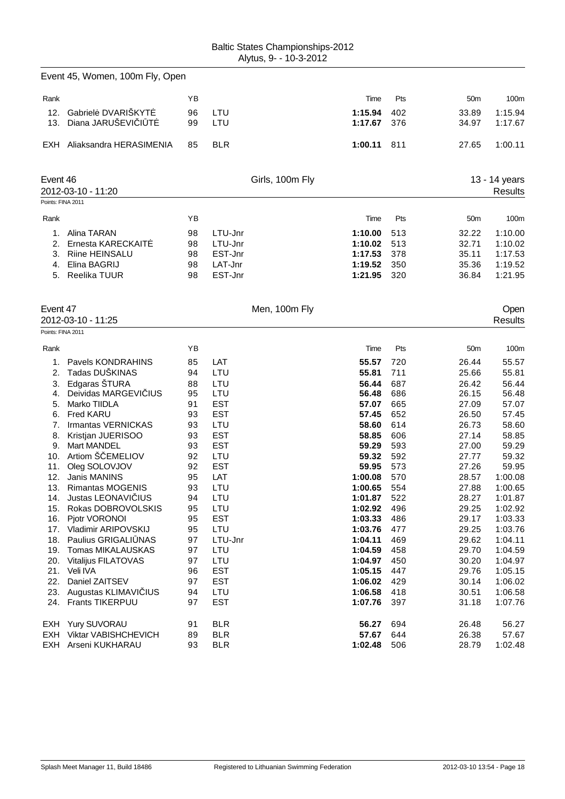|                        | <b>Baltic States Championships-2012</b> |
|------------------------|-----------------------------------------|
| Alytus, 9- - 10-3-2012 |                                         |

|                               | Event 45, Women, 100m Fly, Open         |          |                    |                 |                    |            |                 |                          |
|-------------------------------|-----------------------------------------|----------|--------------------|-----------------|--------------------|------------|-----------------|--------------------------|
| Rank                          |                                         | ΥB       |                    |                 | Time               | Pts        | 50 <sub>m</sub> | 100m                     |
| 12.                           | Gabriel DVARIŠKYT                       | 96       | LTU                |                 | 1:15.94            | 402        | 33.89           | 1:15.94                  |
| 13.                           | Diana JARUŠEVI I T                      | 99       | LTU                |                 | 1:17.67            | 376        | 34.97           | 1:17.67                  |
|                               | EXH Aliaksandra HERASIMENIA             | 85       | <b>BLR</b>         |                 | 1:00.11            | 811        | 27.65           | 1:00.11                  |
| Event 46<br>Points: FINA 2011 | 2012-03-10 - 11:20                      |          |                    | Girls, 100m Fly |                    |            |                 | 13 - 14 years<br>Results |
| Rank                          |                                         | YB       |                    |                 | Time               | Pts        |                 | 100m                     |
|                               |                                         |          |                    |                 |                    |            | 50m             |                          |
| 1.                            | Alina TARAN                             | 98       | LTU-Jnr            |                 | 1:10.00            | 513        | 32.22           | 1:10.00                  |
| 2.<br>3.                      | Ernesta KARECKAIT<br>Riine HEINSALU     | 98<br>98 | LTU-Jnr<br>EST-Jnr |                 | 1:10.02<br>1:17.53 | 513<br>378 | 32.71<br>35.11  | 1:10.02<br>1:17.53       |
| 4.                            | Elina BAGRIJ                            | 98       | LAT-Jnr            |                 | 1:19.52            | 350        | 35.36           | 1:19.52                  |
| 5.                            | Reelika TUUR                            | 98       | EST-Jnr            |                 | 1:21.95            | 320        | 36.84           | 1:21.95                  |
|                               |                                         |          |                    |                 |                    |            |                 |                          |
| Event 47                      |                                         |          |                    | Men, 100m Fly   |                    |            |                 | Open                     |
|                               | 2012-03-10 - 11:25                      |          |                    |                 |                    |            |                 | <b>Results</b>           |
| Points: FINA 2011             |                                         |          |                    |                 |                    |            |                 |                          |
| Rank                          |                                         | YB       |                    |                 | Time               | Pts        | 50 <sub>m</sub> | 100m                     |
| 1.                            | Pavels KONDRAHINS                       | 85       | LAT                |                 | 55.57              | 720        | 26.44           | 55.57                    |
| 2.                            | Tadas DUŠKINAS                          | 94       | LTU                |                 | 55.81              | 711        | 25.66           | 55.81                    |
| 3.                            | Edgaras ŠTURA                           | 88       | LTU                |                 | 56.44              | 687        | 26.42           | 56.44                    |
| 4.                            | Deividas MARGEVI IUS                    | 95       | LTU                |                 | 56.48              | 686        | 26.15           | 56.48                    |
| 5.                            | Marko TIIDLA                            | 91       | <b>EST</b>         |                 | 57.07              | 665        | 27.09           | 57.07                    |
| 6.                            | Fred KARU                               | 93       | <b>EST</b>         |                 | 57.45              | 652        | 26.50           | 57.45                    |
| 7.<br>8.                      | Irmantas VERNICKAS                      | 93<br>93 | LTU<br><b>EST</b>  |                 | 58.60<br>58.85     | 614<br>606 | 26.73<br>27.14  | 58.60<br>58.85           |
| 9.                            | Kristjan JUERISOO<br><b>Mart MANDEL</b> | 93       | <b>EST</b>         |                 | 59.29              | 593        | 27.00           | 59.29                    |
| 10.                           | Artiom Š EMELIOV                        | 92       | LTU                |                 | 59.32              | 592        | 27.77           | 59.32                    |
| 11.                           | Oleg SOLOVJOV                           | 92       | <b>EST</b>         |                 | 59.95              | 573        | 27.26           | 59.95                    |
| 12.                           | Janis MANINS                            | 95       | LAT                |                 | 1:00.08            | 570        | 28.57           | 1:00.08                  |
|                               | 13. Rimantas MOGENIS                    | 93       | LTU                |                 | 1:00.65            | 554        | 27.88           | 1:00.65                  |
|                               | 14. Justas LEONAVI IUS                  | 94       | LTU                |                 | 1:01.87            | 522        | 28.27           | 1:01.87                  |
|                               | 15. Rokas DOBROVOLSKIS                  | 95       | LTU                |                 | 1:02.92            | 496        | 29.25           | 1:02.92                  |
| 16.                           | Pjotr VORONOI                           | 95       | <b>EST</b>         |                 | 1:03.33            | 486        | 29.17           | 1:03.33                  |
| 17.                           | Vladimir ARIPOVSKIJ                     | 95       | LTU                |                 | 1:03.76            | 477        | 29.25           | 1:03.76                  |
| 18.                           | Paulius GRIGALI NAS                     | 97       | LTU-Jnr            |                 | 1:04.11            | 469        | 29.62           | 1:04.11                  |
|                               | 19. Tomas MIKALAUSKAS                   | 97       | LTU                |                 | 1:04.59            | 458        | 29.70           | 1:04.59                  |
| 20.                           | Vitalijus FILATOVAS<br>21. Veli IVA     | 97<br>96 | LTU<br><b>EST</b>  |                 | 1:04.97<br>1:05.15 | 450<br>447 | 30.20<br>29.76  | 1:04.97<br>1:05.15       |
| 22.                           | Daniel ZAITSEV                          | 97       | <b>EST</b>         |                 | 1:06.02            | 429        | 30.14           | 1:06.02                  |
|                               | 23. Augustas KLIMAVI IUS                | 94       | LTU                |                 | 1:06.58            | 418        | 30.51           | 1:06.58                  |
|                               | 24. Frants TIKERPUU                     | 97       | <b>EST</b>         |                 | 1:07.76            | 397        | 31.18           | 1:07.76                  |
|                               | EXH Yury SUVORAU                        | 91       | <b>BLR</b>         |                 | 56.27              | 694        | 26.48           | 56.27                    |
| EXH                           | Viktar VABISHCHEVICH                    | 89       | <b>BLR</b>         |                 | 57.67              | 644        | 26.38           | 57.67                    |
|                               | EXH Arseni KUKHARAU                     | 93       | <b>BLR</b>         |                 | 1:02.48            | 506        | 28.79           | 1:02.48                  |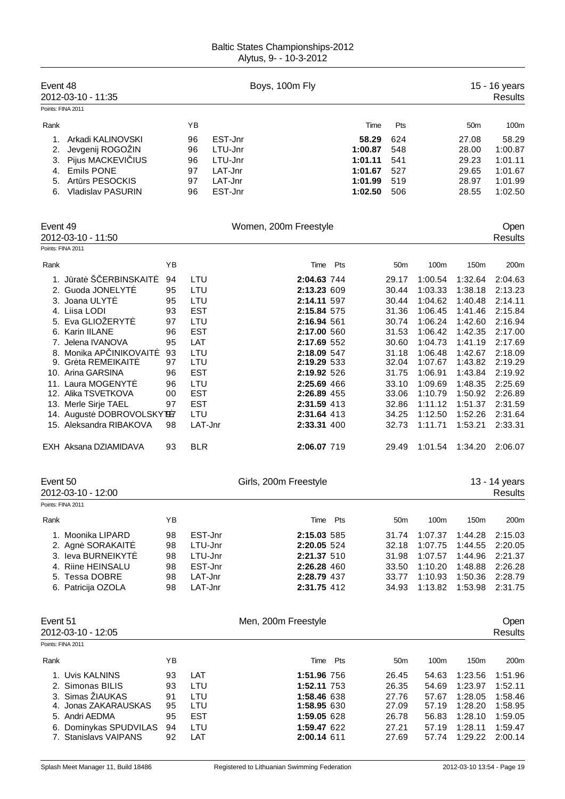| Event 48                                       | 2012-03-10 - 11:35<br>Points: FINA 2011                                                                                                                                                                                                                                                                                                                           |                                                                                        |                                                                                                                                                            |                                                                | Boys, 100m Fly                                                                                                                                                                                                                                                        |     |                                                              |                                                                                                                                              |                                                                                                                                                                              |                                                                                                                                                                              | 15 - 16 years<br><b>Results</b>                                                                                                                                                               |
|------------------------------------------------|-------------------------------------------------------------------------------------------------------------------------------------------------------------------------------------------------------------------------------------------------------------------------------------------------------------------------------------------------------------------|----------------------------------------------------------------------------------------|------------------------------------------------------------------------------------------------------------------------------------------------------------|----------------------------------------------------------------|-----------------------------------------------------------------------------------------------------------------------------------------------------------------------------------------------------------------------------------------------------------------------|-----|--------------------------------------------------------------|----------------------------------------------------------------------------------------------------------------------------------------------|------------------------------------------------------------------------------------------------------------------------------------------------------------------------------|------------------------------------------------------------------------------------------------------------------------------------------------------------------------------|-----------------------------------------------------------------------------------------------------------------------------------------------------------------------------------------------|
| Rank                                           |                                                                                                                                                                                                                                                                                                                                                                   |                                                                                        | ΥB                                                                                                                                                         |                                                                |                                                                                                                                                                                                                                                                       |     | Time                                                         | Pts                                                                                                                                          |                                                                                                                                                                              | 50m                                                                                                                                                                          | 100m                                                                                                                                                                                          |
| 1.<br>$\overline{2}$ .<br>3.<br>4.<br>5.<br>6. | Arkadi KALINOVSKI<br>Jevgenij ROGOŽIN<br>Pijus MACKEVI IUS<br><b>Emils PONE</b><br>Art rs PESOCKIS<br><b>Vladislav PASURIN</b>                                                                                                                                                                                                                                    |                                                                                        | 96<br>96<br>96<br>97<br>97<br>96                                                                                                                           | EST-Jnr<br>LTU-Jnr<br>LTU-Jnr<br>LAT-Jnr<br>LAT-Jnr<br>EST-Jnr |                                                                                                                                                                                                                                                                       |     | 58.29<br>1:00.87<br>1:01.11<br>1:01.67<br>1:01.99<br>1:02.50 | 624<br>548<br>541<br>527<br>519<br>506                                                                                                       |                                                                                                                                                                              | 27.08<br>28.00<br>29.23<br>29.65<br>28.97<br>28.55                                                                                                                           | 58.29<br>1:00.87<br>1:01.11<br>1:01.67<br>1:01.99<br>1:02.50                                                                                                                                  |
| Event 49                                       | 2012-03-10 - 11:50                                                                                                                                                                                                                                                                                                                                                |                                                                                        |                                                                                                                                                            |                                                                | Women, 200m Freestyle                                                                                                                                                                                                                                                 |     |                                                              |                                                                                                                                              |                                                                                                                                                                              |                                                                                                                                                                              | Open<br><b>Results</b>                                                                                                                                                                        |
|                                                | Points: FINA 2011                                                                                                                                                                                                                                                                                                                                                 |                                                                                        |                                                                                                                                                            |                                                                |                                                                                                                                                                                                                                                                       |     |                                                              |                                                                                                                                              |                                                                                                                                                                              |                                                                                                                                                                              |                                                                                                                                                                                               |
| Rank                                           |                                                                                                                                                                                                                                                                                                                                                                   | YB                                                                                     |                                                                                                                                                            |                                                                | Time                                                                                                                                                                                                                                                                  | Pts |                                                              | 50m                                                                                                                                          | 100m                                                                                                                                                                         | 150m                                                                                                                                                                         | 200m                                                                                                                                                                                          |
| Event 50                                       | 1. J rat Š ERBINSKAIT<br>2. Guoda JONELYT<br>3. Joana ULYT<br>4. Liisa LODI<br>5. Eva GLIOŽERYT<br>6. Karin IILANE<br>7. Jelena IVANOVA<br>8. Monika AP INIKOVAIT<br>9. Gr ta REMEIKAIT<br>10. Arina GARSINA<br>11. Laura MOGENYT<br>12. Alika TSVETKOVA<br>13. Merle Sirje TAEL<br>14. August DOBROVOLSKYT97<br>15. Aleksandra RIBAKOVA<br>EXH Aksana DZIAMIDAVA | 94<br>95<br>95<br>93<br>97<br>96<br>95<br>93<br>97<br>96<br>96<br>00<br>97<br>98<br>93 | LTU<br>LTU<br>LTU<br><b>EST</b><br>LTU<br><b>EST</b><br>LAT<br>LTU<br>LTU<br><b>EST</b><br>LTU<br><b>EST</b><br><b>EST</b><br>LTU<br>LAT-Jnr<br><b>BLR</b> |                                                                | 2:04.63 744<br>2:13.23 609<br>2:14.11 597<br>2:15.84 575<br>2:16.94 561<br>2:17.00 560<br>2:17.69 552<br>2:18.09 547<br>2:19.29 533<br>2:19.92 526<br>2:25.69 466<br>2:26.89 455<br>2:31.59 413<br>2:31.64 413<br>2:33.31 400<br>2:06.07 719<br>Girls, 200m Freestyle |     |                                                              | 29.17<br>30.44<br>30.44<br>31.36<br>30.74<br>31.53<br>30.60<br>31.18<br>32.04<br>31.75<br>33.10<br>33.06<br>32.86<br>34.25<br>32.73<br>29.49 | 1:00.54<br>1:03.33<br>1:04.62<br>1:06.45<br>1:06.24<br>1:06.42<br>1:04.73<br>1:06.48<br>1:07.67<br>1:06.91<br>1:09.69<br>1:10.79<br>1:11.12<br>1:12.50<br>1:11.71<br>1:01.54 | 1:32.64<br>1:38.18<br>1:40.48<br>1:41.46<br>1:42.60<br>1:42.35<br>1:41.19<br>1:42.67<br>1:43.82<br>1:43.84<br>1:48.35<br>1:50.92<br>1:51.37<br>1:52.26<br>1:53.21<br>1:34.20 | 2:04.63<br>2:13.23<br>2:14.11<br>2:15.84<br>2:16.94<br>2:17.00<br>2:17.69<br>2:18.09<br>2:19.29<br>2:19.92<br>2:25.69<br>2:26.89<br>2:31.59<br>2:31.64<br>2:33.31<br>2:06.07<br>13 - 14 years |
|                                                | 2012-03-10 - 12:00                                                                                                                                                                                                                                                                                                                                                |                                                                                        |                                                                                                                                                            |                                                                |                                                                                                                                                                                                                                                                       |     |                                                              |                                                                                                                                              |                                                                                                                                                                              |                                                                                                                                                                              | Results                                                                                                                                                                                       |
|                                                | Points: FINA 2011                                                                                                                                                                                                                                                                                                                                                 |                                                                                        |                                                                                                                                                            |                                                                |                                                                                                                                                                                                                                                                       |     |                                                              |                                                                                                                                              |                                                                                                                                                                              |                                                                                                                                                                              |                                                                                                                                                                                               |
| Rank                                           | 1. Moonika LIPARD<br>2. Agn SORAKAIT<br>3. leva BURNEIKYT<br>4. Riine HEINSALU<br>5. Tessa DOBRE<br>6. Patricija OZOLA                                                                                                                                                                                                                                            | YB<br>98<br>98<br>98<br>98<br>98<br>98                                                 | EST-Jnr<br>LTU-Jnr<br>LTU-Jnr<br>EST-Jnr<br>LAT-Jnr<br>LAT-Jnr                                                                                             |                                                                | Time Pts<br>2:15.03 585<br>2:20.05 524<br>2:21.37 510<br>2:26.28 460<br>2:28.79 437<br>2:31.75 412                                                                                                                                                                    |     |                                                              | 50 <sub>m</sub><br>31.74<br>32.18<br>31.98<br>33.50<br>33.77<br>34.93                                                                        | 100m<br>1:07.37<br>1:07.75<br>1:07.57<br>1:10.20<br>1:10.93<br>1:13.82                                                                                                       | 150m<br>1:44.28<br>1:44.55<br>1:44.96<br>1:48.88<br>1:50.36<br>1:53.98                                                                                                       | 200m<br>2:15.03<br>2:20.05<br>2:21.37<br>2:26.28<br>2:28.79<br>2:31.75                                                                                                                        |
| Event 51                                       | 2012-03-10 - 12:05<br>Points: FINA 2011                                                                                                                                                                                                                                                                                                                           |                                                                                        |                                                                                                                                                            |                                                                | Men, 200m Freestyle                                                                                                                                                                                                                                                   |     |                                                              |                                                                                                                                              |                                                                                                                                                                              |                                                                                                                                                                              | Open<br><b>Results</b>                                                                                                                                                                        |
|                                                |                                                                                                                                                                                                                                                                                                                                                                   |                                                                                        |                                                                                                                                                            |                                                                |                                                                                                                                                                                                                                                                       |     |                                                              |                                                                                                                                              |                                                                                                                                                                              |                                                                                                                                                                              |                                                                                                                                                                                               |
| Rank<br>3.<br>6.                               | 1. Uvis KALNINS<br>2. Simonas BILIS<br>Simas ŽIAUKAS<br>4. Jonas ZAKARAUSKAS<br>5. Andri AEDMA<br>Dominykas SPUDVILAS<br>7. Stanislavs VAIPANS                                                                                                                                                                                                                    | ΥB<br>93<br>93<br>91<br>95<br>95<br>94<br>92                                           | LAT<br>LTU<br>LTU<br>LTU<br><b>EST</b><br>LTU<br>LAT                                                                                                       |                                                                | Time<br>1:51.96 756<br>1:52.11 753<br>1:58.46 638<br>1:58.95 630<br>1:59.05 628<br>1:59.47 622<br>2:00.14 611                                                                                                                                                         | Pts |                                                              | 50 <sub>m</sub><br>26.45<br>26.35<br>27.76<br>27.09<br>26.78<br>27.21<br>27.69                                                               | 100m<br>54.63<br>54.69<br>57.67<br>57.19<br>56.83<br>57.19<br>57.74                                                                                                          | 150m<br>1:23.56<br>1:23.97<br>1:28.05<br>1:28.20<br>1:28.10<br>1:28.11<br>1:29.22                                                                                            | 200m<br>1:51.96<br>1:52.11<br>1:58.46<br>1:58.95<br>1:59.05<br>1:59.47<br>2:00.14                                                                                                             |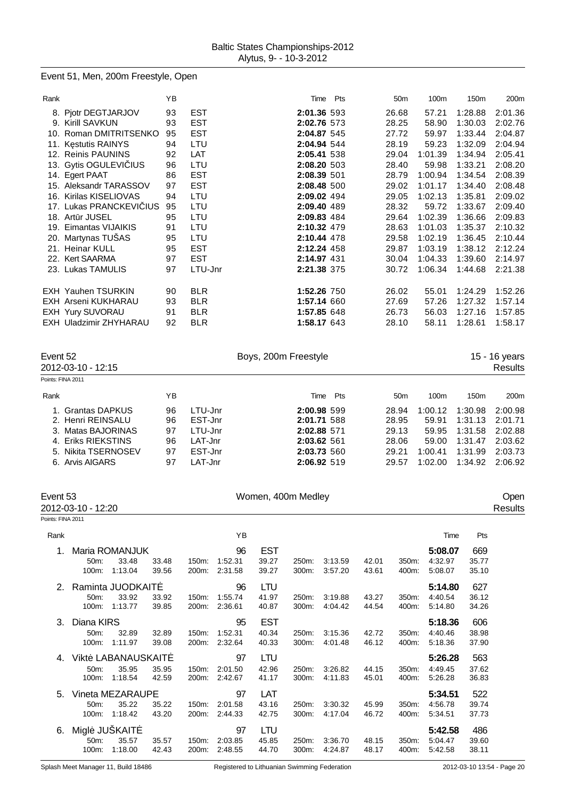# Event 51, Men, 200m Freestyle, Open

| Rank |                            | ΥB |            | Time        | Pts | 50 <sub>m</sub> | 100m    | 150m    | 200m    |
|------|----------------------------|----|------------|-------------|-----|-----------------|---------|---------|---------|
|      | 8. Pjotr DEGTJARJOV        | 93 | <b>EST</b> | 2:01.36 593 |     | 26.68           | 57.21   | 1:28.88 | 2:01.36 |
|      | 9. Kirill SAVKUN           | 93 | <b>EST</b> | 2:02.76 573 |     | 28.25           | 58.90   | 1:30.03 | 2:02.76 |
| 10.  | Roman DMITRITSENKO         | 95 | <b>EST</b> | 2:04.87 545 |     | 27.72           | 59.97   | 1:33.44 | 2:04.87 |
|      | 11. K stutis RAINYS        | 94 | LTU        | 2:04.94 544 |     | 28.19           | 59.23   | 1:32.09 | 2:04.94 |
|      | 12. Reinis PAUNINS         | 92 | LAT        | 2:05.41 538 |     | 29.04           | 1:01.39 | 1:34.94 | 2:05.41 |
|      | 13. Gytis OGULEVI IUS      | 96 | LTU        | 2:08.20 503 |     | 28.40           | 59.98   | 1:33.21 | 2:08.20 |
|      | 14. Egert PAAT             | 86 | <b>EST</b> | 2:08.39 501 |     | 28.79           | 1:00.94 | 1:34.54 | 2:08.39 |
|      | 15. Aleksandr TARASSOV     | 97 | <b>EST</b> | 2:08.48 500 |     | 29.02           | 1:01.17 | 1:34.40 | 2:08.48 |
| 16.  | Kirilas KISELIOVAS         | 94 | LTU        | 2:09.02 494 |     | 29.05           | 1:02.13 | 1:35.81 | 2:09.02 |
|      | 17. Lukas PRANCKEVI IUS    | 95 | LTU        | 2:09.40 489 |     | 28.32           | 59.72   | 1:33.67 | 2:09.40 |
|      | 18. Art r JUSEL            | 95 | LTU        | 2:09.83 484 |     | 29.64           | 1:02.39 | 1:36.66 | 2:09.83 |
| 19.  | Eimantas VIJAIKIS          | 91 | LTU        | 2:10.32 479 |     | 28.63           | 1:01.03 | 1:35.37 | 2:10.32 |
|      | 20. Martynas TUŠAS         | 95 | LTU        | 2:10.44 478 |     | 29.58           | 1:02.19 | 1:36.45 | 2:10.44 |
|      | 21. Heinar KULL            | 95 | <b>EST</b> | 2:12.24 458 |     | 29.87           | 1:03.19 | 1:38.12 | 2:12.24 |
|      | 22. Kert SAARMA            | 97 | <b>EST</b> | 2:14.97 431 |     | 30.04           | 1:04.33 | 1:39.60 | 2:14.97 |
| 23.  | Lukas TAMULIS              | 97 | LTU-Jnr    | 2:21.38 375 |     | 30.72           | 1:06.34 | 1:44.68 | 2:21.38 |
|      | <b>EXH Yauhen TSURKIN</b>  | 90 | <b>BLR</b> | 1:52.26 750 |     | 26.02           | 55.01   | 1:24.29 | 1:52.26 |
|      | <b>EXH Arseni KUKHARAU</b> | 93 | <b>BLR</b> | 1:57.14 660 |     | 27.69           | 57.26   | 1:27.32 | 1:57.14 |
|      | EXH Yury SUVORAU           | 91 | <b>BLR</b> | 1:57.85 648 |     | 26.73           | 56.03   | 1:27.16 | 1:57.85 |
|      | EXH Uladzimir ZHYHARAU     | 92 | <b>BLR</b> | 1:58.17 643 |     | 28.10           | 58.11   | 1:28.61 | 1:58.17 |
|      |                            |    |            |             |     |                 |         |         |         |

| Event 52<br>2012-03-10 - 12:15<br>Points: FINA 2011                                                                              |                                  | Boys, 200m Freestyle                                           |                                                                                        |     |                                                    | 15 - 16 years<br><b>Results</b>                          |                                                                |                                                                |
|----------------------------------------------------------------------------------------------------------------------------------|----------------------------------|----------------------------------------------------------------|----------------------------------------------------------------------------------------|-----|----------------------------------------------------|----------------------------------------------------------|----------------------------------------------------------------|----------------------------------------------------------------|
| Rank                                                                                                                             | YΒ                               |                                                                | Time                                                                                   | Pts | 50 <sub>m</sub>                                    | 100 <sub>m</sub>                                         | 150 <sub>m</sub>                                               | 200 <sub>m</sub>                                               |
| <b>Grantas DAPKUS</b><br>2. Henri REINSALU<br>3. Matas BAJORINAS<br>4. Eriks RIEKSTINS<br>5. Nikita TSERNOSEV<br>6. Arvis AIGARS | 96<br>96<br>97<br>96<br>97<br>97 | LTU-Jnr<br>EST-Jnr<br>LTU-Jnr<br>LAT-Jnr<br>EST-Jnr<br>LAT-Jnr | 2:00.98 599<br>2:01.71 588<br>2:02.88 571<br>2:03.62 561<br>2:03.73 560<br>2:06.92 519 |     | 28.94<br>28.95<br>29.13<br>28.06<br>29.21<br>29.57 | 1:00.12<br>59.91<br>59.95<br>59.00<br>1:00.41<br>1:02.00 | 1:30.98<br>1:31.13<br>1:31.58<br>1:31.47<br>1:31.99<br>1:34.92 | 2:00.98<br>2:01.71<br>2:02.88<br>2:03.62<br>2:03.73<br>2:06.92 |

| Event 53<br>Points: FINA 2011 | 2012-03-10 - 12:20 |                   |       |       |         | Women, 400m Medley |       |         |       |       |         |       | Oper<br>Results |
|-------------------------------|--------------------|-------------------|-------|-------|---------|--------------------|-------|---------|-------|-------|---------|-------|-----------------|
| Rank                          |                    |                   |       |       | YB      |                    |       |         |       |       | Time    | Pts   |                 |
|                               |                    |                   |       |       |         |                    |       |         |       |       |         |       |                 |
|                               |                    | Maria ROMANJUK    |       |       | 96      | <b>EST</b>         |       |         |       |       | 5:08.07 | 669   |                 |
|                               | 50m:               | 33.48             | 33.48 | 150m: | 1:52.31 | 39.27              | 250m: | 3:13.59 | 42.01 | 350m: | 4:32.97 | 35.77 |                 |
|                               | 100m:              | 1:13.04           | 39.56 | 200m: | 2:31.58 | 39.27              | 300m: | 3:57.20 | 43.61 | 400m: | 5:08.07 | 35.10 |                 |
| 2.                            |                    | Raminta JUODKAIT  |       |       | 96      | LTU                |       |         |       |       | 5:14.80 | 627   |                 |
|                               | 50m:               | 33.92             | 33.92 | 150m: | 1:55.74 | 41.97              | 250m: | 3:19.88 | 43.27 | 350m: | 4:40.54 | 36.12 |                 |
|                               | 100m:              | 1:13.77           | 39.85 | 200m: | 2:36.61 | 40.87              | 300m: | 4:04.42 | 44.54 | 400m: | 5:14.80 | 34.26 |                 |
| 3.                            | Diana KIRS         |                   |       |       | 95      | <b>EST</b>         |       |         |       |       | 5:18.36 | 606   |                 |
|                               | 50m:               | 32.89             | 32.89 | 150m: | 1:52.31 | 40.34              | 250m: | 3:15.36 | 42.72 | 350m: | 4:40.46 | 38.98 |                 |
|                               | 100m:              | 1:11.97           | 39.08 | 200m: | 2:32.64 | 40.33              | 300m: | 4:01.48 | 46.12 | 400m: | 5:18.36 | 37.90 |                 |
|                               |                    |                   |       |       |         |                    |       |         |       |       |         |       |                 |
| 4.                            |                    | Vikt LABANAUSKAIT |       |       | 97      | LTU                |       |         |       |       | 5:26.28 | 563   |                 |
|                               | 50m:               | 35.95             | 35.95 | 150m: | 2:01.50 | 42.96              | 250m: | 3:26.82 | 44.15 | 350m: | 4:49.45 | 37.62 |                 |
|                               | 100m:              | 1:18.54           | 42.59 | 200m: | 2:42.67 | 41.17              | 300m: | 4:11.83 | 45.01 | 400m: | 5:26.28 | 36.83 |                 |
| 5.                            |                    | Vineta MEZARAUPE  |       |       | 97      | LAT                |       |         |       |       | 5:34.51 | 522   |                 |
|                               | 50m:               | 35.22             | 35.22 | 150m: | 2:01.58 | 43.16              | 250m: | 3:30.32 | 45.99 | 350m: | 4:56.78 | 39.74 |                 |
|                               | 100m:              | 1:18.42           | 43.20 | 200m: | 2:44.33 | 42.75              | 300m: | 4:17.04 | 46.72 | 400m: | 5:34.51 | 37.73 |                 |
| 6.                            | Migl               | JUŠKAIT           |       |       | 97      | <b>LTU</b>         |       |         |       |       | 5:42.58 | 486   |                 |
|                               | 50m:               | 35.57             | 35.57 | 150m: | 2:03.85 | 45.85              | 250m: | 3:36.70 | 48.15 | 350m: | 5:04.47 | 39.60 |                 |
|                               | 100m:              | 1:18.00           | 42.43 | 200m: | 2:48.55 | 44.70              | 300m: | 4:24.87 | 48.17 | 400m: | 5:42.58 | 38.11 |                 |
|                               |                    |                   |       |       |         |                    |       |         |       |       |         |       |                 |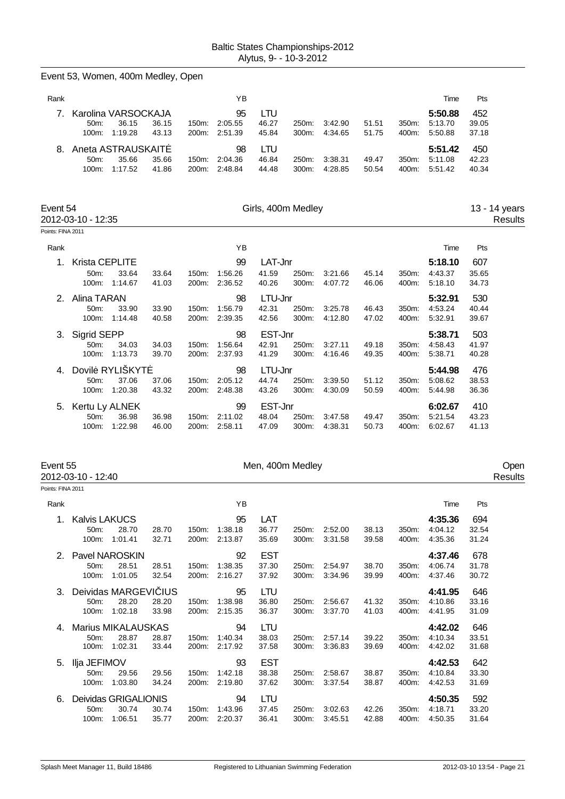|                                | Event 53, Women, 400m Medley, Open |                        |                |                |                                |                    |                |                    |                |                |                    |                |                          |
|--------------------------------|------------------------------------|------------------------|----------------|----------------|--------------------------------|--------------------|----------------|--------------------|----------------|----------------|--------------------|----------------|--------------------------|
| Rank                           |                                    |                        |                |                | YB                             |                    |                |                    |                |                | Time               | Pts            |                          |
| 7.                             |                                    | Karolina VARSOCKAJA    |                |                | 95                             | <b>LTU</b>         |                |                    |                |                | 5:50.88            | 452            |                          |
|                                | 50m:<br>100m:                      | 36.15<br>1:19.28       | 36.15<br>43.13 | 150m:<br>200m: | 2:05.55<br>2:51.39             | 46.27<br>45.84     | 250m:<br>300m: | 3:42.90<br>4:34.65 | 51.51<br>51.75 | 350m:<br>400m: | 5:13.70<br>5:50.88 | 39.05<br>37.18 |                          |
| 8.                             |                                    | Aneta ASTRAUSKAIT      |                |                | 98                             | <b>LTU</b>         |                |                    |                |                | 5:51.42            | 450            |                          |
|                                | 50m:<br>100m:                      | 35.66<br>1:17.52       | 35.66<br>41.86 | 150m:<br>200m: | 2:04.36<br>2:48.84             | 46.84<br>44.48     | 250m:<br>300m: | 3:38.31<br>4:28.85 | 49.47<br>50.54 | 350m:<br>400m: | 5:11.08<br>5:51.42 | 42.23<br>40.34 |                          |
| Event 54                       | 2012-03-10 - 12:35                 |                        |                |                |                                | Girls, 400m Medley |                |                    |                |                |                    |                | 13 - 14 years<br>Results |
| Points: FINA 2011              |                                    |                        |                |                |                                |                    |                |                    |                |                |                    |                |                          |
| Rank                           |                                    |                        |                |                | ΥB                             |                    |                |                    |                |                | Time               | Pts            |                          |
| 1.                             | Krista CEPLITE                     |                        |                |                | 99                             | LAT-Jnr            |                |                    |                |                | 5:18.10            | 607            |                          |
|                                | 50m:<br>100m:                      | 33.64<br>1:14.67       | 33.64<br>41.03 | 150m:<br>200m: | 1:56.26<br>2:36.52             | 41.59<br>40.26     | 250m:<br>300m: | 3:21.66<br>4:07.72 | 45.14<br>46.06 | 350m:<br>400m: | 4:43.37<br>5:18.10 | 35.65<br>34.73 |                          |
| 2.                             | Alina TARAN                        |                        |                |                | 98                             | LTU-Jnr            |                |                    |                |                | 5:32.91            | 530            |                          |
|                                | 50m:<br>100m:                      | 33.90<br>1:14.48       | 33.90<br>40.58 | 150m:          | 1:56.79<br>200m: 2:39.35       | 42.31<br>42.56     | 250m:<br>300m: | 3:25.78<br>4:12.80 | 46.43<br>47.02 | 350m:<br>400m: | 4:53.24<br>5:32.91 | 40.44<br>39.67 |                          |
| 3.                             | Sigrid SEPP                        |                        |                |                | 98                             | EST-Jnr            |                |                    |                |                | 5:38.71            | 503            |                          |
|                                | 50m:<br>100m:                      | 34.03<br>1:13.73       | 34.03<br>39.70 | 150m:          | 1:56.64<br>200m: 2:37.93       | 42.91<br>41.29     | 250m:<br>300m: | 3:27.11<br>4:16.46 | 49.18<br>49.35 | 350m:<br>400m: | 4:58.43<br>5.38.71 | 41.97<br>40.28 |                          |
| 4.                             |                                    | Dovil RYLIŠKYT         |                |                | 98                             | LTU-Jnr            |                |                    |                |                | 5:44.98            | 476            |                          |
|                                | 50m:                               | 37.06                  | 37.06          | 150m:          | 2:05.12                        | 44.74              | 250m:          | 3:39.50            | 51.12          | 350m:          | 5:08.62            | 38.53          |                          |
|                                | 100m:                              | 1:20.38                | 43.32          |                | 200m: 2:48.38                  | 43.26              | 300m:          | 4:30.09            | 50.59          | 400m:          | 5:44.98            | 36.36          |                          |
| 5.                             | Kertu Ly ALNEK                     |                        |                |                | 99                             | EST-Jnr            |                |                    |                |                | 6:02.67            | 410            |                          |
|                                | 50m:<br>100m:                      | 36.98<br>1:22.98       | 36.98<br>46.00 | 150m:          | 2:11.02<br>200m: 2:58.11       | 48.04<br>47.09     | 250m:<br>300m: | 3:47.58<br>4:38.31 | 49.47<br>50.73 | 350m:<br>400m: | 5:21.54<br>6:02.67 | 43.23<br>41.13 |                          |
|                                |                                    |                        |                |                |                                |                    |                |                    |                |                |                    |                |                          |
| Event 55<br>2012-03-10 - 12:40 |                                    |                        |                |                |                                | Men, 400m Medley   |                |                    |                |                |                    |                | Open<br>Results          |
| Points: FINA 2011              |                                    |                        |                |                |                                |                    |                |                    |                |                |                    |                |                          |
| Rank                           |                                    |                        |                |                | ΥB                             |                    |                |                    |                |                | Time               | Pts            |                          |
| 1.                             | <b>Kalvis LAKUCS</b>               |                        |                |                | 95                             | LAT                |                |                    |                |                | 4:35.36            | 694            |                          |
|                                | 50m:<br>100m:                      | 28.70<br>1:01.41       | 28.70<br>32.71 |                | 150m: 1:38.18<br>200m: 2:13.87 | 36.77<br>35.69     | 250m:<br>300m: | 2:52.00<br>3:31.58 | 38.13<br>39.58 | 350m:<br>400m: | 4:04.12<br>4:35.36 | 32.54<br>31.24 |                          |
|                                | 2. Pavel NAROSKIN                  |                        |                |                | 92                             | <b>EST</b>         |                |                    |                |                | 4:37.46            | 678            |                          |
|                                | 50m:                               | 28.51<br>100m: 1:01.05 | 28.51<br>32.54 |                | 150m: 1:38.35<br>200m: 2:16.27 | 37.30<br>37.92     | 250m:<br>300m: | 2:54.97<br>3:34.96 | 38.70<br>39.99 | 350m:<br>400m: | 4:06.74<br>4:37.46 | 31.78<br>30.72 |                          |
| 3.                             |                                    | Deividas MARGEVI IUS   |                |                | 95                             | LTU                |                |                    |                |                | 4:41.95            | 646            |                          |
|                                | 50m:                               | 28.20                  | 28.20          |                | 150m: 1:38.98                  | 36.80              | 250m:          | 2:56.67            | 41.32          | 350m:          | 4:10.86            | 33.16          |                          |
|                                | 100m:                              | 1:02.18                | 33.98          |                | 200m: 2:15.35                  | 36.37              | 300m:          | 3:37.70            | 41.03          | 400m:          | 4:41.95            | 31.09          |                          |
|                                | 4. Marius MIKALAUSKAS              |                        |                |                | 94                             | <b>LTU</b>         |                |                    |                |                | 4:42.02            | 646            |                          |

50m: 28.87 28.87 150m: 1:40.34 38.03 250m: 2:57.14 39.22 350m: 4:10.34 33.51 100m: 1:02.31 33.44 200m: 2:17.92 37.58 300m: 3:36.83 39.69 400m: 4:42.02 31.68 5. Ilja JEFIMOV 93 EST **4:42.53** 642 50m: 29.56 29.56 150m: 1:42.18 38.38 250m: 2:58.67 38.87 350m: 4:10.84 33.30 100m: 1:03.80 34.24 200m: 2:19.80 37.62 300m: 3:37.54 38.87 400m: 4:42.53 31.69 6. Deividas GRIGALIONIS 94 LTU **4:50.35** 592 150m: 1:43.96 100m: 1:06.51 35.77 200m: 2:20.37 36.41 300m: 3:45.51 42.88 400m: 4:50.35 31.64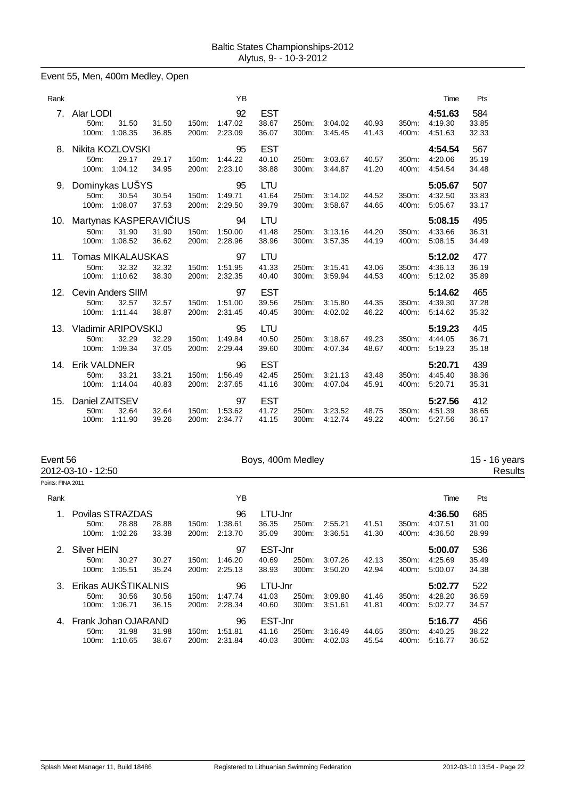#### Event 55, Men, 400m Medley, Open

| Rank            |                                                      |                                              |                |                | YB                       |                              |                |                    |                |                | Time                          | Pts                   |
|-----------------|------------------------------------------------------|----------------------------------------------|----------------|----------------|--------------------------|------------------------------|----------------|--------------------|----------------|----------------|-------------------------------|-----------------------|
| 7.              | Alar LODI<br>50m:<br>100m:                           | 31.50<br>1:08.35                             | 31.50<br>36.85 | 150m:<br>200m: | 92<br>1:47.02<br>2:23.09 | <b>EST</b><br>38.67<br>36.07 | 250m:<br>300m: | 3:04.02<br>3:45.45 | 40.93<br>41.43 | 350m:<br>400m: | 4:51.63<br>4:19.30<br>4:51.63 | 584<br>33.85<br>32.33 |
| 8.              | Nikita KOZLOVSKI<br>50m:<br>100m:                    | 29.17<br>1:04.12                             | 29.17<br>34.95 | 150m:<br>200m: | 95<br>1:44.22<br>2:23.10 | <b>EST</b><br>40.10<br>38.88 | 250m:<br>300m: | 3:03.67<br>3:44.87 | 40.57<br>41.20 | 350m:<br>400m: | 4:54.54<br>4:20.06<br>4:54.54 | 567<br>35.19<br>34.48 |
| 9.              | 50m:<br>100m:                                        | Dominykas LUŠYS<br>30.54<br>1:08.07          | 30.54<br>37.53 | 150m:<br>200m: | 95<br>1:49.71<br>2:29.50 | LTU<br>41.64<br>39.79        | 250m:<br>300m: | 3:14.02<br>3:58.67 | 44.52<br>44.65 | 350m:<br>400m: | 5:05.67<br>4:32.50<br>5:05.67 | 507<br>33.83<br>33.17 |
| 10.             | Martynas KASPERAVI IUS<br>50 <sub>m</sub> :<br>100m: | 31.90<br>1:08.52                             | 31.90<br>36.62 | 150m:<br>200m: | 94<br>1:50.00<br>2:28.96 | LTU<br>41.48<br>38.96        | 250m:<br>300m: | 3:13.16<br>3:57.35 | 44.20<br>44.19 | 350m:<br>400m: | 5:08.15<br>4:33.66<br>5:08.15 | 495<br>36.31<br>34.49 |
| 11.             | Tomas MIKALAUSKAS<br>50m:<br>100m:                   | 32.32<br>1:10.62                             | 32.32<br>38.30 | 150m:<br>200m: | 97<br>1:51.95<br>2:32.35 | LTU<br>41.33<br>40.40        | 250m:<br>300m: | 3:15.41<br>3:59.94 | 43.06<br>44.53 | 350m:<br>400m: | 5:12.02<br>4:36.13<br>5:12.02 | 477<br>36.19<br>35.89 |
| 12 <sub>1</sub> | 50m:<br>100m:                                        | <b>Cevin Anders SIIM</b><br>32.57<br>1:11.44 | 32.57<br>38.87 | 150m:<br>200m: | 97<br>1:51.00<br>2:31.45 | <b>EST</b><br>39.56<br>40.45 | 250m:<br>300m: | 3:15.80<br>4:02.02 | 44.35<br>46.22 | 350m:<br>400m: | 5:14.62<br>4:39.30<br>5:14.62 | 465<br>37.28<br>35.32 |
| 13.             | 50m:<br>100m:                                        | Vladimir ARIPOVSKIJ<br>32.29<br>1:09.34      | 32.29<br>37.05 | 150m:<br>200m: | 95<br>1:49.84<br>2:29.44 | LTU<br>40.50<br>39.60        | 250m:<br>300m: | 3:18.67<br>4:07.34 | 49.23<br>48.67 | 350m:<br>400m: | 5:19.23<br>4:44.05<br>5:19.23 | 445<br>36.71<br>35.18 |
| 14.             | <b>Erik VALDNER</b><br>50m:<br>100m:                 | 33.21<br>1:14.04                             | 33.21<br>40.83 | 150m:<br>200m: | 96<br>1:56.49<br>2:37.65 | <b>EST</b><br>42.45<br>41.16 | 250m:<br>300m: | 3:21.13<br>4:07.04 | 43.48<br>45.91 | 350m:<br>400m: | 5:20.71<br>4:45.40<br>5:20.71 | 439<br>38.36<br>35.31 |
| 15.             | Daniel ZAITSEV<br>50m:<br>100m:                      | 32.64<br>1:11.90                             | 32.64<br>39.26 | 150m:<br>200m: | 97<br>1:53.62<br>2:34.77 | <b>EST</b><br>41.72<br>41.15 | 250m:<br>300m: | 3:23.52<br>4:12.74 | 48.75<br>49.22 | 350m:<br>400m: | 5:27.56<br>4:51.39<br>5:27.56 | 412<br>38.65<br>36.17 |

| Event 56<br>2012-03-10 - 12:50 |                     |                  | Boys, 400m Medley |               |         |         |       |         |       |         | 15 - 16 years<br>Results |       |  |
|--------------------------------|---------------------|------------------|-------------------|---------------|---------|---------|-------|---------|-------|---------|--------------------------|-------|--|
| Points: FINA 2011              |                     |                  |                   |               |         |         |       |         |       |         |                          |       |  |
| Rank                           |                     |                  |                   |               | YB      |         |       |         |       |         | Time                     | Pts   |  |
|                                |                     | Povilas STRAZDAS |                   |               | 96      | LTU-Jnr |       |         |       |         | 4:36.50                  | 685   |  |
|                                | 50 <sub>m</sub> :   | 28.88            | 28.88             | 150m:         | 1:38.61 | 36.35   | 250m: | 2:55.21 | 41.51 | 350m:   | 4:07.51                  | 31.00 |  |
|                                | 100m:               | 1:02.26          | 33.38             | 200m:         | 2:13.70 | 35.09   | 300m: | 3:36.51 | 41.30 | 400m:   | 4:36.50                  | 28.99 |  |
| 2.                             | Silver HEIN         |                  |                   | EST-Jnr<br>97 |         |         |       |         |       |         | 5:00.07                  | 536   |  |
|                                | 50m:                | 30.27            | 30.27             | 150m:         | 1:46.20 | 40.69   | 250m: | 3:07.26 | 42.13 | 350m.   | 4:25.69                  | 35.49 |  |
|                                | 100m:               | 1:05.51          | 35.24             | 200m:         | 2:25.13 | 38.93   | 300m: | 3:50.20 | 42.94 | 400m:   | 5:00.07                  | 34.38 |  |
| 3.                             | Erikas AUKŠTIKALNIS |                  |                   |               | 96      | LTU-Jnr |       |         |       |         | 5:02.77                  | 522   |  |
|                                | $50m$ :             | 30.56            | 30.56             | 150m:         | 1:47.74 | 41.03   | 250m: | 3:09.80 | 41.46 | 350m:   | 4:28.20                  | 36.59 |  |
|                                | 100m:               | 1:06.71          | 36.15             | 200m:         | 2:28.34 | 40.60   | 300m: | 3:51.61 | 41.81 | 400m:   | 5:02.77                  | 34.57 |  |
|                                | Frank Johan OJARAND |                  |                   | EST-Jnr<br>96 |         |         |       |         |       | 5:16.77 | 456                      |       |  |
|                                | $50m$ :             | 31.98            | 31.98             | 150m:         | 1:51.81 | 41.16   | 250m: | 3:16.49 | 44.65 | 350m:   | 4:40.25                  | 38.22 |  |
|                                | 100m:               | 1:10.65          | 38.67             | 200m:         | 2:31.84 | 40.03   | 300m: | 4:02.03 | 45.54 | 400m:   | 5:16.77                  | 36.52 |  |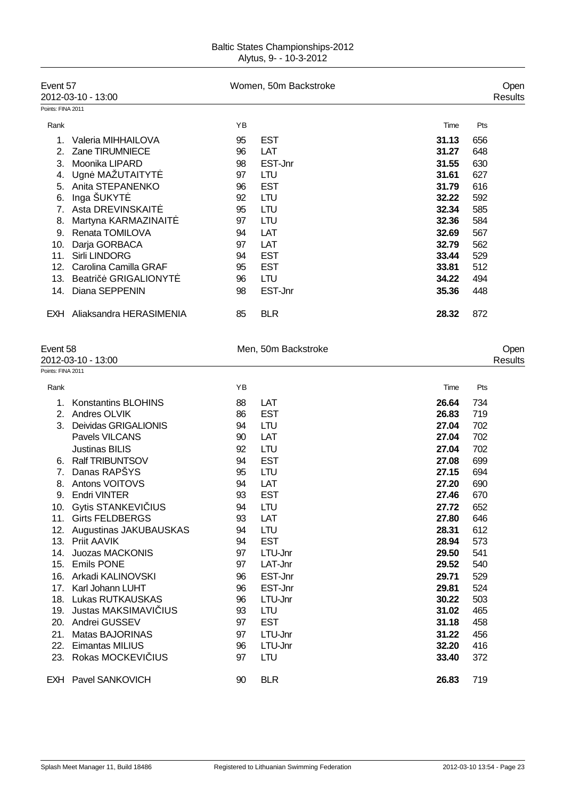| <b>Baltic States Championships-2012</b> |  |
|-----------------------------------------|--|
| Alytus, 9- - 10-3-2012                  |  |

| Event 57<br>Points: FINA 2011 | 2012-03-10 - 13:00                 |          | Women, 50m Backstroke |                |            | Open<br>Results |
|-------------------------------|------------------------------------|----------|-----------------------|----------------|------------|-----------------|
| Rank                          |                                    | ΥB       |                       | Time           | Pts        |                 |
| 1.                            | Valeria MIHHAILOVA                 | 95       | <b>EST</b>            | 31.13          | 656        |                 |
| 2.                            | Zane TIRUMNIECE                    | 96       | LAT                   | 31.27          | 648        |                 |
| 3.                            | Moonika LIPARD                     | 98       | EST-Jnr               | 31.55          | 630        |                 |
|                               | 4. Ugn MAŽUTAITYT                  | 97       | <b>LTU</b>            | 31.61          | 627        |                 |
|                               | 5. Anita STEPANENKO                | 96       | <b>EST</b>            | 31.79          | 616        |                 |
| 6.                            | Inga ŠUKYT                         | 92       | <b>LTU</b>            | 32.22          | 592        |                 |
|                               | 7. Asta DREVINSKAIT                | 95       | <b>LTU</b>            | 32.34          | 585        |                 |
|                               | 8. Martyna KARMAZINAIT             | 97       | <b>LTU</b>            | 32.36          | 584        |                 |
|                               | 9. Renata TOMILOVA                 | 94       | LAT                   | 32.69          | 567        |                 |
|                               | 10. Darja GORBACA                  | 97       | LAT                   | 32.79          | 562        |                 |
|                               | 11. Sirli LINDORG                  | 94       | <b>EST</b>            | 33.44          | 529        |                 |
|                               | 12. Carolina Camilla GRAF          | 95       | <b>EST</b>            | 33.81          | 512        |                 |
|                               | 13. Beatri<br><b>GRIGALIONYT</b>   | 96       | <b>LTU</b>            | 34.22          | 494        |                 |
| 14.                           | Diana SEPPENIN                     | 98       | EST-Jnr               | 35.36          | 448        |                 |
|                               | EXH Aliaksandra HERASIMENIA        | 85       | <b>BLR</b>            | 28.32          | 872        |                 |
| Event 58                      | 2012-03-10 - 13:00                 |          | Men, 50m Backstroke   |                |            | Open            |
| Points: FINA 2011             |                                    |          |                       |                |            | Results         |
|                               |                                    |          |                       |                |            |                 |
| Rank                          |                                    | ΥB       |                       | Time           | Pts        |                 |
| 1.                            | Konstantins BLOHINS                | 88       | LAT                   | 26.64          | 734        |                 |
|                               | 2. Andres OLVIK                    | 86       | <b>EST</b>            | 26.83          | 719        |                 |
|                               | 3. Deividas GRIGALIONIS            | 94       | <b>LTU</b>            | 27.04          | 702        |                 |
|                               | Pavels VILCANS                     | 90       | LAT                   | 27.04          | 702        |                 |
|                               | <b>Justinas BILIS</b>              | 92       | <b>LTU</b>            | 27.04          | 702        |                 |
|                               | 6. Ralf TRIBUNTSOV<br>Danas RAPŠYS | 94       | <b>EST</b>            | 27.08          | 699        |                 |
| 7 <sup>1</sup>                | 8. Antons VOITOVS                  | 95<br>94 | <b>LTU</b><br>LAT     | 27.15<br>27.20 | 694<br>690 |                 |
|                               | 9. Endri VINTER                    | 93       | <b>EST</b>            | 27.46          | 670        |                 |
|                               | 10. Gytis STANKEVI IUS             | 94       | <b>LTU</b>            | 27.72          | 652        |                 |
|                               | 11. Girts FELDBERGS                | 93       | LAT                   | 27.80          | 646        |                 |
|                               | 12. Augustinas JAKUBAUSKAS         | 94       | <b>LTU</b>            | 28.31          | 612        |                 |
|                               | 13. Priit AAVIK                    | 94       | <b>EST</b>            | 28.94          | 573        |                 |
|                               | 14. Juozas MACKONIS                | 97       | LTU-Jnr               | 29.50          | 541        |                 |
|                               | 15. Emils PONE                     | 97       | LAT-Jnr               | 29.52          | 540        |                 |
|                               | 16. Arkadi KALINOVSKI              | 96       | EST-Jnr               | 29.71          | 529        |                 |
| 17.                           | Karl Johann LUHT                   | 96       | EST-Jnr               | 29.81          | 524        |                 |
|                               | 18. Lukas RUTKAUSKAS               | 96       | LTU-Jnr               | 30.22          | 503        |                 |
|                               | 19. Justas MAKSIMAVI IUS           | 93       | LTU                   | 31.02          | 465        |                 |
|                               | 20. Andrei GUSSEV                  | 97       | <b>EST</b>            | 31.18          | 458        |                 |
| 21.                           | <b>Matas BAJORINAS</b>             | 97       | LTU-Jnr               | 31.22          | 456        |                 |
| 22.                           | <b>Eimantas MILIUS</b>             | 96       | LTU-Jnr               | 32.20          | 416        |                 |
| 23.                           | Rokas MOCKEVI IUS                  | 97       | <b>LTU</b>            | 33.40          | 372        |                 |
|                               | EXH Pavel SANKOVICH                | 90       | <b>BLR</b>            | 26.83          | 719        |                 |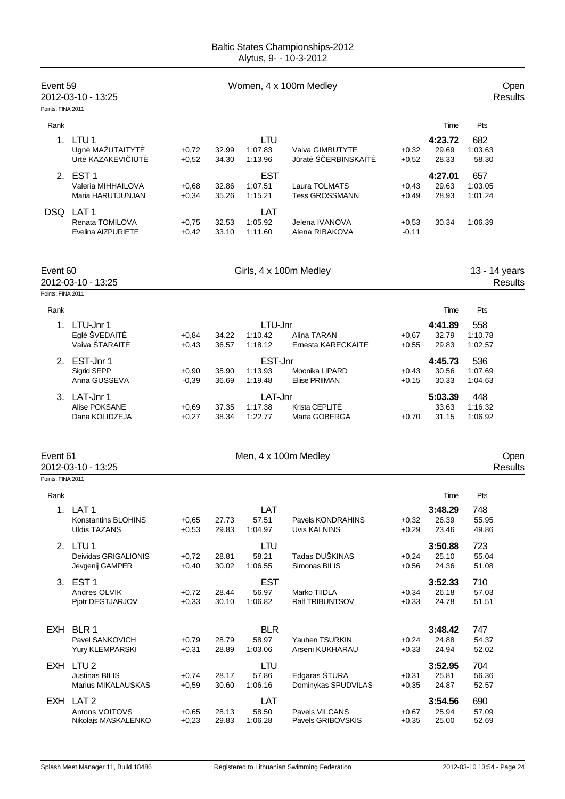| Event 59          | 2012-03-10 - 13:25                           |                    |                | Open<br><b>Results</b> |                                        |                    |                  |                    |
|-------------------|----------------------------------------------|--------------------|----------------|------------------------|----------------------------------------|--------------------|------------------|--------------------|
| Points: FINA 2011 |                                              |                    |                |                        |                                        |                    |                  |                    |
| Rank              |                                              |                    |                |                        |                                        |                    | Time             | Pts                |
| 1.                | LTU <sub>1</sub>                             |                    |                | <b>LTU</b>             |                                        |                    | 4:23.72          | 682                |
|                   | Ugn MAŽUTAITYT<br>Urt KAZAKEVI I T           | $+0,72$<br>$+0,52$ | 32.99<br>34.30 | 1:07.83<br>1:13.96     | Vaiva GIMBUTYT<br>J rat Š ERBINSKAIT   | $+0,32$<br>$+0,52$ | 29.69<br>28.33   | 1:03.63<br>58.30   |
|                   | 2. EST 1                                     |                    |                | <b>EST</b>             |                                        |                    | 4:27.01          | 657                |
|                   | Valeria MIHHAILOVA<br>Maria HARUTJUNJAN      | $+0,68$            | 32.86          | 1:07.51                | Laura TOLMATS<br><b>Tess GROSSMANN</b> | $+0,43$            | 29.63<br>28.93   | 1:03.05            |
|                   |                                              | $+0,34$            | 35.26          | 1:15.21                |                                        | $+0,49$            |                  | 1:01.24            |
|                   | DSQ LAT1                                     |                    |                | LAT                    |                                        |                    |                  |                    |
|                   | Renata TOMILOVA<br><b>Evelina AIZPURIETE</b> | $+0,75$<br>$+0,42$ | 32.53<br>33.10 | 1:05.92<br>1:11.60     | Jelena IVANOVA<br>Alena RIBAKOVA       | $+0,53$<br>$-0,11$ | 30.34            | 1:06.39            |
| Event 60          |                                              |                    |                |                        | Girls, 4 x 100m Medley                 |                    |                  | 13 - 14 years      |
|                   | 2012-03-10 - 13:25                           |                    |                |                        |                                        |                    |                  | <b>Results</b>     |
| Points: FINA 2011 |                                              |                    |                |                        |                                        |                    |                  |                    |
| Rank              |                                              |                    |                |                        |                                        |                    | Time             | Pts                |
| 1.                | LTU-Jnr 1                                    |                    |                | LTU-Jnr                |                                        |                    | 4:41.89          | 558                |
|                   | Egl ŠVEDAIT                                  | $+0,84$            | 34.22          | 1:10.42                | Alina TARAN                            | $+0,67$            | 32.79            | 1:10.78            |
|                   | Vaiva ŠTARAIT                                | $+0,43$            | 36.57          | 1:18.12                | Ernesta KARECKAIT                      | $+0,55$            | 29.83            | 1:02.57            |
|                   | 2. EST-Jnr 1                                 |                    |                | EST-Jnr                |                                        |                    | 4:45.73          | 536                |
|                   | Sigrid SEPP                                  | $+0,90$            | 35.90          | 1:13.93                | Moonika LIPARD                         | $+0,43$            | 30.56            | 1:07.69            |
|                   | Anna GUSSEVA                                 | $-0,39$            | 36.69          | 1:19.48                | <b>Eliise PRIIMAN</b>                  | $+0,15$            | 30.33            | 1:04.63            |
|                   | 3. LAT-Jnr 1                                 |                    |                | LAT-Jnr                |                                        |                    | 5:03.39          | 448                |
|                   | Alise POKSANE<br>Dana KOLIDZEJA              | $+0,69$<br>$+0,27$ | 37.35<br>38.34 | 1:17.38<br>1:22.77     | Krista CEPLITE<br>Marta GOBERGA        | $+0,70$            | 33.63<br>31.15   | 1:16.32<br>1:06.92 |
| Event 61          | 2012-03-10 - 13:25                           |                    |                |                        | Men, 4 x 100m Medley                   |                    |                  | Open<br>Results    |
| Points: FINA 2011 |                                              |                    |                |                        |                                        |                    |                  |                    |
| Rank              |                                              |                    |                |                        |                                        |                    | Time             | Pts                |
|                   | 1. LAT 1                                     |                    |                | LAT                    |                                        |                    | 3:48.29          | 748                |
|                   | Konstantins BLOHINS                          | $+0,65$            | 27.73          | 57.51                  | Pavels KONDRAHINS                      | $+0,32$            | 26.39            | 55.95              |
|                   | <b>Uldis TAZANS</b>                          | $+0,53$            | 29.83          | 1:04.97                | Uvis KALNINS                           | $+0,29$            | 23.46            | 49.86              |
|                   | 2. LTU 1                                     |                    |                | LTU                    |                                        |                    | 3:50.88          | 723                |
|                   | Deividas GRIGALIONIS                         | $+0,72$            | 28.81          | 58.21                  | Tadas DUŠKINAS                         | $+0,24$            | 25.10            | 55.04              |
|                   | Jevgenij GAMPER                              | $+0,40$            | 30.02          | 1:06.55                | Simonas BILIS                          | $+0,56$            | 24.36            | 51.08              |
|                   | 3. EST 1                                     |                    |                | <b>EST</b>             |                                        |                    | 3:52.33          | 710                |
|                   | Andres OLVIK                                 | $+0,72$            | 28.44          | 56.97                  | Marko TIIDLA                           | $+0,34$            | 26.18            | 57.03              |
|                   | Pjotr DEGTJARJOV                             | $+0,33$            | 30.10          | 1:06.82                | Ralf TRIBUNTSOV                        | $+0,33$            | 24.78            | 51.51              |
|                   |                                              |                    |                | <b>BLR</b>             |                                        |                    |                  |                    |
|                   | EXH BLR 1<br>Pavel SANKOVICH                 | $+0,79$            | 28.79          | 58.97                  | Yauhen TSURKIN                         | $+0,24$            | 3:48.42<br>24.88 | 747<br>54.37       |
|                   | Yury KLEMPARSKI                              | $+0,31$            | 28.89          | 1:03.06                | Arseni KUKHARAU                        | $+0,33$            | 24.94            | 52.02              |
|                   | EXH LTU2                                     |                    |                | LTU                    |                                        |                    | 3:52.95          | 704                |
|                   | <b>Justinas BILIS</b>                        | $+0,74$            | 28.17          | 57.86                  | Edgaras ŠTURA                          | $+0,31$            | 25.81            | 56.36              |
|                   | Marius MIKALAUSKAS                           | $+0,59$            | 30.60          | 1:06.16                | Dominykas SPUDVILAS                    | $+0,35$            | 24.87            | 52.57              |
|                   | EXH LAT 2                                    |                    |                | LAT                    |                                        |                    | 3:54.56          | 690                |
|                   | Antons VOITOVS                               | $+0,65$            | 28.13          | 58.50                  | Pavels VILCANS                         | $+0,67$            | 25.94            | 57.09              |
|                   | Nikolajs MASKALENKO                          | $+0,23$            | 29.83          | 1:06.28                | Pavels GRIBOVSKIS                      | $+0,35$            | 25.00            | 52.69              |